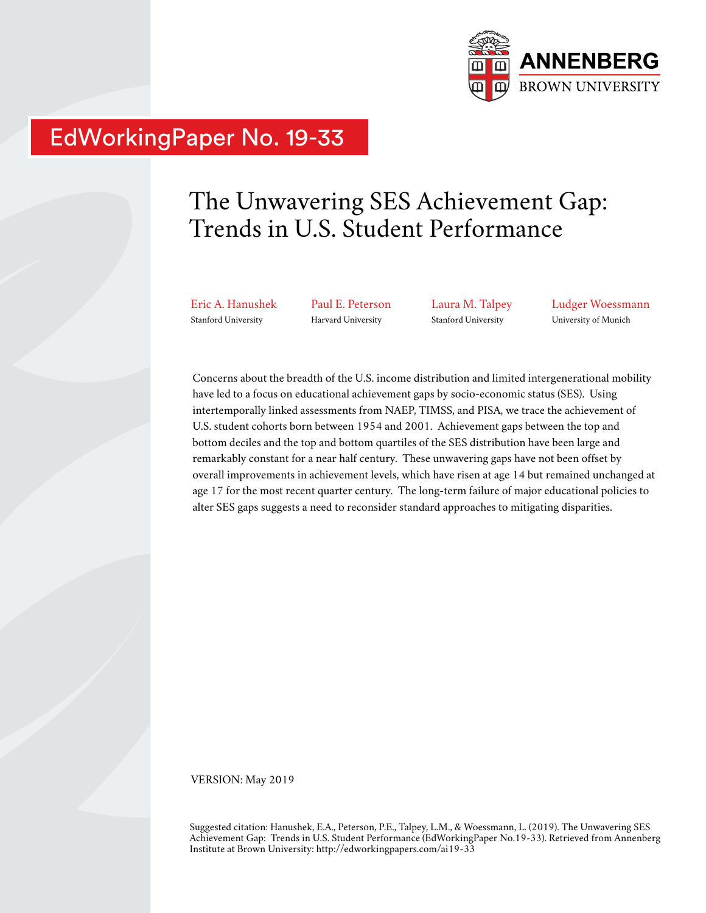

# EdWorkingPaper No. 19-33

# The Unwavering SES Achievement Gap: Trends in U.S. Student Performance

Eric A. Hanushek Stanford University

Paul E. Peterson Harvard University

Laura M. Talpey Stanford University

Ludger Woessmann University of Munich

Concerns about the breadth of the U.S. income distribution and limited intergenerational mobility have led to a focus on educational achievement gaps by socio-economic status (SES). Using intertemporally linked assessments from NAEP, TIMSS, and PISA, we trace the achievement of U.S. student cohorts born between 1954 and 2001. Achievement gaps between the top and bottom deciles and the top and bottom quartiles of the SES distribution have been large and remarkably constant for a near half century. These unwavering gaps have not been offset by overall improvements in achievement levels, which have risen at age 14 but remained unchanged at age 17 for the most recent quarter century. The long-term failure of major educational policies to alter SES gaps suggests a need to reconsider standard approaches to mitigating disparities.

VERSION: May 2019

Suggested citation: Hanushek, E.A., Peterson, P.E., Talpey, L.M., & Woessmann, L. (2019). The Unwavering SES Achievement Gap: Trends in U.S. Student Performance (EdWorkingPaper No.19-33). Retrieved from Annenberg Institute at Brown University: http://edworkingpapers.com/ai19-33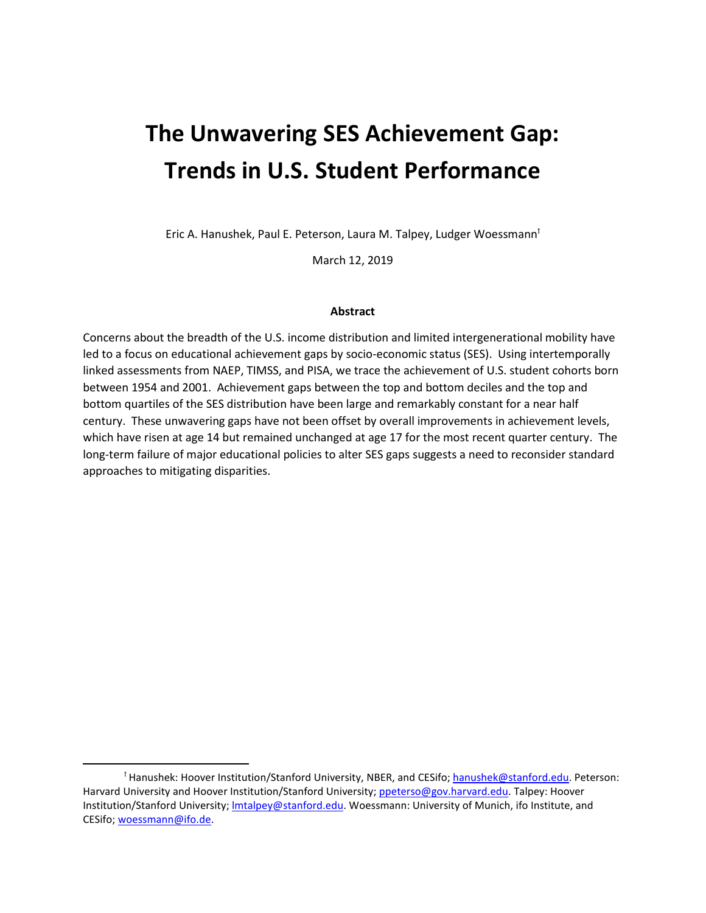# **The Unwavering SES Achievement Gap: Trends in U.S. Student Performance**

Eric A. Hanushek, Paul E. Peterson, Laura M. Talpey, Ludger Woessmann<sup>t</sup>

March 12, 2019

#### **Abstract**

Concerns about the breadth of the U.S. income distribution and limited intergenerational mobility have led to a focus on educational achievement gaps by socio-economic status (SES). Using intertemporally linked assessments from NAEP, TIMSS, and PISA, we trace the achievement of U.S. student cohorts born between 1954 and 2001. Achievement gaps between the top and bottom deciles and the top and bottom quartiles of the SES distribution have been large and remarkably constant for a near half century. These unwavering gaps have not been offset by overall improvements in achievement levels, which have risen at age 14 but remained unchanged at age 17 for the most recent quarter century. The long-term failure of major educational policies to alter SES gaps suggests a need to reconsider standard approaches to mitigating disparities.

l

<span id="page-1-0"></span><sup>&</sup>lt;sup>†</sup> Hanushek: Hoover Institution/Stanford University, NBER, and CESifo; [hanushek@stanford.edu.](mailto:hanushek@stanford.edu) Peterson: Harvard University and Hoover Institution/Stanford University; [ppeterso@gov.harvard.edu.](mailto:ppeterso@gov.harvard.edu) Talpey: Hoover Institution/Stanford University; Imtalpey@stanford.edu. Woessmann: University of Munich, ifo Institute, and CESifo; [woessmann@ifo.de.](mailto:woessmann@ifo.de)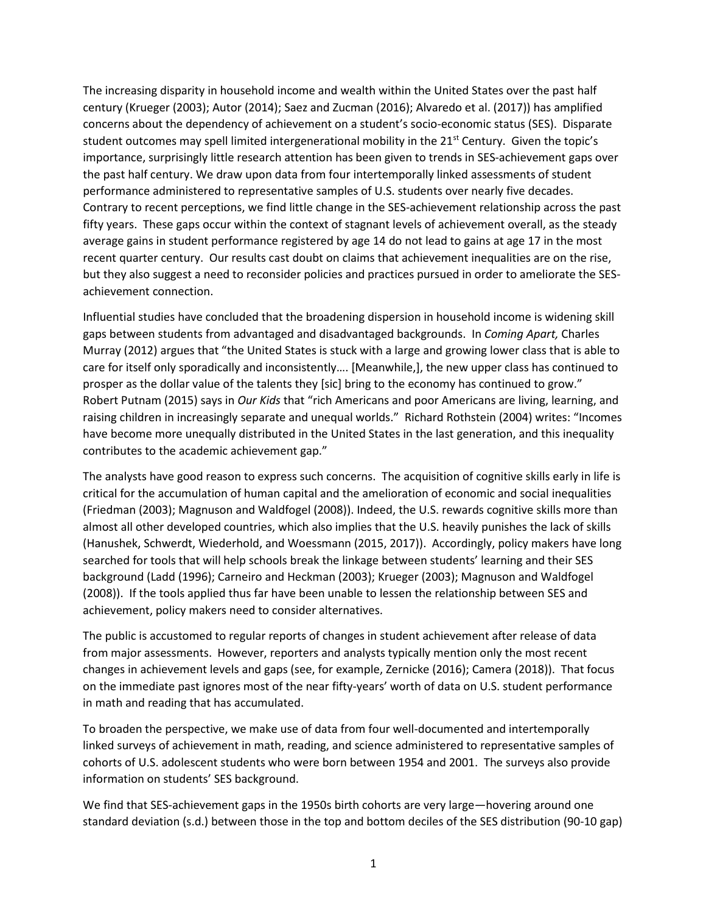The increasing disparity in household income and wealth within the United States over the past half century (Krueger (2003); Autor (2014); Saez and Zucman (2016); Alvaredo et al. (2017)) has amplified concerns about the dependency of achievement on a student's socio-economic status (SES). Disparate student outcomes may spell limited intergenerational mobility in the  $21^{st}$  Century. Given the topic's importance, surprisingly little research attention has been given to trends in SES-achievement gaps over the past half century. We draw upon data from four intertemporally linked assessments of student performance administered to representative samples of U.S. students over nearly five decades. Contrary to recent perceptions, we find little change in the SES-achievement relationship across the past fifty years. These gaps occur within the context of stagnant levels of achievement overall, as the steady average gains in student performance registered by age 14 do not lead to gains at age 17 in the most recent quarter century. Our results cast doubt on claims that achievement inequalities are on the rise, but they also suggest a need to reconsider policies and practices pursued in order to ameliorate the SESachievement connection.

Influential studies have concluded that the broadening dispersion in household income is widening skill gaps between students from advantaged and disadvantaged backgrounds. In *Coming Apart,* Charles Murray (2012) argues that "the United States is stuck with a large and growing lower class that is able to care for itself only sporadically and inconsistently…. [Meanwhile,], the new upper class has continued to prosper as the dollar value of the talents they [sic] bring to the economy has continued to grow." Robert Putnam (2015) says in *Our Kids* that "rich Americans and poor Americans are living, learning, and raising children in increasingly separate and unequal worlds." Richard Rothstein (2004) writes: "Incomes have become more unequally distributed in the United States in the last generation, and this inequality contributes to the academic achievement gap."

The analysts have good reason to express such concerns. The acquisition of cognitive skills early in life is critical for the accumulation of human capital and the amelioration of economic and social inequalities (Friedman (2003); Magnuson and Waldfogel (2008)). Indeed, the U.S. rewards cognitive skills more than almost all other developed countries, which also implies that the U.S. heavily punishes the lack of skills (Hanushek, Schwerdt, Wiederhold, and Woessmann (2015, 2017)). Accordingly, policy makers have long searched for tools that will help schools break the linkage between students' learning and their SES background (Ladd (1996); Carneiro and Heckman (2003); Krueger (2003); Magnuson and Waldfogel (2008)). If the tools applied thus far have been unable to lessen the relationship between SES and achievement, policy makers need to consider alternatives.

The public is accustomed to regular reports of changes in student achievement after release of data from major assessments. However, reporters and analysts typically mention only the most recent changes in achievement levels and gaps (see, for example, Zernicke (2016); Camera (2018)). That focus on the immediate past ignores most of the near fifty-years' worth of data on U.S. student performance in math and reading that has accumulated.

To broaden the perspective, we make use of data from four well-documented and intertemporally linked surveys of achievement in math, reading, and science administered to representative samples of cohorts of U.S. adolescent students who were born between 1954 and 2001. The surveys also provide information on students' SES background.

We find that SES-achievement gaps in the 1950s birth cohorts are very large—hovering around one standard deviation (s.d.) between those in the top and bottom deciles of the SES distribution (90-10 gap)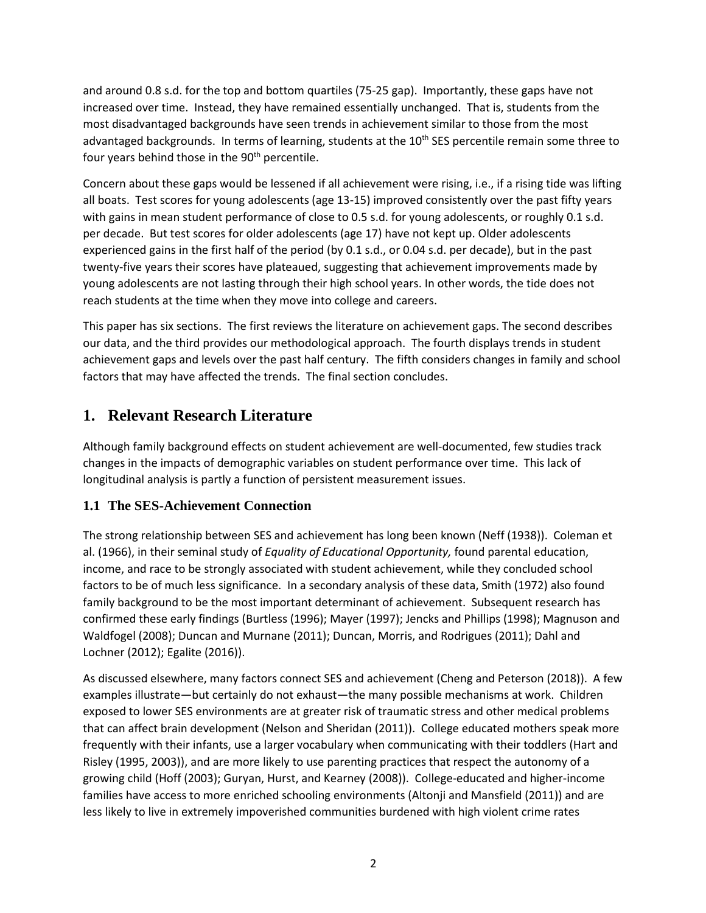and around 0.8 s.d. for the top and bottom quartiles (75-25 gap). Importantly, these gaps have not increased over time. Instead, they have remained essentially unchanged. That is, students from the most disadvantaged backgrounds have seen trends in achievement similar to those from the most advantaged backgrounds. In terms of learning, students at the 10<sup>th</sup> SES percentile remain some three to four years behind those in the  $90<sup>th</sup>$  percentile.

Concern about these gaps would be lessened if all achievement were rising, i.e., if a rising tide was lifting all boats. Test scores for young adolescents (age 13-15) improved consistently over the past fifty years with gains in mean student performance of close to 0.5 s.d. for young adolescents, or roughly 0.1 s.d. per decade. But test scores for older adolescents (age 17) have not kept up. Older adolescents experienced gains in the first half of the period (by 0.1 s.d., or 0.04 s.d. per decade), but in the past twenty-five years their scores have plateaued, suggesting that achievement improvements made by young adolescents are not lasting through their high school years. In other words, the tide does not reach students at the time when they move into college and careers.

This paper has six sections. The first reviews the literature on achievement gaps. The second describes our data, and the third provides our methodological approach. The fourth displays trends in student achievement gaps and levels over the past half century. The fifth considers changes in family and school factors that may have affected the trends. The final section concludes.

# **1. Relevant Research Literature**

Although family background effects on student achievement are well-documented, few studies track changes in the impacts of demographic variables on student performance over time. This lack of longitudinal analysis is partly a function of persistent measurement issues.

## **1.1 The SES-Achievement Connection**

The strong relationship between SES and achievement has long been known (Neff (1938)). Coleman et al. (1966), in their seminal study of *Equality of Educational Opportunity,* found parental education, income, and race to be strongly associated with student achievement, while they concluded school factors to be of much less significance. In a secondary analysis of these data, Smith (1972) also found family background to be the most important determinant of achievement. Subsequent research has confirmed these early findings (Burtless (1996); Mayer (1997); Jencks and Phillips (1998); Magnuson and Waldfogel (2008); Duncan and Murnane (2011); Duncan, Morris, and Rodrigues (2011); Dahl and Lochner (2012); Egalite (2016)).

As discussed elsewhere, many factors connect SES and achievement (Cheng and Peterson (2018)). A few examples illustrate—but certainly do not exhaust—the many possible mechanisms at work. Children exposed to lower SES environments are at greater risk of traumatic stress and other medical problems that can affect brain development (Nelson and Sheridan (2011)). College educated mothers speak more frequently with their infants, use a larger vocabulary when communicating with their toddlers (Hart and Risley (1995, 2003)), and are more likely to use parenting practices that respect the autonomy of a growing child (Hoff (2003); Guryan, Hurst, and Kearney (2008)). College-educated and higher-income families have access to more enriched schooling environments (Altonji and Mansfield (2011)) and are less likely to live in extremely impoverished communities burdened with high violent crime rates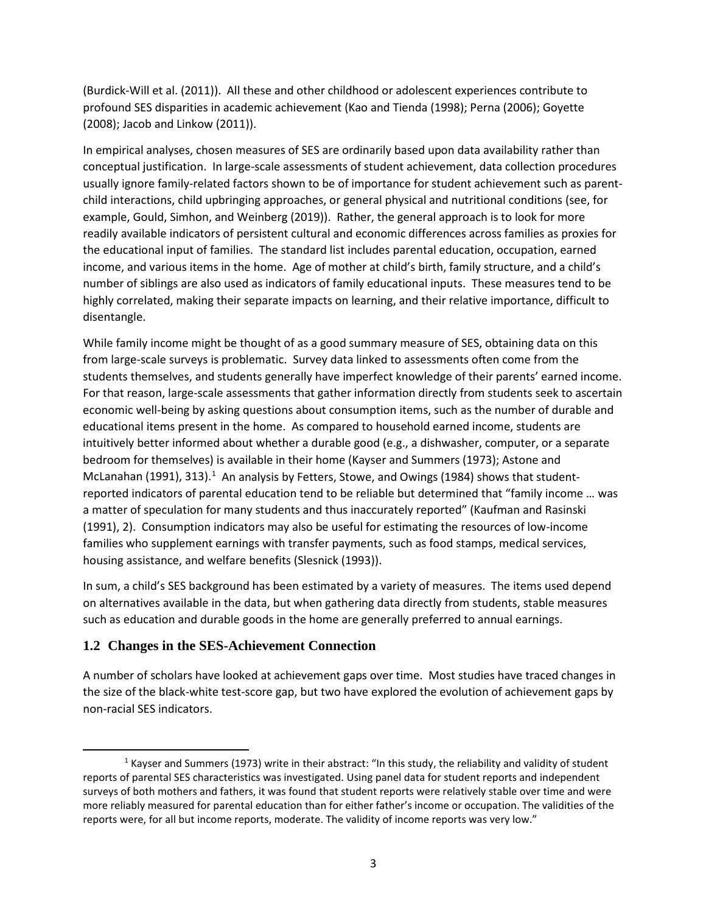(Burdick-Will et al. (2011)). All these and other childhood or adolescent experiences contribute to profound SES disparities in academic achievement (Kao and Tienda (1998); Perna (2006); Goyette (2008); Jacob and Linkow (2011)).

In empirical analyses, chosen measures of SES are ordinarily based upon data availability rather than conceptual justification. In large-scale assessments of student achievement, data collection procedures usually ignore family-related factors shown to be of importance for student achievement such as parentchild interactions, child upbringing approaches, or general physical and nutritional conditions (see, for example, Gould, Simhon, and Weinberg (2019)). Rather, the general approach is to look for more readily available indicators of persistent cultural and economic differences across families as proxies for the educational input of families. The standard list includes parental education, occupation, earned income, and various items in the home. Age of mother at child's birth, family structure, and a child's number of siblings are also used as indicators of family educational inputs. These measures tend to be highly correlated, making their separate impacts on learning, and their relative importance, difficult to disentangle.

While family income might be thought of as a good summary measure of SES, obtaining data on this from large-scale surveys is problematic. Survey data linked to assessments often come from the students themselves, and students generally have imperfect knowledge of their parents' earned income. For that reason, large-scale assessments that gather information directly from students seek to ascertain economic well-being by asking questions about consumption items, such as the number of durable and educational items present in the home. As compared to household earned income, students are intuitively better informed about whether a durable good (e.g., a dishwasher, computer, or a separate bedroom for themselves) is available in their home (Kayser and Summers (1973); Astone and McLanahan ([1](#page-4-0)991), 313).<sup>1</sup> An analysis by Fetters, Stowe, and Owings (1984) shows that studentreported indicators of parental education tend to be reliable but determined that "family income … was a matter of speculation for many students and thus inaccurately reported" (Kaufman and Rasinski (1991), 2). Consumption indicators may also be useful for estimating the resources of low-income families who supplement earnings with transfer payments, such as food stamps, medical services, housing assistance, and welfare benefits (Slesnick (1993)).

In sum, a child's SES background has been estimated by a variety of measures. The items used depend on alternatives available in the data, but when gathering data directly from students, stable measures such as education and durable goods in the home are generally preferred to annual earnings.

## **1.2 Changes in the SES-Achievement Connection**

A number of scholars have looked at achievement gaps over time. Most studies have traced changes in the size of the black-white test-score gap, but two have explored the evolution of achievement gaps by non-racial SES indicators.

<span id="page-4-0"></span><sup>&</sup>lt;sup>1</sup> Kayser and Summers (1973) write in their abstract: "In this study, the reliability and validity of student reports of parental SES characteristics was investigated. Using panel data for student reports and independent surveys of both mothers and fathers, it was found that student reports were relatively stable over time and were more reliably measured for parental education than for either father's income or occupation. The validities of the reports were, for all but income reports, moderate. The validity of income reports was very low."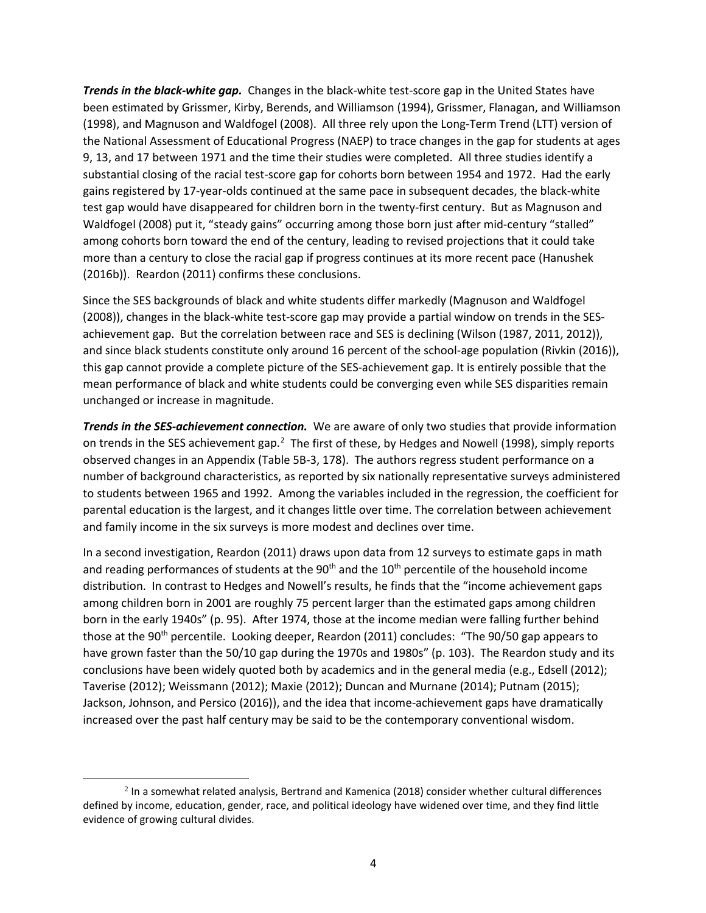*Trends in the black-white gap.* Changes in the black-white test-score gap in the United States have been estimated by Grissmer, Kirby, Berends, and Williamson (1994), Grissmer, Flanagan, and Williamson (1998), and Magnuson and Waldfogel (2008). All three rely upon the Long-Term Trend (LTT) version of the National Assessment of Educational Progress (NAEP) to trace changes in the gap for students at ages 9, 13, and 17 between 1971 and the time their studies were completed. All three studies identify a substantial closing of the racial test-score gap for cohorts born between 1954 and 1972. Had the early gains registered by 17-year-olds continued at the same pace in subsequent decades, the black-white test gap would have disappeared for children born in the twenty-first century. But as Magnuson and Waldfogel (2008) put it, "steady gains" occurring among those born just after mid-century "stalled" among cohorts born toward the end of the century, leading to revised projections that it could take more than a century to close the racial gap if progress continues at its more recent pace (Hanushek (2016b)). Reardon (2011) confirms these conclusions.

Since the SES backgrounds of black and white students differ markedly (Magnuson and Waldfogel (2008)), changes in the black-white test-score gap may provide a partial window on trends in the SESachievement gap. But the correlation between race and SES is declining (Wilson (1987, 2011, 2012)), and since black students constitute only around 16 percent of the school-age population (Rivkin (2016)), this gap cannot provide a complete picture of the SES-achievement gap. It is entirely possible that the mean performance of black and white students could be converging even while SES disparities remain unchanged or increase in magnitude.

*Trends in the SES-achievement connection.* We are aware of only two studies that provide information on trends in the SES achievement gap.<sup>[2](#page-5-0)</sup> The first of these, by Hedges and Nowell (1998), simply reports observed changes in an Appendix (Table 5B-3, 178). The authors regress student performance on a number of background characteristics, as reported by six nationally representative surveys administered to students between 1965 and 1992. Among the variables included in the regression, the coefficient for parental education is the largest, and it changes little over time. The correlation between achievement and family income in the six surveys is more modest and declines over time.

In a second investigation, Reardon (2011) draws upon data from 12 surveys to estimate gaps in math and reading performances of students at the  $90<sup>th</sup>$  and the 10<sup>th</sup> percentile of the household income distribution. In contrast to Hedges and Nowell's results, he finds that the "income achievement gaps among children born in 2001 are roughly 75 percent larger than the estimated gaps among children born in the early 1940s" (p. 95). After 1974, those at the income median were falling further behind those at the 90<sup>th</sup> percentile. Looking deeper, Reardon (2011) concludes: "The 90/50 gap appears to have grown faster than the 50/10 gap during the 1970s and 1980s" (p. 103). The Reardon study and its conclusions have been widely quoted both by academics and in the general media (e.g., Edsell (2012); Taverise (2012); Weissmann (2012); Maxie (2012); Duncan and Murnane (2014); Putnam (2015); Jackson, Johnson, and Persico (2016)), and the idea that income-achievement gaps have dramatically increased over the past half century may be said to be the contemporary conventional wisdom.

 $\overline{a}$ 

<span id="page-5-0"></span> $<sup>2</sup>$  In a somewhat related analysis, Bertrand and Kamenica (2018) consider whether cultural differences</sup> defined by income, education, gender, race, and political ideology have widened over time, and they find little evidence of growing cultural divides.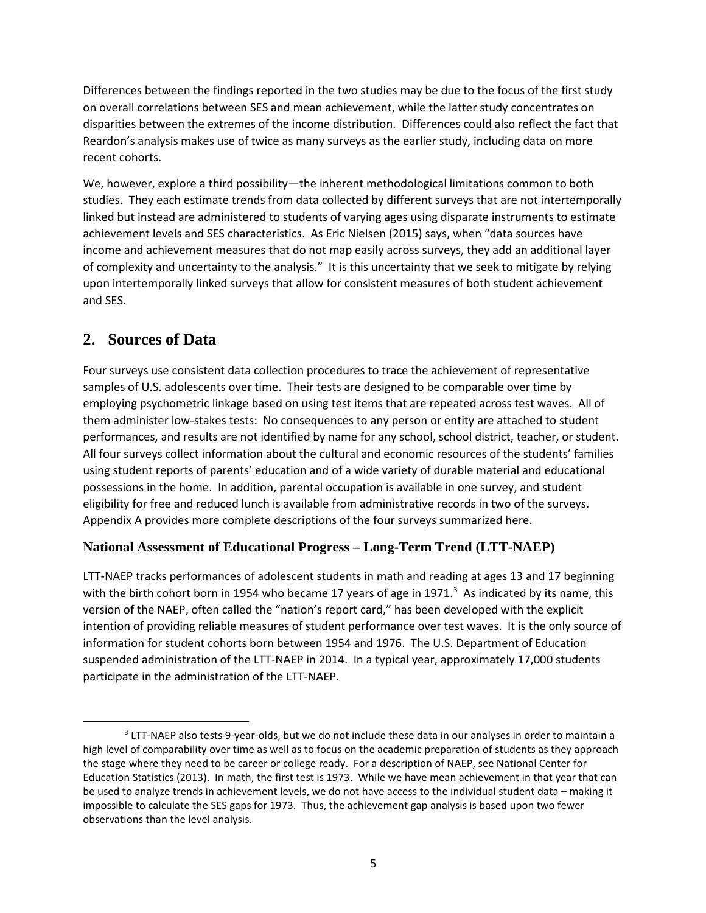Differences between the findings reported in the two studies may be due to the focus of the first study on overall correlations between SES and mean achievement, while the latter study concentrates on disparities between the extremes of the income distribution. Differences could also reflect the fact that Reardon's analysis makes use of twice as many surveys as the earlier study, including data on more recent cohorts.

We, however, explore a third possibility—the inherent methodological limitations common to both studies. They each estimate trends from data collected by different surveys that are not intertemporally linked but instead are administered to students of varying ages using disparate instruments to estimate achievement levels and SES characteristics. As Eric Nielsen (2015) says, when "data sources have income and achievement measures that do not map easily across surveys, they add an additional layer of complexity and uncertainty to the analysis." It is this uncertainty that we seek to mitigate by relying upon intertemporally linked surveys that allow for consistent measures of both student achievement and SES.

# **2. Sources of Data**

Four surveys use consistent data collection procedures to trace the achievement of representative samples of U.S. adolescents over time. Their tests are designed to be comparable over time by employing psychometric linkage based on using test items that are repeated across test waves. All of them administer low-stakes tests: No consequences to any person or entity are attached to student performances, and results are not identified by name for any school, school district, teacher, or student. All four surveys collect information about the cultural and economic resources of the students' families using student reports of parents' education and of a wide variety of durable material and educational possessions in the home. In addition, parental occupation is available in one survey, and student eligibility for free and reduced lunch is available from administrative records in two of the surveys. Appendix A provides more complete descriptions of the four surveys summarized here.

## **National Assessment of Educational Progress – Long-Term Trend (LTT-NAEP)**

LTT-NAEP tracks performances of adolescent students in math and reading at ages 13 and 17 beginning with the birth cohort born in 1954 who became 17 years of age in 1971.<sup>3</sup> As indicated by its name, this version of the NAEP, often called the "nation's report card," has been developed with the explicit intention of providing reliable measures of student performance over test waves. It is the only source of information for student cohorts born between 1954 and 1976. The U.S. Department of Education suspended administration of the LTT-NAEP in 2014. In a typical year, approximately 17,000 students participate in the administration of the LTT-NAEP.

<span id="page-6-0"></span><sup>&</sup>lt;sup>3</sup> LTT-NAEP also tests 9-year-olds, but we do not include these data in our analyses in order to maintain a high level of comparability over time as well as to focus on the academic preparation of students as they approach the stage where they need to be career or college ready. For a description of NAEP, see National Center for Education Statistics (2013). In math, the first test is 1973. While we have mean achievement in that year that can be used to analyze trends in achievement levels, we do not have access to the individual student data – making it impossible to calculate the SES gaps for 1973. Thus, the achievement gap analysis is based upon two fewer observations than the level analysis.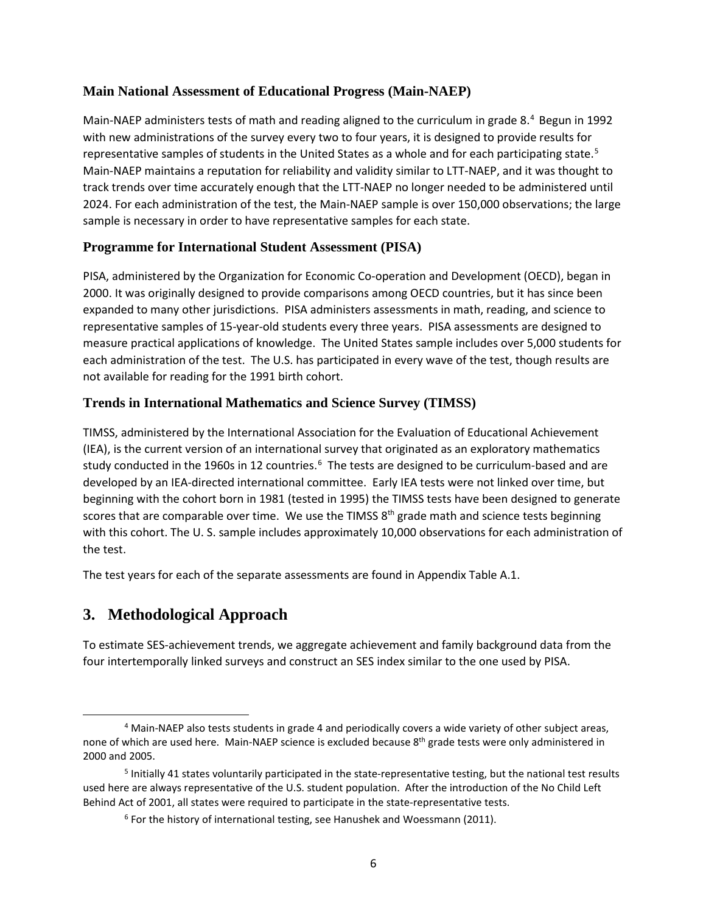### **Main National Assessment of Educational Progress (Main-NAEP)**

Main-NAEP administers tests of math and reading aligned to the curriculum in grade 8.<sup>[4](#page-7-0)</sup> Begun in 1992 with new administrations of the survey every two to four years, it is designed to provide results for representative samples of students in the United States as a whole and for each participating state.<sup>[5](#page-7-1)</sup> Main-NAEP maintains a reputation for reliability and validity similar to LTT-NAEP, and it was thought to track trends over time accurately enough that the LTT-NAEP no longer needed to be administered until 2024. For each administration of the test, the Main-NAEP sample is over 150,000 observations; the large sample is necessary in order to have representative samples for each state.

#### **Programme for International Student Assessment (PISA)**

PISA, administered by the Organization for Economic Co-operation and Development (OECD), began in 2000. It was originally designed to provide comparisons among OECD countries, but it has since been expanded to many other jurisdictions. PISA administers assessments in math, reading, and science to representative samples of 15-year-old students every three years. PISA assessments are designed to measure practical applications of knowledge. The United States sample includes over 5,000 students for each administration of the test. The U.S. has participated in every wave of the test, though results are not available for reading for the 1991 birth cohort.

#### **Trends in International Mathematics and Science Survey (TIMSS)**

TIMSS, administered by the International Association for the Evaluation of Educational Achievement (IEA), is the current version of an international survey that originated as an exploratory mathematics study conducted in the 19[6](#page-7-2)0s in 12 countries.<sup>6</sup> The tests are designed to be curriculum-based and are developed by an IEA-directed international committee. Early IEA tests were not linked over time, but beginning with the cohort born in 1981 (tested in 1995) the TIMSS tests have been designed to generate scores that are comparable over time. We use the TIMSS 8<sup>th</sup> grade math and science tests beginning with this cohort. The U. S. sample includes approximately 10,000 observations for each administration of the test.

The test years for each of the separate assessments are found in Appendix Table A.1.

# **3. Methodological Approach**

To estimate SES-achievement trends, we aggregate achievement and family background data from the four intertemporally linked surveys and construct an SES index similar to the one used by PISA.

<span id="page-7-0"></span> <sup>4</sup> Main-NAEP also tests students in grade 4 and periodically covers a wide variety of other subject areas, none of which are used here. Main-NAEP science is excluded because 8<sup>th</sup> grade tests were only administered in 2000 and 2005.

<span id="page-7-2"></span><span id="page-7-1"></span><sup>5</sup> Initially 41 states voluntarily participated in the state-representative testing, but the national test results used here are always representative of the U.S. student population. After the introduction of the No Child Left Behind Act of 2001, all states were required to participate in the state-representative tests.

 $6$  For the history of international testing, see Hanushek and Woessmann (2011).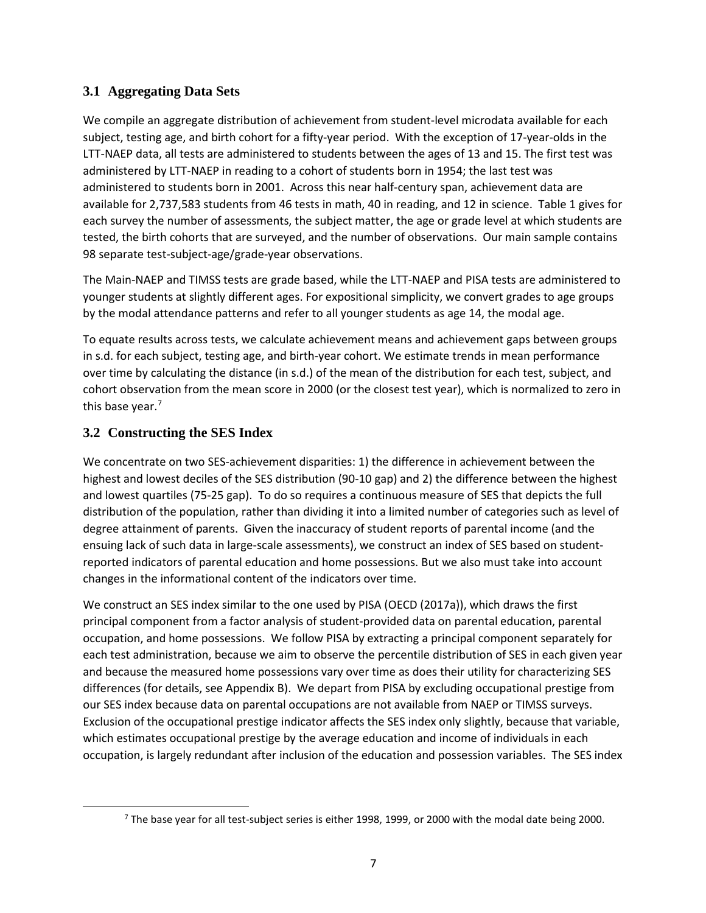# **3.1 Aggregating Data Sets**

We compile an aggregate distribution of achievement from student-level microdata available for each subject, testing age, and birth cohort for a fifty-year period. With the exception of 17-year-olds in the LTT-NAEP data, all tests are administered to students between the ages of 13 and 15. The first test was administered by LTT-NAEP in reading to a cohort of students born in 1954; the last test was administered to students born in 2001. Across this near half-century span, achievement data are available for 2,737,583 students from 46 tests in math, 40 in reading, and 12 in science. Table 1 gives for each survey the number of assessments, the subject matter, the age or grade level at which students are tested, the birth cohorts that are surveyed, and the number of observations. Our main sample contains 98 separate test-subject-age/grade-year observations.

The Main-NAEP and TIMSS tests are grade based, while the LTT-NAEP and PISA tests are administered to younger students at slightly different ages. For expositional simplicity, we convert grades to age groups by the modal attendance patterns and refer to all younger students as age 14, the modal age.

To equate results across tests, we calculate achievement means and achievement gaps between groups in s.d. for each subject, testing age, and birth-year cohort. We estimate trends in mean performance over time by calculating the distance (in s.d.) of the mean of the distribution for each test, subject, and cohort observation from the mean score in 2000 (or the closest test year), which is normalized to zero in this base year.<sup>[7](#page-8-0)</sup>

## **3.2 Constructing the SES Index**

We concentrate on two SES-achievement disparities: 1) the difference in achievement between the highest and lowest deciles of the SES distribution (90-10 gap) and 2) the difference between the highest and lowest quartiles (75-25 gap). To do so requires a continuous measure of SES that depicts the full distribution of the population, rather than dividing it into a limited number of categories such as level of degree attainment of parents. Given the inaccuracy of student reports of parental income (and the ensuing lack of such data in large-scale assessments), we construct an index of SES based on studentreported indicators of parental education and home possessions. But we also must take into account changes in the informational content of the indicators over time.

We construct an SES index similar to the one used by PISA (OECD (2017a)), which draws the first principal component from a factor analysis of student-provided data on parental education, parental occupation, and home possessions. We follow PISA by extracting a principal component separately for each test administration, because we aim to observe the percentile distribution of SES in each given year and because the measured home possessions vary over time as does their utility for characterizing SES differences (for details, see Appendix B). We depart from PISA by excluding occupational prestige from our SES index because data on parental occupations are not available from NAEP or TIMSS surveys. Exclusion of the occupational prestige indicator affects the SES index only slightly, because that variable, which estimates occupational prestige by the average education and income of individuals in each occupation, is largely redundant after inclusion of the education and possession variables. The SES index

<span id="page-8-0"></span> $7$  The base year for all test-subject series is either 1998, 1999, or 2000 with the modal date being 2000.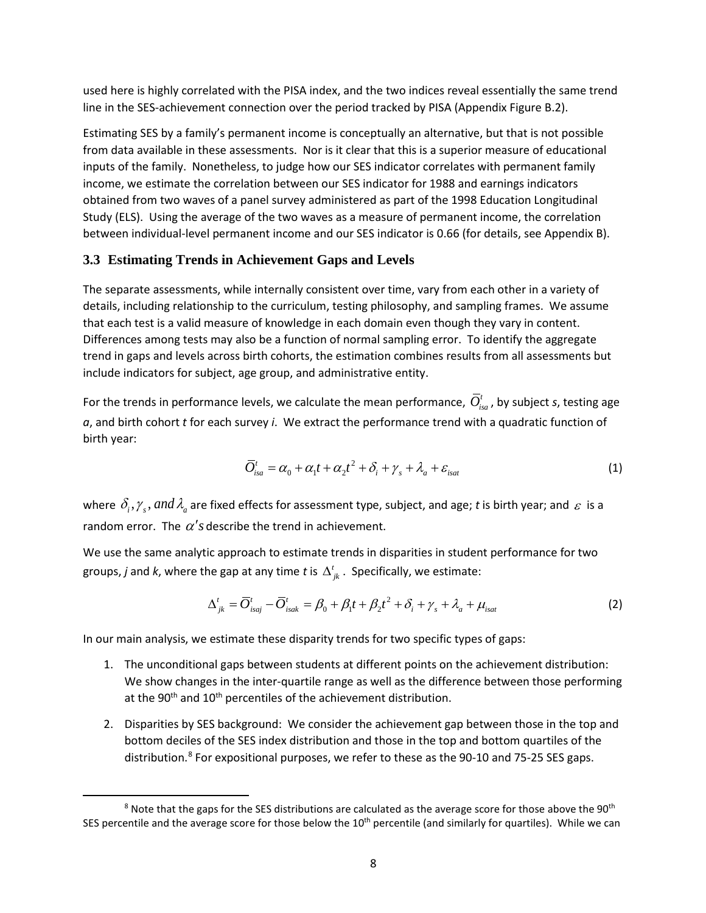used here is highly correlated with the PISA index, and the two indices reveal essentially the same trend line in the SES-achievement connection over the period tracked by PISA (Appendix Figure B.2).

Estimating SES by a family's permanent income is conceptually an alternative, but that is not possible from data available in these assessments. Nor is it clear that this is a superior measure of educational inputs of the family. Nonetheless, to judge how our SES indicator correlates with permanent family income, we estimate the correlation between our SES indicator for 1988 and earnings indicators obtained from two waves of a panel survey administered as part of the 1998 Education Longitudinal Study (ELS). Using the average of the two waves as a measure of permanent income, the correlation between individual-level permanent income and our SES indicator is 0.66 (for details, see Appendix B).

#### **3.3 Estimating Trends in Achievement Gaps and Levels**

The separate assessments, while internally consistent over time, vary from each other in a variety of details, including relationship to the curriculum, testing philosophy, and sampling frames. We assume that each test is a valid measure of knowledge in each domain even though they vary in content. Differences among tests may also be a function of normal sampling error. To identify the aggregate trend in gaps and levels across birth cohorts, the estimation combines results from all assessments but include indicators for subject, age group, and administrative entity.

For the trends in performance levels, we calculate the mean performance,  $\bar{O}^t_{isa}$ , by subject *s*, testing age *a*, and birth cohort *t* for each survey *i*. We extract the performance trend with a quadratic function of birth year:

$$
\overline{O}_{isa}^t = \alpha_0 + \alpha_1 t + \alpha_2 t^2 + \delta_i + \gamma_s + \lambda_a + \varepsilon_{isat}
$$
\n(1)

where  $\delta_i$ ,  $\gamma_s$ , and  $\lambda_a$  are fixed effects for assessment type, subject, and age; *t* is birth year; and  $\varepsilon$  is a random error. The  $\alpha'$ *s* describe the trend in achievement.

We use the same analytic approach to estimate trends in disparities in student performance for two groups, *j* and *k*, where the gap at any time *t* is  $\Delta^t_{ik}$ . Specifically, we estimate:

$$
\Delta_{jk}^{t} = \overline{O}_{lsgj}^{t} - \overline{O}_{lsgk}^{t} = \beta_0 + \beta_1 t + \beta_2 t^2 + \delta_i + \gamma_s + \lambda_a + \mu_{isat}
$$
\n(2)

In our main analysis, we estimate these disparity trends for two specific types of gaps:

- 1. The unconditional gaps between students at different points on the achievement distribution: We show changes in the inter-quartile range as well as the difference between those performing at the 90<sup>th</sup> and  $10^{th}$  percentiles of the achievement distribution.
- 2. Disparities by SES background: We consider the achievement gap between those in the top and bottom deciles of the SES index distribution and those in the top and bottom quartiles of the distribution.<sup>[8](#page-9-0)</sup> For expositional purposes, we refer to these as the 90-10 and 75-25 SES gaps.

<span id="page-9-0"></span> $8$  Note that the gaps for the SES distributions are calculated as the average score for those above the 90<sup>th</sup> SES percentile and the average score for those below the  $10<sup>th</sup>$  percentile (and similarly for quartiles). While we can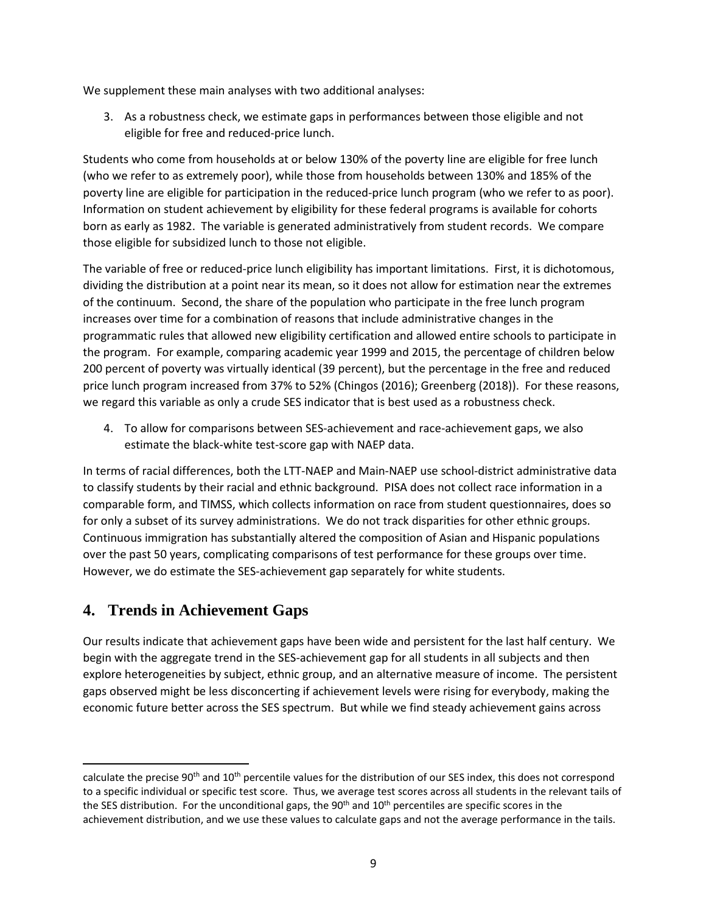We supplement these main analyses with two additional analyses:

3. As a robustness check, we estimate gaps in performances between those eligible and not eligible for free and reduced-price lunch.

Students who come from households at or below 130% of the poverty line are eligible for free lunch (who we refer to as extremely poor), while those from households between 130% and 185% of the poverty line are eligible for participation in the reduced-price lunch program (who we refer to as poor). Information on student achievement by eligibility for these federal programs is available for cohorts born as early as 1982. The variable is generated administratively from student records. We compare those eligible for subsidized lunch to those not eligible.

The variable of free or reduced-price lunch eligibility has important limitations. First, it is dichotomous, dividing the distribution at a point near its mean, so it does not allow for estimation near the extremes of the continuum. Second, the share of the population who participate in the free lunch program increases over time for a combination of reasons that include administrative changes in the programmatic rules that allowed new eligibility certification and allowed entire schools to participate in the program. For example, comparing academic year 1999 and 2015, the percentage of children below 200 percent of poverty was virtually identical (39 percent), but the percentage in the free and reduced price lunch program increased from 37% to 52% (Chingos (2016); Greenberg (2018)). For these reasons, we regard this variable as only a crude SES indicator that is best used as a robustness check.

4. To allow for comparisons between SES-achievement and race-achievement gaps, we also estimate the black-white test-score gap with NAEP data.

In terms of racial differences, both the LTT-NAEP and Main-NAEP use school-district administrative data to classify students by their racial and ethnic background. PISA does not collect race information in a comparable form, and TIMSS, which collects information on race from student questionnaires, does so for only a subset of its survey administrations. We do not track disparities for other ethnic groups. Continuous immigration has substantially altered the composition of Asian and Hispanic populations over the past 50 years, complicating comparisons of test performance for these groups over time. However, we do estimate the SES-achievement gap separately for white students.

# **4. Trends in Achievement Gaps**

l

Our results indicate that achievement gaps have been wide and persistent for the last half century. We begin with the aggregate trend in the SES-achievement gap for all students in all subjects and then explore heterogeneities by subject, ethnic group, and an alternative measure of income. The persistent gaps observed might be less disconcerting if achievement levels were rising for everybody, making the economic future better across the SES spectrum. But while we find steady achievement gains across

calculate the precise 90<sup>th</sup> and 10<sup>th</sup> percentile values for the distribution of our SES index, this does not correspond to a specific individual or specific test score. Thus, we average test scores across all students in the relevant tails of the SES distribution. For the unconditional gaps, the  $90<sup>th</sup>$  and  $10<sup>th</sup>$  percentiles are specific scores in the achievement distribution, and we use these values to calculate gaps and not the average performance in the tails.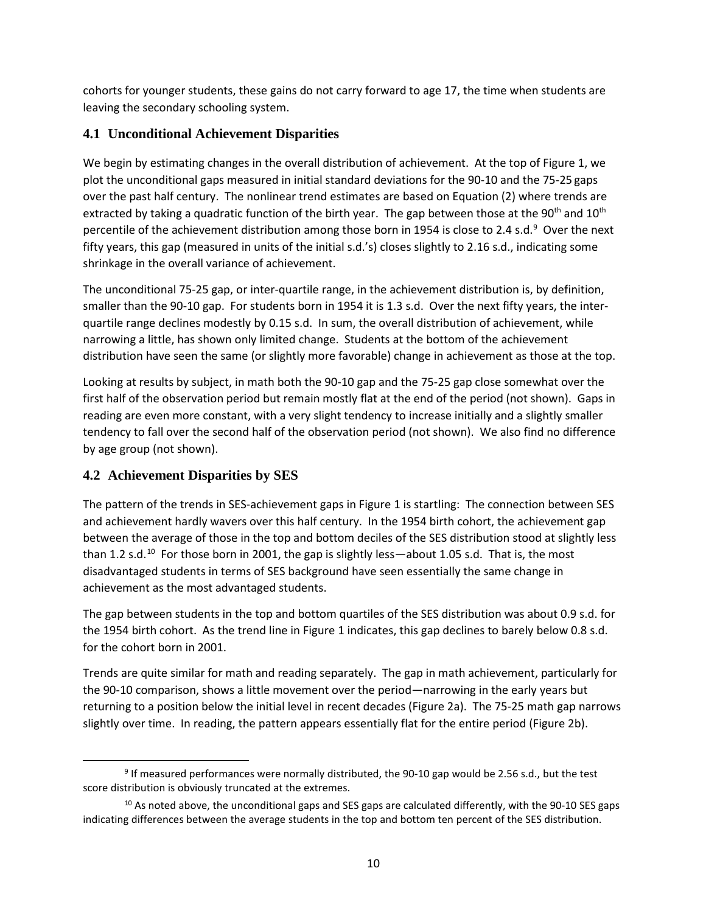cohorts for younger students, these gains do not carry forward to age 17, the time when students are leaving the secondary schooling system.

# **4.1 Unconditional Achievement Disparities**

We begin by estimating changes in the overall distribution of achievement. At the top of Figure 1, we plot the unconditional gaps measured in initial standard deviations for the 90-10 and the 75-25 gaps over the past half century. The nonlinear trend estimates are based on Equation (2) where trends are extracted by taking a quadratic function of the birth year. The gap between those at the 90<sup>th</sup> and 10<sup>th</sup> percentile of the achievement distribution among those born in 1[9](#page-11-0)54 is close to 2.4 s.d.<sup>9</sup> Over the next fifty years, this gap (measured in units of the initial s.d.'s) closes slightly to 2.16 s.d., indicating some shrinkage in the overall variance of achievement.

The unconditional 75-25 gap, or inter-quartile range, in the achievement distribution is, by definition, smaller than the 90-10 gap. For students born in 1954 it is 1.3 s.d. Over the next fifty years, the interquartile range declines modestly by 0.15 s.d. In sum, the overall distribution of achievement, while narrowing a little, has shown only limited change. Students at the bottom of the achievement distribution have seen the same (or slightly more favorable) change in achievement as those at the top.

Looking at results by subject, in math both the 90-10 gap and the 75-25 gap close somewhat over the first half of the observation period but remain mostly flat at the end of the period (not shown). Gaps in reading are even more constant, with a very slight tendency to increase initially and a slightly smaller tendency to fall over the second half of the observation period (not shown). We also find no difference by age group (not shown).

# **4.2 Achievement Disparities by SES**

The pattern of the trends in SES-achievement gaps in Figure 1 is startling: The connection between SES and achievement hardly wavers over this half century. In the 1954 birth cohort, the achievement gap between the average of those in the top and bottom deciles of the SES distribution stood at slightly less than 1.2 s.d.<sup>10</sup> For those born in 2001, the gap is slightly less—about 1.05 s.d. That is, the most disadvantaged students in terms of SES background have seen essentially the same change in achievement as the most advantaged students.

The gap between students in the top and bottom quartiles of the SES distribution was about 0.9 s.d. for the 1954 birth cohort. As the trend line in Figure 1 indicates, this gap declines to barely below 0.8 s.d. for the cohort born in 2001.

Trends are quite similar for math and reading separately. The gap in math achievement, particularly for the 90-10 comparison, shows a little movement over the period—narrowing in the early years but returning to a position below the initial level in recent decades (Figure 2a). The 75-25 math gap narrows slightly over time. In reading, the pattern appears essentially flat for the entire period (Figure 2b).

<span id="page-11-0"></span> <sup>9</sup> If measured performances were normally distributed, the 90-10 gap would be 2.56 s.d., but the test score distribution is obviously truncated at the extremes.

<span id="page-11-1"></span><sup>&</sup>lt;sup>10</sup> As noted above, the unconditional gaps and SES gaps are calculated differently, with the 90-10 SES gaps indicating differences between the average students in the top and bottom ten percent of the SES distribution.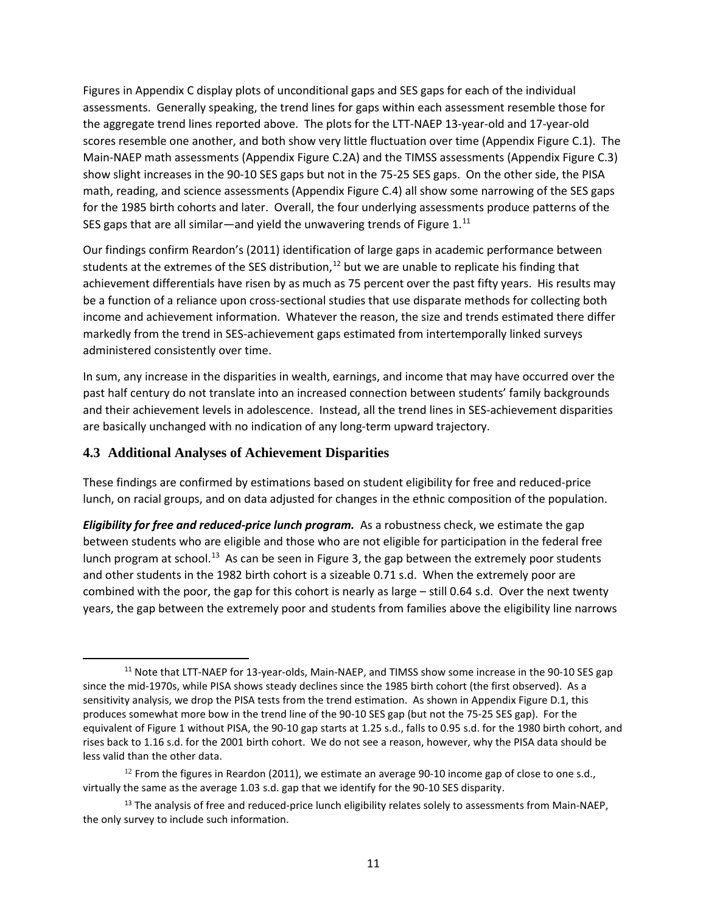Figures in Appendix C display plots of unconditional gaps and SES gaps for each of the individual assessments. Generally speaking, the trend lines for gaps within each assessment resemble those for the aggregate trend lines reported above. The plots for the LTT-NAEP 13-year-old and 17-year-old scores resemble one another, and both show very little fluctuation over time (Appendix Figure C.1). The Main-NAEP math assessments (Appendix Figure C.2A) and the TIMSS assessments (Appendix Figure C.3) show slight increases in the 90-10 SES gaps but not in the 75-25 SES gaps. On the other side, the PISA math, reading, and science assessments (Appendix Figure C.4) all show some narrowing of the SES gaps for the 1985 birth cohorts and later. Overall, the four underlying assessments produce patterns of the SES gaps that are all similar—and yield the unwavering trends of Figure 1. $^{11}$  $^{11}$  $^{11}$ 

Our findings confirm Reardon's (2011) identification of large gaps in academic performance between students at the extremes of the SES distribution,<sup>[12](#page-12-1)</sup> but we are unable to replicate his finding that achievement differentials have risen by as much as 75 percent over the past fifty years. His results may be a function of a reliance upon cross-sectional studies that use disparate methods for collecting both income and achievement information. Whatever the reason, the size and trends estimated there differ markedly from the trend in SES-achievement gaps estimated from intertemporally linked surveys administered consistently over time.

In sum, any increase in the disparities in wealth, earnings, and income that may have occurred over the past half century do not translate into an increased connection between students' family backgrounds and their achievement levels in adolescence. Instead, all the trend lines in SES-achievement disparities are basically unchanged with no indication of any long-term upward trajectory.

# **4.3 Additional Analyses of Achievement Disparities**

These findings are confirmed by estimations based on student eligibility for free and reduced-price lunch, on racial groups, and on data adjusted for changes in the ethnic composition of the population.

*Eligibility for free and reduced-price lunch program.* As a robustness check, we estimate the gap between students who are eligible and those who are not eligible for participation in the federal free lunch program at school.<sup>13</sup> As can be seen in Figure 3, the gap between the extremely poor students and other students in the 1982 birth cohort is a sizeable 0.71 s.d. When the extremely poor are combined with the poor, the gap for this cohort is nearly as large – still 0.64 s.d. Over the next twenty years, the gap between the extremely poor and students from families above the eligibility line narrows

<span id="page-12-0"></span><sup>&</sup>lt;sup>11</sup> Note that LTT-NAEP for 13-year-olds, Main-NAEP, and TIMSS show some increase in the 90-10 SES gap since the mid-1970s, while PISA shows steady declines since the 1985 birth cohort (the first observed). As a sensitivity analysis, we drop the PISA tests from the trend estimation. As shown in Appendix Figure D.1, this produces somewhat more bow in the trend line of the 90-10 SES gap (but not the 75-25 SES gap). For the equivalent of Figure 1 without PISA, the 90-10 gap starts at 1.25 s.d., falls to 0.95 s.d. for the 1980 birth cohort, and rises back to 1.16 s.d. for the 2001 birth cohort. We do not see a reason, however, why the PISA data should be less valid than the other data.

<span id="page-12-1"></span> $12$  From the figures in Reardon (2011), we estimate an average 90-10 income gap of close to one s.d., virtually the same as the average 1.03 s.d. gap that we identify for the 90-10 SES disparity.

<span id="page-12-2"></span><sup>&</sup>lt;sup>13</sup> The analysis of free and reduced-price lunch eligibility relates solely to assessments from Main-NAEP, the only survey to include such information.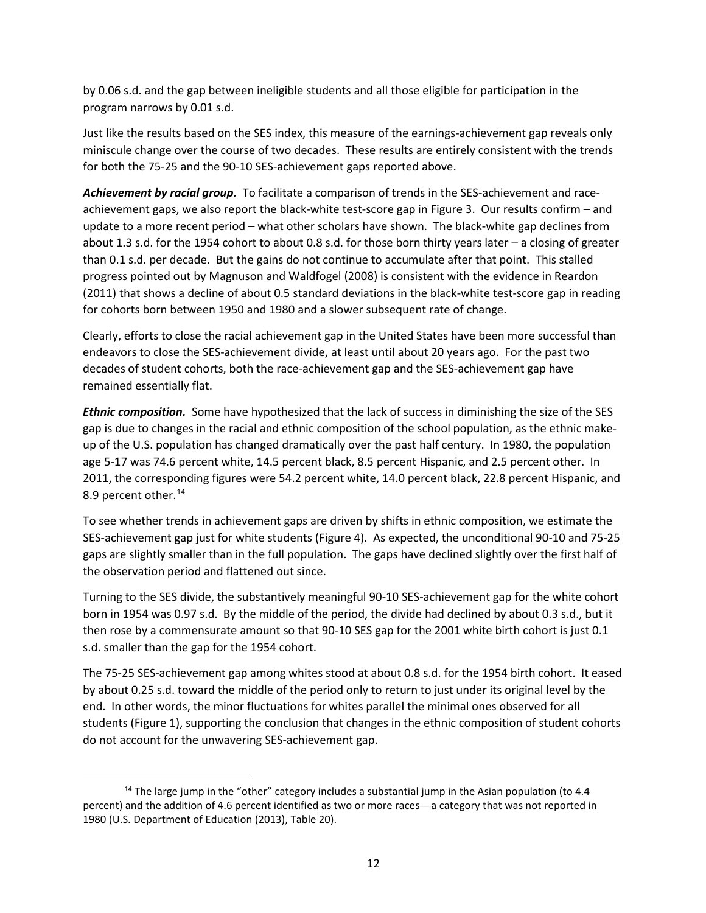by 0.06 s.d. and the gap between ineligible students and all those eligible for participation in the program narrows by 0.01 s.d.

Just like the results based on the SES index, this measure of the earnings-achievement gap reveals only miniscule change over the course of two decades. These results are entirely consistent with the trends for both the 75-25 and the 90-10 SES-achievement gaps reported above.

Achievement by racial group. To facilitate a comparison of trends in the SES-achievement and raceachievement gaps, we also report the black-white test-score gap in Figure 3. Our results confirm – and update to a more recent period – what other scholars have shown. The black-white gap declines from about 1.3 s.d. for the 1954 cohort to about 0.8 s.d. for those born thirty years later – a closing of greater than 0.1 s.d. per decade. But the gains do not continue to accumulate after that point. This stalled progress pointed out by Magnuson and Waldfogel (2008) is consistent with the evidence in Reardon (2011) that shows a decline of about 0.5 standard deviations in the black-white test-score gap in reading for cohorts born between 1950 and 1980 and a slower subsequent rate of change.

Clearly, efforts to close the racial achievement gap in the United States have been more successful than endeavors to close the SES-achievement divide, at least until about 20 years ago. For the past two decades of student cohorts, both the race-achievement gap and the SES-achievement gap have remained essentially flat.

*Ethnic composition.* Some have hypothesized that the lack of success in diminishing the size of the SES gap is due to changes in the racial and ethnic composition of the school population, as the ethnic makeup of the U.S. population has changed dramatically over the past half century. In 1980, the population age 5-17 was 74.6 percent white, 14.5 percent black, 8.5 percent Hispanic, and 2.5 percent other. In 2011, the corresponding figures were 54.2 percent white, 14.0 percent black, 22.8 percent Hispanic, and 8.9 percent other.<sup>[14](#page-13-0)</sup>

To see whether trends in achievement gaps are driven by shifts in ethnic composition, we estimate the SES-achievement gap just for white students (Figure 4). As expected, the unconditional 90-10 and 75-25 gaps are slightly smaller than in the full population. The gaps have declined slightly over the first half of the observation period and flattened out since.

Turning to the SES divide, the substantively meaningful 90-10 SES-achievement gap for the white cohort born in 1954 was 0.97 s.d. By the middle of the period, the divide had declined by about 0.3 s.d., but it then rose by a commensurate amount so that 90-10 SES gap for the 2001 white birth cohort is just 0.1 s.d. smaller than the gap for the 1954 cohort.

The 75-25 SES-achievement gap among whites stood at about 0.8 s.d. for the 1954 birth cohort. It eased by about 0.25 s.d. toward the middle of the period only to return to just under its original level by the end. In other words, the minor fluctuations for whites parallel the minimal ones observed for all students (Figure 1), supporting the conclusion that changes in the ethnic composition of student cohorts do not account for the unwavering SES-achievement gap.

<span id="page-13-0"></span><sup>&</sup>lt;sup>14</sup> The large jump in the "other" category includes a substantial jump in the Asian population (to 4.4 percent) and the addition of 4.6 percent identified as two or more races—a category that was not reported in 1980 (U.S. Department of Education (2013), Table 20).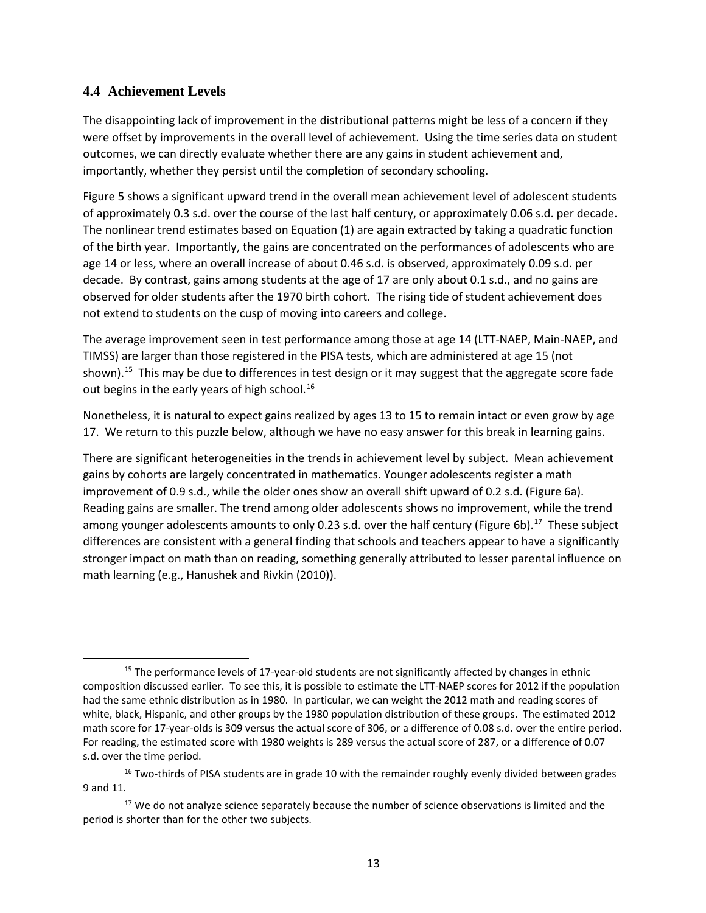#### **4.4 Achievement Levels**

The disappointing lack of improvement in the distributional patterns might be less of a concern if they were offset by improvements in the overall level of achievement. Using the time series data on student outcomes, we can directly evaluate whether there are any gains in student achievement and, importantly, whether they persist until the completion of secondary schooling.

Figure 5 shows a significant upward trend in the overall mean achievement level of adolescent students of approximately 0.3 s.d. over the course of the last half century, or approximately 0.06 s.d. per decade. The nonlinear trend estimates based on Equation (1) are again extracted by taking a quadratic function of the birth year. Importantly, the gains are concentrated on the performances of adolescents who are age 14 or less, where an overall increase of about 0.46 s.d. is observed, approximately 0.09 s.d. per decade. By contrast, gains among students at the age of 17 are only about 0.1 s.d., and no gains are observed for older students after the 1970 birth cohort. The rising tide of student achievement does not extend to students on the cusp of moving into careers and college.

The average improvement seen in test performance among those at age 14 (LTT-NAEP, Main-NAEP, and TIMSS) are larger than those registered in the PISA tests, which are administered at age 15 (not shown).<sup>[15](#page-14-0)</sup> This may be due to differences in test design or it may suggest that the aggregate score fade out begins in the early years of high school.<sup>[16](#page-14-1)</sup>

Nonetheless, it is natural to expect gains realized by ages 13 to 15 to remain intact or even grow by age 17. We return to this puzzle below, although we have no easy answer for this break in learning gains.

There are significant heterogeneities in the trends in achievement level by subject. Mean achievement gains by cohorts are largely concentrated in mathematics. Younger adolescents register a math improvement of 0.9 s.d., while the older ones show an overall shift upward of 0.2 s.d. (Figure 6a). Reading gains are smaller. The trend among older adolescents shows no improvement, while the trend among younger adolescents amounts to only 0.23 s.d. over the half century (Figure 6b).<sup>17</sup> These subject differences are consistent with a general finding that schools and teachers appear to have a significantly stronger impact on math than on reading, something generally attributed to lesser parental influence on math learning (e.g., Hanushek and Rivkin (2010)).

<span id="page-14-0"></span><sup>&</sup>lt;sup>15</sup> The performance levels of 17-year-old students are not significantly affected by changes in ethnic composition discussed earlier. To see this, it is possible to estimate the LTT-NAEP scores for 2012 if the population had the same ethnic distribution as in 1980. In particular, we can weight the 2012 math and reading scores of white, black, Hispanic, and other groups by the 1980 population distribution of these groups. The estimated 2012 math score for 17-year-olds is 309 versus the actual score of 306, or a difference of 0.08 s.d. over the entire period. For reading, the estimated score with 1980 weights is 289 versus the actual score of 287, or a difference of 0.07 s.d. over the time period.

<span id="page-14-1"></span> $16$  Two-thirds of PISA students are in grade 10 with the remainder roughly evenly divided between grades 9 and 11.

<span id="page-14-2"></span><sup>&</sup>lt;sup>17</sup> We do not analyze science separately because the number of science observations is limited and the period is shorter than for the other two subjects.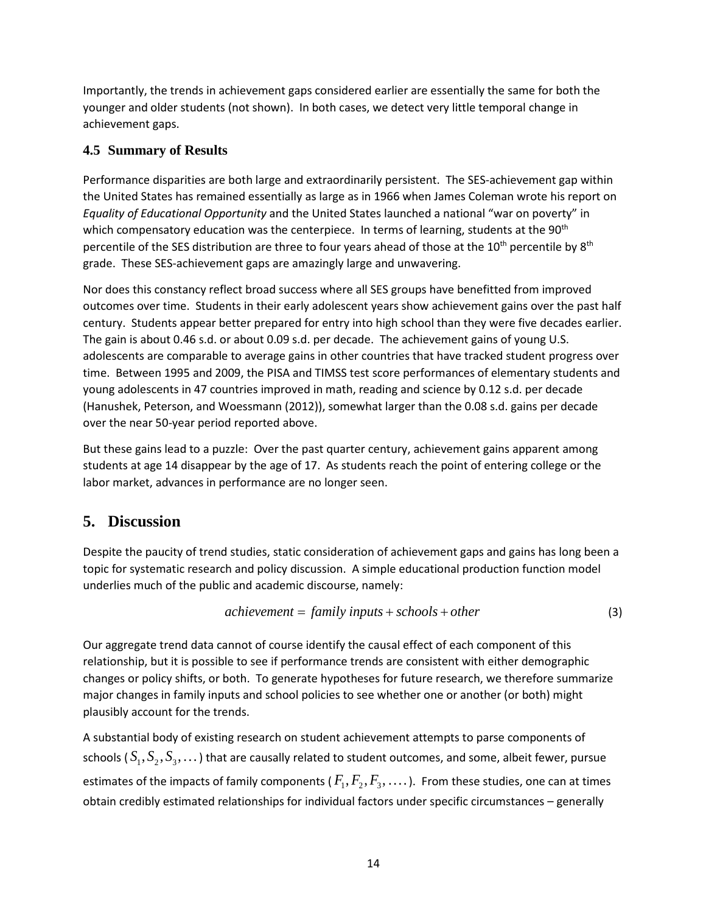Importantly, the trends in achievement gaps considered earlier are essentially the same for both the younger and older students (not shown). In both cases, we detect very little temporal change in achievement gaps.

### **4.5 Summary of Results**

Performance disparities are both large and extraordinarily persistent. The SES-achievement gap within the United States has remained essentially as large as in 1966 when James Coleman wrote his report on *Equality of Educational Opportunity* and the United States launched a national "war on poverty" in which compensatory education was the centerpiece. In terms of learning, students at the 90<sup>th</sup> percentile of the SES distribution are three to four years ahead of those at the 10<sup>th</sup> percentile by 8<sup>th</sup> grade. These SES-achievement gaps are amazingly large and unwavering.

Nor does this constancy reflect broad success where all SES groups have benefitted from improved outcomes over time. Students in their early adolescent years show achievement gains over the past half century. Students appear better prepared for entry into high school than they were five decades earlier. The gain is about 0.46 s.d. or about 0.09 s.d. per decade. The achievement gains of young U.S. adolescents are comparable to average gains in other countries that have tracked student progress over time. Between 1995 and 2009, the PISA and TIMSS test score performances of elementary students and young adolescents in 47 countries improved in math, reading and science by 0.12 s.d. per decade (Hanushek, Peterson, and Woessmann (2012)), somewhat larger than the 0.08 s.d. gains per decade over the near 50-year period reported above.

But these gains lead to a puzzle: Over the past quarter century, achievement gains apparent among students at age 14 disappear by the age of 17. As students reach the point of entering college or the labor market, advances in performance are no longer seen.

# **5. Discussion**

Despite the paucity of trend studies, static consideration of achievement gaps and gains has long been a topic for systematic research and policy discussion. A simple educational production function model underlies much of the public and academic discourse, namely:

$$
achievement = family inputs + schools + other
$$
\n(3)

Our aggregate trend data cannot of course identify the causal effect of each component of this relationship, but it is possible to see if performance trends are consistent with either demographic changes or policy shifts, or both. To generate hypotheses for future research, we therefore summarize major changes in family inputs and school policies to see whether one or another (or both) might plausibly account for the trends.

A substantial body of existing research on student achievement attempts to parse components of schools  $(S_1, S_2, S_3, ...)$  that are causally related to student outcomes, and some, albeit fewer, pursue estimates of the impacts of family components ( $F_1, F_2, F_3, \ldots$ ). From these studies, one can at times obtain credibly estimated relationships for individual factors under specific circumstances – generally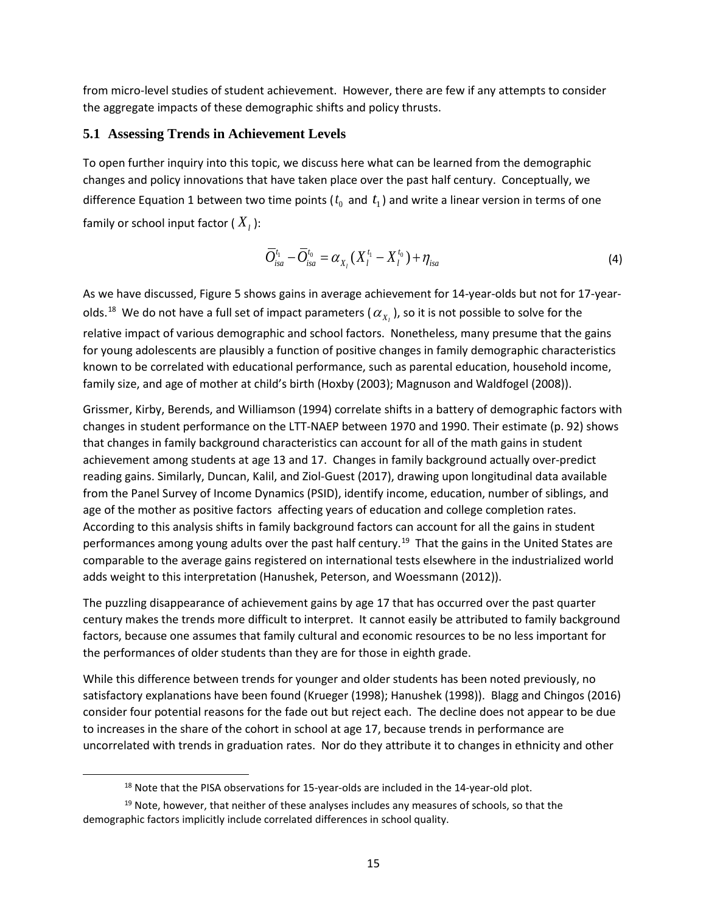from micro-level studies of student achievement. However, there are few if any attempts to consider the aggregate impacts of these demographic shifts and policy thrusts.

#### **5.1 Assessing Trends in Achievement Levels**

To open further inquiry into this topic, we discuss here what can be learned from the demographic changes and policy innovations that have taken place over the past half century. Conceptually, we difference Equation 1 between two time points ( $t_0^+$  and  $t_1^+$ ) and write a linear version in terms of one family or school input factor  $(X_i)$ :

$$
\overline{O}_{isa}^{t_1} - \overline{O}_{isa}^{t_0} = \alpha_{X_l} (X_l^{t_1} - X_l^{t_0}) + \eta_{isa}
$$
\n(4)

As we have discussed, Figure 5 shows gains in average achievement for 14-year-olds but not for 17-yearolds.<sup>18</sup> We do not have a full set of impact parameters ( $\alpha_{X_i}$ ), so it is not possible to solve for the relative impact of various demographic and school factors. Nonetheless, many presume that the gains for young adolescents are plausibly a function of positive changes in family demographic characteristics known to be correlated with educational performance, such as parental education, household income, family size, and age of mother at child's birth (Hoxby (2003); Magnuson and Waldfogel (2008)).

Grissmer, Kirby, Berends, and Williamson (1994) correlate shifts in a battery of demographic factors with changes in student performance on the LTT-NAEP between 1970 and 1990. Their estimate (p. 92) shows that changes in family background characteristics can account for all of the math gains in student achievement among students at age 13 and 17. Changes in family background actually over-predict reading gains. Similarly, Duncan, Kalil, and Ziol-Guest (2017), drawing upon longitudinal data available from the Panel Survey of Income Dynamics (PSID), identify income, education, number of siblings, and age of the mother as positive factors affecting years of education and college completion rates. According to this analysis shifts in family background factors can account for all the gains in student performances among young adults over the past half century.<sup>[19](#page-16-1)</sup> That the gains in the United States are comparable to the average gains registered on international tests elsewhere in the industrialized world adds weight to this interpretation (Hanushek, Peterson, and Woessmann (2012)).

The puzzling disappearance of achievement gains by age 17 that has occurred over the past quarter century makes the trends more difficult to interpret. It cannot easily be attributed to family background factors, because one assumes that family cultural and economic resources to be no less important for the performances of older students than they are for those in eighth grade.

While this difference between trends for younger and older students has been noted previously, no satisfactory explanations have been found (Krueger (1998); Hanushek (1998)). Blagg and Chingos (2016) consider four potential reasons for the fade out but reject each. The decline does not appear to be due to increases in the share of the cohort in school at age 17, because trends in performance are uncorrelated with trends in graduation rates. Nor do they attribute it to changes in ethnicity and other

 $18$  Note that the PISA observations for 15-year-olds are included in the 14-year-old plot.

<span id="page-16-1"></span><span id="page-16-0"></span> $19$  Note, however, that neither of these analyses includes any measures of schools, so that the demographic factors implicitly include correlated differences in school quality.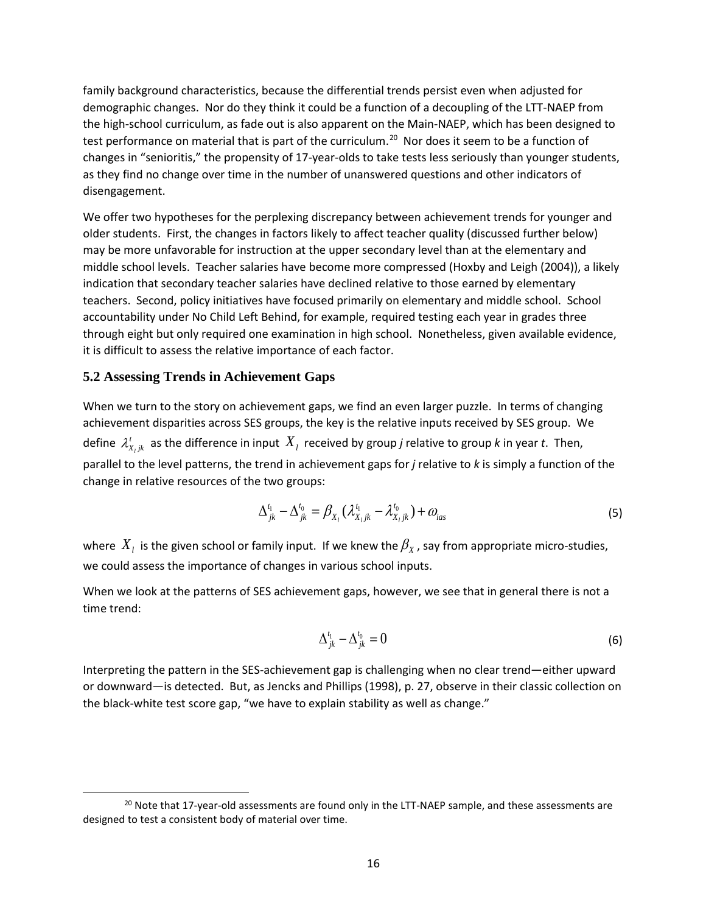family background characteristics, because the differential trends persist even when adjusted for demographic changes. Nor do they think it could be a function of a decoupling of the LTT-NAEP from the high-school curriculum, as fade out is also apparent on the Main-NAEP, which has been designed to test performance on material that is part of the curriculum.<sup>[20](#page-17-0)</sup> Nor does it seem to be a function of changes in "senioritis," the propensity of 17-year-olds to take tests less seriously than younger students, as they find no change over time in the number of unanswered questions and other indicators of disengagement.

We offer two hypotheses for the perplexing discrepancy between achievement trends for younger and older students. First, the changes in factors likely to affect teacher quality (discussed further below) may be more unfavorable for instruction at the upper secondary level than at the elementary and middle school levels. Teacher salaries have become more compressed (Hoxby and Leigh (2004)), a likely indication that secondary teacher salaries have declined relative to those earned by elementary teachers. Second, policy initiatives have focused primarily on elementary and middle school. School accountability under No Child Left Behind, for example, required testing each year in grades three through eight but only required one examination in high school. Nonetheless, given available evidence, it is difficult to assess the relative importance of each factor.

#### **5.2 Assessing Trends in Achievement Gaps**

When we turn to the story on achievement gaps, we find an even larger puzzle. In terms of changing achievement disparities across SES groups, the key is the relative inputs received by SES group. We define  $\mathcal{X}_{X_ijk}'$  as the difference in input  $X_i$  received by group *j* relative to group *k* in year *t*. Then, parallel to the level patterns, the trend in achievement gaps for *j* relative to *k* is simply a function of the change in relative resources of the two groups:

$$
\Delta_{jk}^{t_1} - \Delta_{jk}^{t_0} = \beta_{X_i} (\lambda_{X_i jk}^{t_1} - \lambda_{X_i jk}^{t_0}) + \omega_{ias}
$$
\n(5)

where  $X_i$  is the given school or family input. If we knew the  $\beta_X$ , say from appropriate micro-studies, we could assess the importance of changes in various school inputs.

When we look at the patterns of SES achievement gaps, however, we see that in general there is not a time trend:

$$
\Delta_{jk}^{t_1} - \Delta_{jk}^{t_0} = 0 \tag{6}
$$

Interpreting the pattern in the SES-achievement gap is challenging when no clear trend—either upward or downward—is detected. But, as Jencks and Phillips (1998), p. 27, observe in their classic collection on the black-white test score gap, "we have to explain stability as well as change."

<span id="page-17-0"></span><sup>&</sup>lt;sup>20</sup> Note that 17-year-old assessments are found only in the LTT-NAEP sample, and these assessments are designed to test a consistent body of material over time.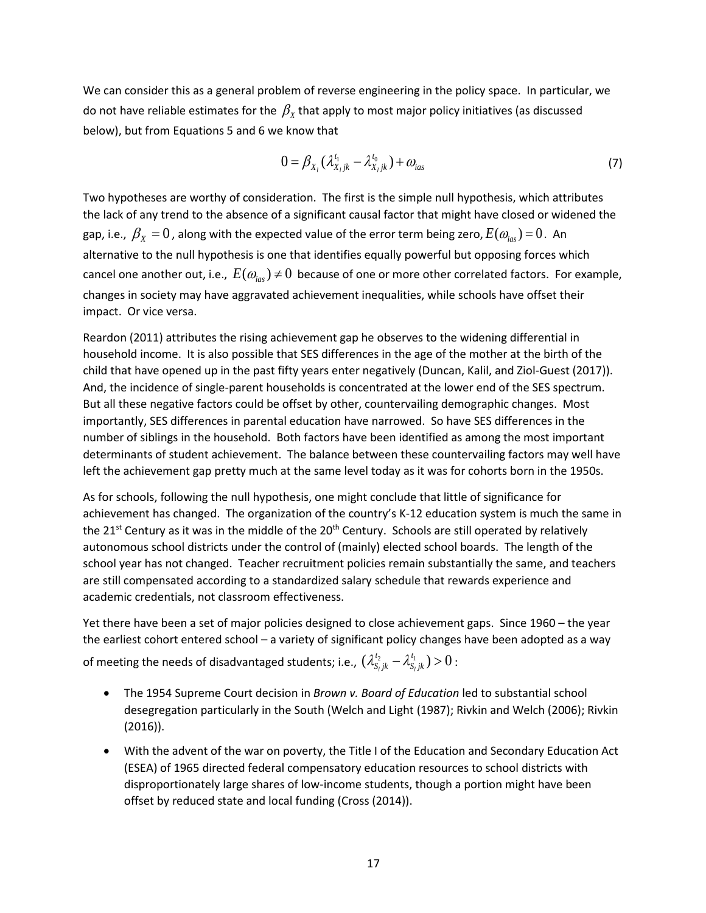We can consider this as a general problem of reverse engineering in the policy space. In particular, we do not have reliable estimates for the  $\beta_x$  that apply to most major policy initiatives (as discussed below), but from Equations 5 and 6 we know that

$$
0 = \beta_{X_i} (\lambda_{X_i jk}^{t_1} - \lambda_{X_i jk}^{t_0}) + \omega_{ias}
$$
 (7)

Two hypotheses are worthy of consideration. The first is the simple null hypothesis, which attributes the lack of any trend to the absence of a significant causal factor that might have closed or widened the gap, i.e.,  $\beta_x = 0$ , along with the expected value of the error term being zero,  $E(\omega_{i\alpha}) = 0$ . An alternative to the null hypothesis is one that identifies equally powerful but opposing forces which cancel one another out, i.e.,  $E(\omega_{i\alpha s}) \neq 0$  because of one or more other correlated factors. For example, changes in society may have aggravated achievement inequalities, while schools have offset their impact. Or vice versa.

Reardon (2011) attributes the rising achievement gap he observes to the widening differential in household income. It is also possible that SES differences in the age of the mother at the birth of the child that have opened up in the past fifty years enter negatively (Duncan, Kalil, and Ziol-Guest (2017)). And, the incidence of single-parent households is concentrated at the lower end of the SES spectrum. But all these negative factors could be offset by other, countervailing demographic changes. Most importantly, SES differences in parental education have narrowed. So have SES differences in the number of siblings in the household. Both factors have been identified as among the most important determinants of student achievement. The balance between these countervailing factors may well have left the achievement gap pretty much at the same level today as it was for cohorts born in the 1950s.

As for schools, following the null hypothesis, one might conclude that little of significance for achievement has changed. The organization of the country's K-12 education system is much the same in the 21<sup>st</sup> Century as it was in the middle of the 20<sup>th</sup> Century. Schools are still operated by relatively autonomous school districts under the control of (mainly) elected school boards. The length of the school year has not changed. Teacher recruitment policies remain substantially the same, and teachers are still compensated according to a standardized salary schedule that rewards experience and academic credentials, not classroom effectiveness.

Yet there have been a set of major policies designed to close achievement gaps. Since 1960 – the year the earliest cohort entered school – a variety of significant policy changes have been adopted as a way of meeting the needs of disadvantaged students; i.e.,  $(\lambda^{t_2}_{S_ljk}-\lambda^{t_1}_{S_ljk})$   $>$   $0$  :

- The 1954 Supreme Court decision in *Brown v. Board of Education* led to substantial school desegregation particularly in the South (Welch and Light (1987); Rivkin and Welch (2006); Rivkin (2016)).
- With the advent of the war on poverty, the Title I of the Education and Secondary Education Act (ESEA) of 1965 directed federal compensatory education resources to school districts with disproportionately large shares of low-income students, though a portion might have been offset by reduced state and local funding (Cross (2014)).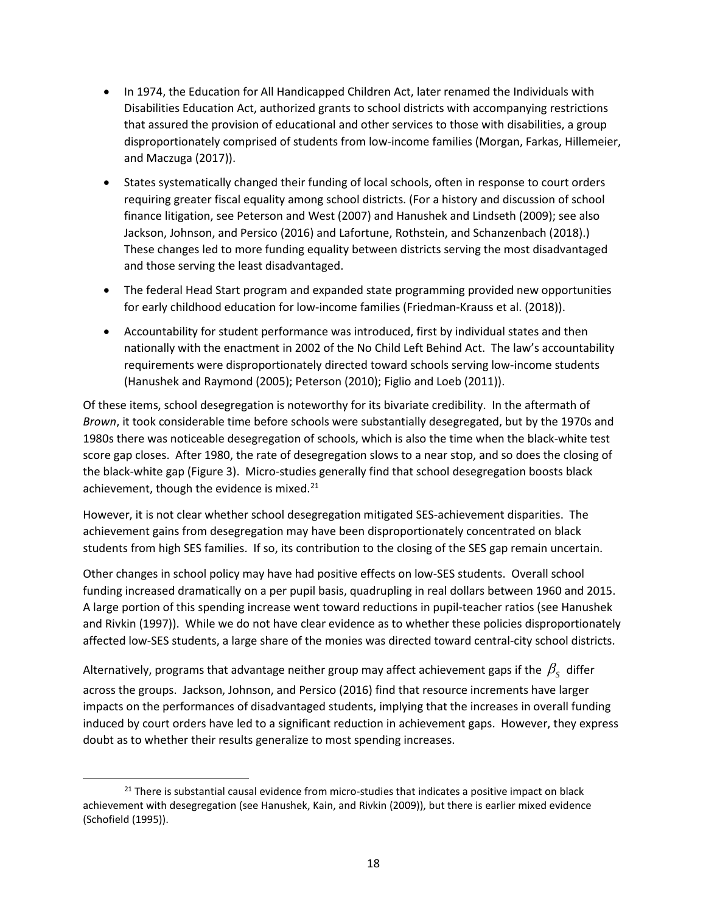- In 1974, the Education for All Handicapped Children Act, later renamed the Individuals with Disabilities Education Act, authorized grants to school districts with accompanying restrictions that assured the provision of educational and other services to those with disabilities, a group disproportionately comprised of students from low-income families (Morgan, Farkas, Hillemeier, and Maczuga (2017)).
- States systematically changed their funding of local schools, often in response to court orders requiring greater fiscal equality among school districts. (For a history and discussion of school finance litigation, see Peterson and West (2007) and Hanushek and Lindseth (2009); see also Jackson, Johnson, and Persico (2016) and Lafortune, Rothstein, and Schanzenbach (2018).) These changes led to more funding equality between districts serving the most disadvantaged and those serving the least disadvantaged.
- The federal Head Start program and expanded state programming provided new opportunities for early childhood education for low-income families (Friedman-Krauss et al. (2018)).
- Accountability for student performance was introduced, first by individual states and then nationally with the enactment in 2002 of the No Child Left Behind Act. The law's accountability requirements were disproportionately directed toward schools serving low-income students (Hanushek and Raymond (2005); Peterson (2010); Figlio and Loeb (2011)).

Of these items, school desegregation is noteworthy for its bivariate credibility. In the aftermath of *Brown*, it took considerable time before schools were substantially desegregated, but by the 1970s and 1980s there was noticeable desegregation of schools, which is also the time when the black-white test score gap closes. After 1980, the rate of desegregation slows to a near stop, and so does the closing of the black-white gap (Figure 3). Micro-studies generally find that school desegregation boosts black achievement, though the evidence is mixed.<sup>[21](#page-19-0)</sup>

However, it is not clear whether school desegregation mitigated SES-achievement disparities. The achievement gains from desegregation may have been disproportionately concentrated on black students from high SES families. If so, its contribution to the closing of the SES gap remain uncertain.

Other changes in school policy may have had positive effects on low-SES students. Overall school funding increased dramatically on a per pupil basis, quadrupling in real dollars between 1960 and 2015. A large portion of this spending increase went toward reductions in pupil-teacher ratios (see Hanushek and Rivkin (1997)). While we do not have clear evidence as to whether these policies disproportionately affected low-SES students, a large share of the monies was directed toward central-city school districts.

Alternatively, programs that advantage neither group may affect achievement gaps if the  $\beta_{\rm s}$  differ across the groups. Jackson, Johnson, and Persico (2016) find that resource increments have larger impacts on the performances of disadvantaged students, implying that the increases in overall funding induced by court orders have led to a significant reduction in achievement gaps. However, they express doubt as to whether their results generalize to most spending increases.

<span id="page-19-0"></span> $21$  There is substantial causal evidence from micro-studies that indicates a positive impact on black achievement with desegregation (see Hanushek, Kain, and Rivkin (2009)), but there is earlier mixed evidence (Schofield (1995)).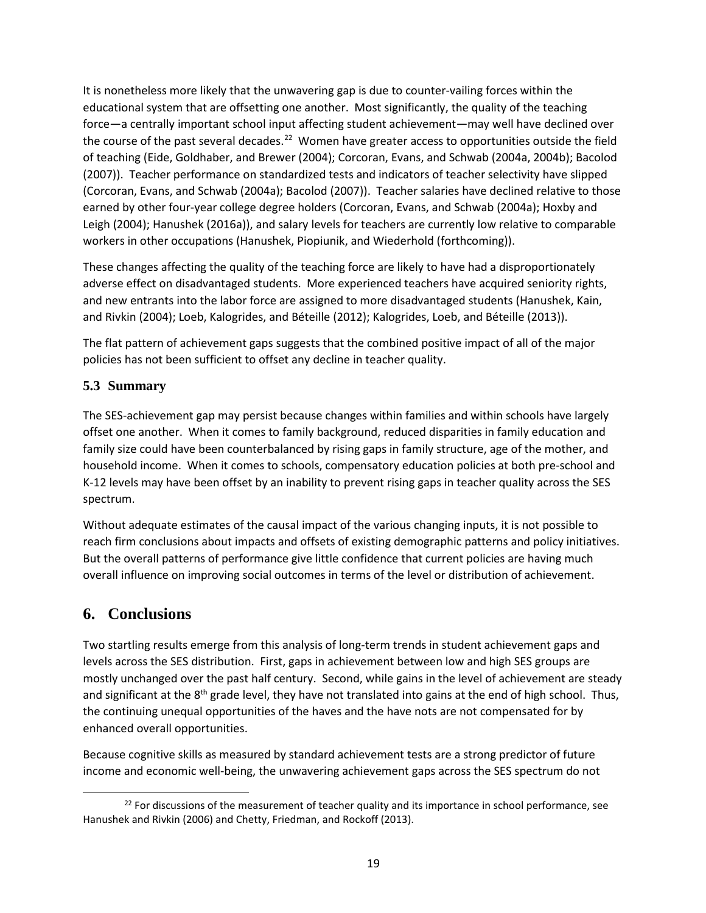It is nonetheless more likely that the unwavering gap is due to counter-vailing forces within the educational system that are offsetting one another. Most significantly, the quality of the teaching force—a centrally important school input affecting student achievement—may well have declined over the course of the past several decades.<sup>22</sup> Women have greater access to opportunities outside the field of teaching (Eide, Goldhaber, and Brewer (2004); Corcoran, Evans, and Schwab (2004a, 2004b); Bacolod (2007)). Teacher performance on standardized tests and indicators of teacher selectivity have slipped (Corcoran, Evans, and Schwab (2004a); Bacolod (2007)). Teacher salaries have declined relative to those earned by other four-year college degree holders (Corcoran, Evans, and Schwab (2004a); Hoxby and Leigh (2004); Hanushek (2016a)), and salary levels for teachers are currently low relative to comparable workers in other occupations (Hanushek, Piopiunik, and Wiederhold (forthcoming)).

These changes affecting the quality of the teaching force are likely to have had a disproportionately adverse effect on disadvantaged students. More experienced teachers have acquired seniority rights, and new entrants into the labor force are assigned to more disadvantaged students (Hanushek, Kain, and Rivkin (2004); Loeb, Kalogrides, and Béteille (2012); Kalogrides, Loeb, and Béteille (2013)).

The flat pattern of achievement gaps suggests that the combined positive impact of all of the major policies has not been sufficient to offset any decline in teacher quality.

## **5.3 Summary**

The SES-achievement gap may persist because changes within families and within schools have largely offset one another. When it comes to family background, reduced disparities in family education and family size could have been counterbalanced by rising gaps in family structure, age of the mother, and household income. When it comes to schools, compensatory education policies at both pre-school and K-12 levels may have been offset by an inability to prevent rising gaps in teacher quality across the SES spectrum.

Without adequate estimates of the causal impact of the various changing inputs, it is not possible to reach firm conclusions about impacts and offsets of existing demographic patterns and policy initiatives. But the overall patterns of performance give little confidence that current policies are having much overall influence on improving social outcomes in terms of the level or distribution of achievement.

# **6. Conclusions**

Two startling results emerge from this analysis of long-term trends in student achievement gaps and levels across the SES distribution. First, gaps in achievement between low and high SES groups are mostly unchanged over the past half century. Second, while gains in the level of achievement are steady and significant at the 8<sup>th</sup> grade level, they have not translated into gains at the end of high school. Thus, the continuing unequal opportunities of the haves and the have nots are not compensated for by enhanced overall opportunities.

Because cognitive skills as measured by standard achievement tests are a strong predictor of future income and economic well-being, the unwavering achievement gaps across the SES spectrum do not

<span id="page-20-0"></span><sup>&</sup>lt;sup>22</sup> For discussions of the measurement of teacher quality and its importance in school performance, see Hanushek and Rivkin (2006) and Chetty, Friedman, and Rockoff (2013).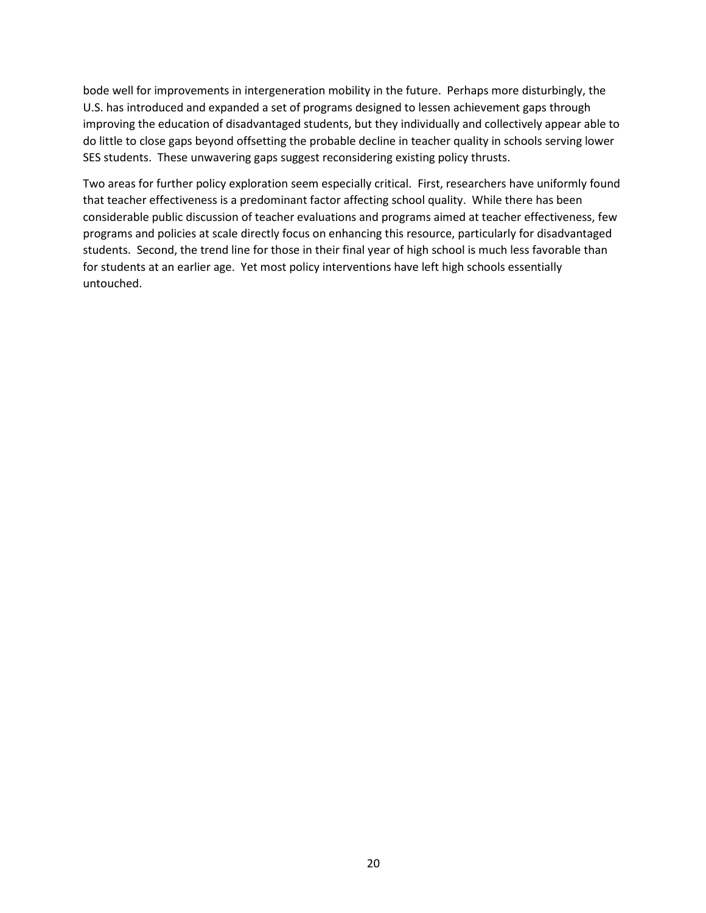bode well for improvements in intergeneration mobility in the future. Perhaps more disturbingly, the U.S. has introduced and expanded a set of programs designed to lessen achievement gaps through improving the education of disadvantaged students, but they individually and collectively appear able to do little to close gaps beyond offsetting the probable decline in teacher quality in schools serving lower SES students. These unwavering gaps suggest reconsidering existing policy thrusts.

Two areas for further policy exploration seem especially critical. First, researchers have uniformly found that teacher effectiveness is a predominant factor affecting school quality. While there has been considerable public discussion of teacher evaluations and programs aimed at teacher effectiveness, few programs and policies at scale directly focus on enhancing this resource, particularly for disadvantaged students. Second, the trend line for those in their final year of high school is much less favorable than for students at an earlier age. Yet most policy interventions have left high schools essentially untouched.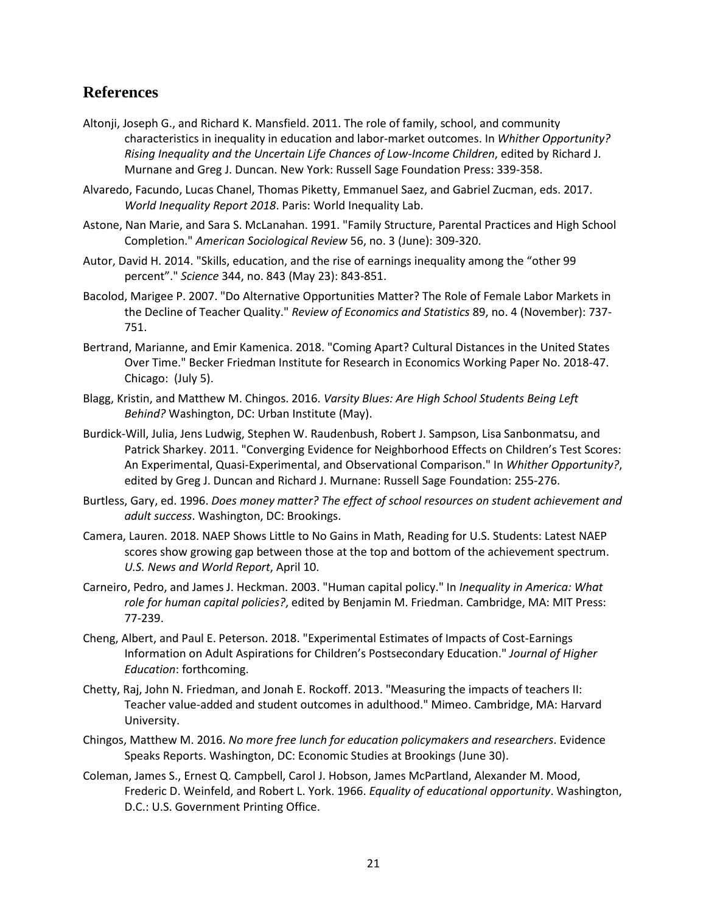# **References**

- Altonji, Joseph G., and Richard K. Mansfield. 2011. The role of family, school, and community characteristics in inequality in education and labor-market outcomes. In *Whither Opportunity? Rising Inequality and the Uncertain Life Chances of Low-Income Children*, edited by Richard J. Murnane and Greg J. Duncan. New York: Russell Sage Foundation Press: 339-358.
- Alvaredo, Facundo, Lucas Chanel, Thomas Piketty, Emmanuel Saez, and Gabriel Zucman, eds. 2017. *World Inequality Report 2018*. Paris: World Inequality Lab.
- Astone, Nan Marie, and Sara S. McLanahan. 1991. "Family Structure, Parental Practices and High School Completion." *American Sociological Review* 56, no. 3 (June): 309-320.
- Autor, David H. 2014. "Skills, education, and the rise of earnings inequality among the "other 99 percent"." *Science* 344, no. 843 (May 23): 843-851.
- Bacolod, Marigee P. 2007. "Do Alternative Opportunities Matter? The Role of Female Labor Markets in the Decline of Teacher Quality." *Review of Economics and Statistics* 89, no. 4 (November): 737- 751.
- Bertrand, Marianne, and Emir Kamenica. 2018. "Coming Apart? Cultural Distances in the United States Over Time." Becker Friedman Institute for Research in Economics Working Paper No. 2018-47. Chicago: (July 5).
- Blagg, Kristin, and Matthew M. Chingos. 2016. *Varsity Blues: Are High School Students Being Left Behind?* Washington, DC: Urban Institute (May).
- Burdick-Will, Julia, Jens Ludwig, Stephen W. Raudenbush, Robert J. Sampson, Lisa Sanbonmatsu, and Patrick Sharkey. 2011. "Converging Evidence for Neighborhood Effects on Children's Test Scores: An Experimental, Quasi-Experimental, and Observational Comparison." In *Whither Opportunity?*, edited by Greg J. Duncan and Richard J. Murnane: Russell Sage Foundation: 255-276.
- Burtless, Gary, ed. 1996. *Does money matter? The effect of school resources on student achievement and adult success*. Washington, DC: Brookings.
- Camera, Lauren. 2018. NAEP Shows Little to No Gains in Math, Reading for U.S. Students: Latest NAEP scores show growing gap between those at the top and bottom of the achievement spectrum. *U.S. News and World Report*, April 10.
- Carneiro, Pedro, and James J. Heckman. 2003. "Human capital policy." In *Inequality in America: What role for human capital policies?*, edited by Benjamin M. Friedman. Cambridge, MA: MIT Press: 77-239.
- Cheng, Albert, and Paul E. Peterson. 2018. "Experimental Estimates of Impacts of Cost-Earnings Information on Adult Aspirations for Children's Postsecondary Education." *Journal of Higher Education*: forthcoming.
- Chetty, Raj, John N. Friedman, and Jonah E. Rockoff. 2013. "Measuring the impacts of teachers II: Teacher value-added and student outcomes in adulthood." Mimeo. Cambridge, MA: Harvard University.
- Chingos, Matthew M. 2016. *No more free lunch for education policymakers and researchers*. Evidence Speaks Reports. Washington, DC: Economic Studies at Brookings (June 30).
- Coleman, James S., Ernest Q. Campbell, Carol J. Hobson, James McPartland, Alexander M. Mood, Frederic D. Weinfeld, and Robert L. York. 1966. *Equality of educational opportunity*. Washington, D.C.: U.S. Government Printing Office.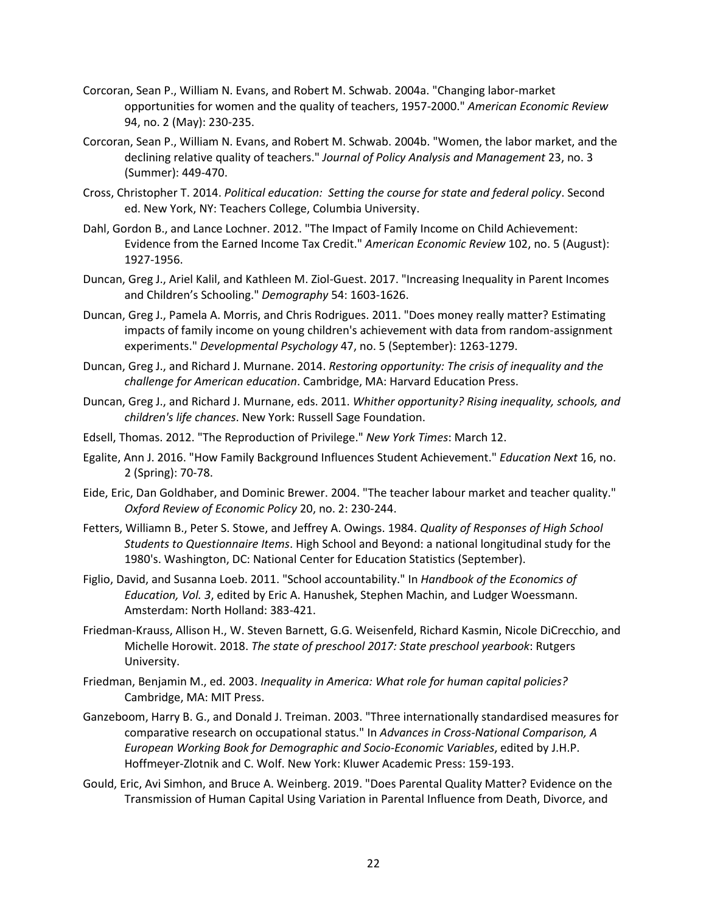- Corcoran, Sean P., William N. Evans, and Robert M. Schwab. 2004a. "Changing labor-market opportunities for women and the quality of teachers, 1957-2000." *American Economic Review* 94, no. 2 (May): 230-235.
- Corcoran, Sean P., William N. Evans, and Robert M. Schwab. 2004b. "Women, the labor market, and the declining relative quality of teachers." *Journal of Policy Analysis and Management* 23, no. 3 (Summer): 449-470.
- Cross, Christopher T. 2014. *Political education: Setting the course for state and federal policy*. Second ed. New York, NY: Teachers College, Columbia University.
- Dahl, Gordon B., and Lance Lochner. 2012. "The Impact of Family Income on Child Achievement: Evidence from the Earned Income Tax Credit." *American Economic Review* 102, no. 5 (August): 1927-1956.
- Duncan, Greg J., Ariel Kalil, and Kathleen M. Ziol-Guest. 2017. "Increasing Inequality in Parent Incomes and Children's Schooling." *Demography* 54: 1603-1626.
- Duncan, Greg J., Pamela A. Morris, and Chris Rodrigues. 2011. "Does money really matter? Estimating impacts of family income on young children's achievement with data from random-assignment experiments." *Developmental Psychology* 47, no. 5 (September): 1263-1279.
- Duncan, Greg J., and Richard J. Murnane. 2014. *Restoring opportunity: The crisis of inequality and the challenge for American education*. Cambridge, MA: Harvard Education Press.
- Duncan, Greg J., and Richard J. Murnane, eds. 2011. *Whither opportunity? Rising inequality, schools, and children's life chances*. New York: Russell Sage Foundation.
- Edsell, Thomas. 2012. "The Reproduction of Privilege." *New York Times*: March 12.
- Egalite, Ann J. 2016. "How Family Background Influences Student Achievement." *Education Next* 16, no. 2 (Spring): 70-78.
- Eide, Eric, Dan Goldhaber, and Dominic Brewer. 2004. "The teacher labour market and teacher quality." *Oxford Review of Economic Policy* 20, no. 2: 230-244.
- Fetters, Williamn B., Peter S. Stowe, and Jeffrey A. Owings. 1984. *Quality of Responses of High School Students to Questionnaire Items*. High School and Beyond: a national longitudinal study for the 1980's. Washington, DC: National Center for Education Statistics (September).
- Figlio, David, and Susanna Loeb. 2011. "School accountability." In *Handbook of the Economics of Education, Vol. 3*, edited by Eric A. Hanushek, Stephen Machin, and Ludger Woessmann. Amsterdam: North Holland: 383-421.
- Friedman-Krauss, Allison H., W. Steven Barnett, G.G. Weisenfeld, Richard Kasmin, Nicole DiCrecchio, and Michelle Horowit. 2018. *The state of preschool 2017: State preschool yearbook*: Rutgers University.
- Friedman, Benjamin M., ed. 2003. *Inequality in America: What role for human capital policies?* Cambridge, MA: MIT Press.
- Ganzeboom, Harry B. G., and Donald J. Treiman. 2003. "Three internationally standardised measures for comparative research on occupational status." In *Advances in Cross-National Comparison, A European Working Book for Demographic and Socio-Economic Variables*, edited by J.H.P. Hoffmeyer-Zlotnik and C. Wolf. New York: Kluwer Academic Press: 159-193.
- Gould, Eric, Avi Simhon, and Bruce A. Weinberg. 2019. "Does Parental Quality Matter? Evidence on the Transmission of Human Capital Using Variation in Parental Influence from Death, Divorce, and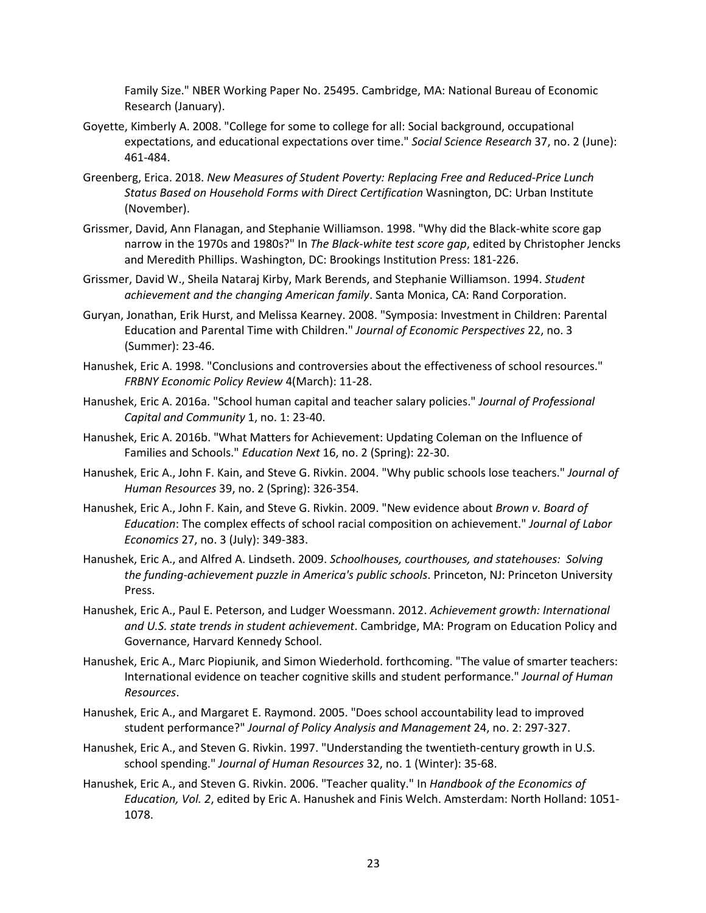Family Size." NBER Working Paper No. 25495. Cambridge, MA: National Bureau of Economic Research (January).

- Goyette, Kimberly A. 2008. "College for some to college for all: Social background, occupational expectations, and educational expectations over time." *Social Science Research* 37, no. 2 (June): 461-484.
- Greenberg, Erica. 2018. *New Measures of Student Poverty: Replacing Free and Reduced-Price Lunch Status Based on Household Forms with Direct Certification* Wasnington, DC: Urban Institute (November).
- Grissmer, David, Ann Flanagan, and Stephanie Williamson. 1998. "Why did the Black-white score gap narrow in the 1970s and 1980s?" In *The Black-white test score gap*, edited by Christopher Jencks and Meredith Phillips. Washington, DC: Brookings Institution Press: 181-226.
- Grissmer, David W., Sheila Nataraj Kirby, Mark Berends, and Stephanie Williamson. 1994. *Student achievement and the changing American family*. Santa Monica, CA: Rand Corporation.
- Guryan, Jonathan, Erik Hurst, and Melissa Kearney. 2008. "Symposia: Investment in Children: Parental Education and Parental Time with Children." *Journal of Economic Perspectives* 22, no. 3 (Summer): 23-46.
- Hanushek, Eric A. 1998. "Conclusions and controversies about the effectiveness of school resources." *FRBNY Economic Policy Review* 4(March): 11-28.
- Hanushek, Eric A. 2016a. "School human capital and teacher salary policies." *Journal of Professional Capital and Community* 1, no. 1: 23-40.
- Hanushek, Eric A. 2016b. "What Matters for Achievement: Updating Coleman on the Influence of Families and Schools." *Education Next* 16, no. 2 (Spring): 22-30.
- Hanushek, Eric A., John F. Kain, and Steve G. Rivkin. 2004. "Why public schools lose teachers." *Journal of Human Resources* 39, no. 2 (Spring): 326-354.
- Hanushek, Eric A., John F. Kain, and Steve G. Rivkin. 2009. "New evidence about *Brown v. Board of Education*: The complex effects of school racial composition on achievement." *Journal of Labor Economics* 27, no. 3 (July): 349-383.
- Hanushek, Eric A., and Alfred A. Lindseth. 2009. *Schoolhouses, courthouses, and statehouses: Solving the funding-achievement puzzle in America's public schools*. Princeton, NJ: Princeton University Press.
- Hanushek, Eric A., Paul E. Peterson, and Ludger Woessmann. 2012. *Achievement growth: International and U.S. state trends in student achievement*. Cambridge, MA: Program on Education Policy and Governance, Harvard Kennedy School.
- Hanushek, Eric A., Marc Piopiunik, and Simon Wiederhold. forthcoming. "The value of smarter teachers: International evidence on teacher cognitive skills and student performance." *Journal of Human Resources*.
- Hanushek, Eric A., and Margaret E. Raymond. 2005. "Does school accountability lead to improved student performance?" *Journal of Policy Analysis and Management* 24, no. 2: 297-327.
- Hanushek, Eric A., and Steven G. Rivkin. 1997. "Understanding the twentieth-century growth in U.S. school spending." *Journal of Human Resources* 32, no. 1 (Winter): 35-68.
- Hanushek, Eric A., and Steven G. Rivkin. 2006. "Teacher quality." In *Handbook of the Economics of Education, Vol. 2*, edited by Eric A. Hanushek and Finis Welch. Amsterdam: North Holland: 1051- 1078.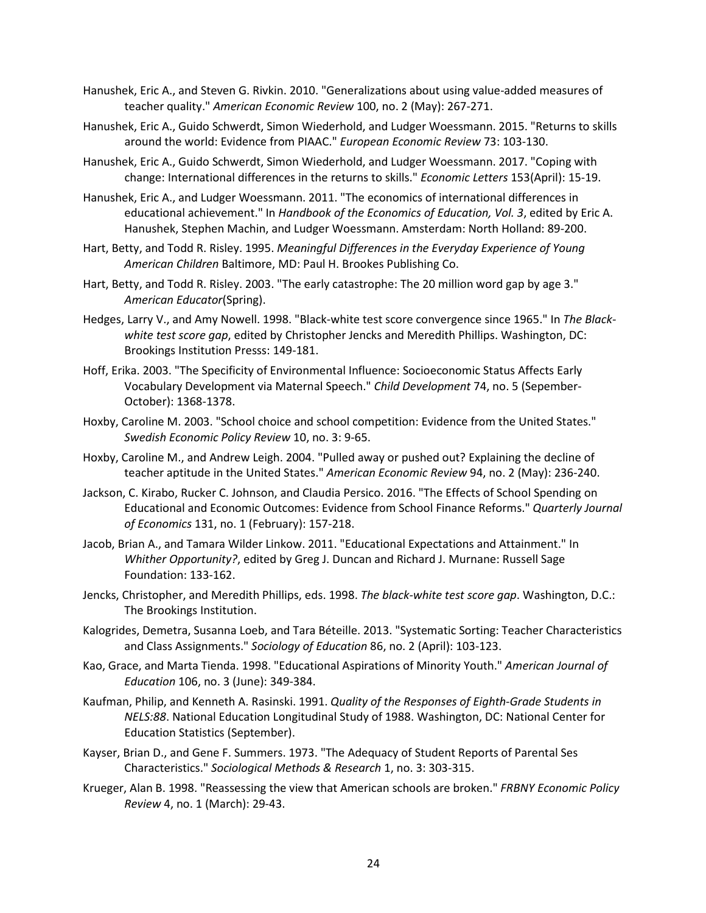- Hanushek, Eric A., and Steven G. Rivkin. 2010. "Generalizations about using value-added measures of teacher quality." *American Economic Review* 100, no. 2 (May): 267-271.
- Hanushek, Eric A., Guido Schwerdt, Simon Wiederhold, and Ludger Woessmann. 2015. "Returns to skills around the world: Evidence from PIAAC." *European Economic Review* 73: 103-130.
- Hanushek, Eric A., Guido Schwerdt, Simon Wiederhold, and Ludger Woessmann. 2017. "Coping with change: International differences in the returns to skills." *Economic Letters* 153(April): 15-19.
- Hanushek, Eric A., and Ludger Woessmann. 2011. "The economics of international differences in educational achievement." In *Handbook of the Economics of Education, Vol. 3*, edited by Eric A. Hanushek, Stephen Machin, and Ludger Woessmann. Amsterdam: North Holland: 89-200.
- Hart, Betty, and Todd R. Risley. 1995. *Meaningful Differences in the Everyday Experience of Young American Children* Baltimore, MD: Paul H. Brookes Publishing Co.
- Hart, Betty, and Todd R. Risley. 2003. "The early catastrophe: The 20 million word gap by age 3." *American Educator*(Spring).
- Hedges, Larry V., and Amy Nowell. 1998. "Black-white test score convergence since 1965." In *The Blackwhite test score gap*, edited by Christopher Jencks and Meredith Phillips. Washington, DC: Brookings Institution Presss: 149-181.
- Hoff, Erika. 2003. "The Specificity of Environmental Influence: Socioeconomic Status Affects Early Vocabulary Development via Maternal Speech." *Child Development* 74, no. 5 (Sepember-October): 1368-1378.
- Hoxby, Caroline M. 2003. "School choice and school competition: Evidence from the United States." *Swedish Economic Policy Review* 10, no. 3: 9-65.
- Hoxby, Caroline M., and Andrew Leigh. 2004. "Pulled away or pushed out? Explaining the decline of teacher aptitude in the United States." *American Economic Review* 94, no. 2 (May): 236-240.
- Jackson, C. Kirabo, Rucker C. Johnson, and Claudia Persico. 2016. "The Effects of School Spending on Educational and Economic Outcomes: Evidence from School Finance Reforms." *Quarterly Journal of Economics* 131, no. 1 (February): 157-218.
- Jacob, Brian A., and Tamara Wilder Linkow. 2011. "Educational Expectations and Attainment." In *Whither Opportunity?*, edited by Greg J. Duncan and Richard J. Murnane: Russell Sage Foundation: 133-162.
- Jencks, Christopher, and Meredith Phillips, eds. 1998. *The black-white test score gap*. Washington, D.C.: The Brookings Institution.
- Kalogrides, Demetra, Susanna Loeb, and Tara Béteille. 2013. "Systematic Sorting: Teacher Characteristics and Class Assignments." *Sociology of Education* 86, no. 2 (April): 103-123.
- Kao, Grace, and Marta Tienda. 1998. "Educational Aspirations of Minority Youth." *American Journal of Education* 106, no. 3 (June): 349-384.
- Kaufman, Philip, and Kenneth A. Rasinski. 1991. *Quality of the Responses of Eighth-Grade Students in NELS:88*. National Education Longitudinal Study of 1988. Washington, DC: National Center for Education Statistics (September).
- Kayser, Brian D., and Gene F. Summers. 1973. "The Adequacy of Student Reports of Parental Ses Characteristics." *Sociological Methods & Research* 1, no. 3: 303-315.
- Krueger, Alan B. 1998. "Reassessing the view that American schools are broken." *FRBNY Economic Policy Review* 4, no. 1 (March): 29-43.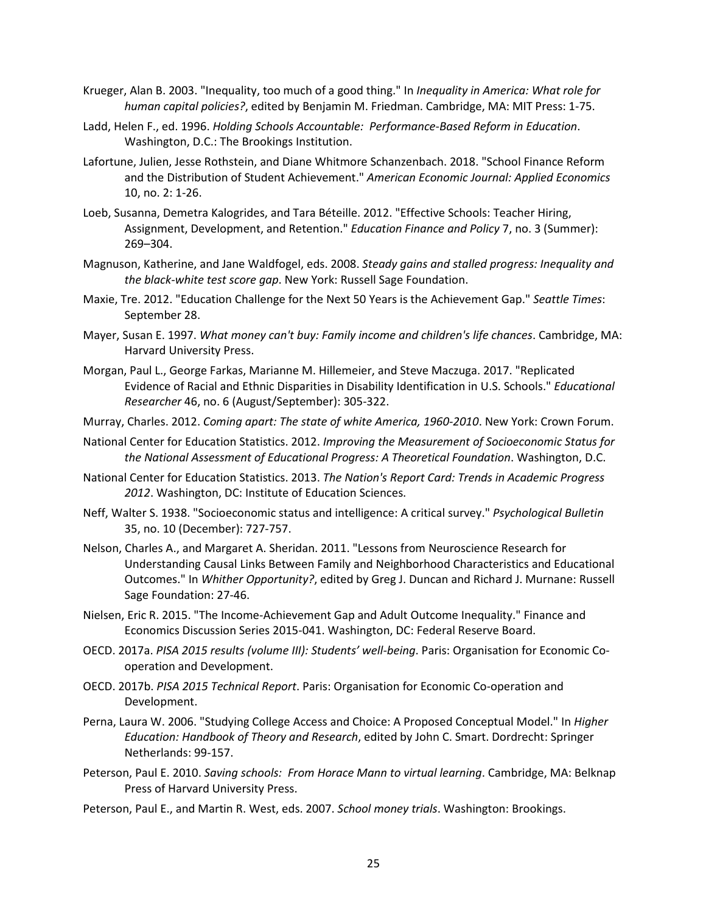- Krueger, Alan B. 2003. "Inequality, too much of a good thing." In *Inequality in America: What role for human capital policies?*, edited by Benjamin M. Friedman. Cambridge, MA: MIT Press: 1-75.
- Ladd, Helen F., ed. 1996. *Holding Schools Accountable: Performance-Based Reform in Education*. Washington, D.C.: The Brookings Institution.
- Lafortune, Julien, Jesse Rothstein, and Diane Whitmore Schanzenbach. 2018. "School Finance Reform and the Distribution of Student Achievement." *American Economic Journal: Applied Economics* 10, no. 2: 1-26.
- Loeb, Susanna, Demetra Kalogrides, and Tara Béteille. 2012. "Effective Schools: Teacher Hiring, Assignment, Development, and Retention." *Education Finance and Policy* 7, no. 3 (Summer): 269–304.
- Magnuson, Katherine, and Jane Waldfogel, eds. 2008. *Steady gains and stalled progress: Inequality and the black-white test score gap*. New York: Russell Sage Foundation.
- Maxie, Tre. 2012. "Education Challenge for the Next 50 Years is the Achievement Gap." *Seattle Times*: September 28.
- Mayer, Susan E. 1997. *What money can't buy: Family income and children's life chances*. Cambridge, MA: Harvard University Press.
- Morgan, Paul L., George Farkas, Marianne M. Hillemeier, and Steve Maczuga. 2017. "Replicated Evidence of Racial and Ethnic Disparities in Disability Identification in U.S. Schools." *Educational Researcher* 46, no. 6 (August/September): 305-322.
- Murray, Charles. 2012. *Coming apart: The state of white America, 1960-2010*. New York: Crown Forum.
- National Center for Education Statistics. 2012. *Improving the Measurement of Socioeconomic Status for the National Assessment of Educational Progress: A Theoretical Foundation*. Washington, D.C.
- National Center for Education Statistics. 2013. *The Nation's Report Card: Trends in Academic Progress 2012*. Washington, DC: Institute of Education Sciences.
- Neff, Walter S. 1938. "Socioeconomic status and intelligence: A critical survey." *Psychological Bulletin* 35, no. 10 (December): 727-757.
- Nelson, Charles A., and Margaret A. Sheridan. 2011. "Lessons from Neuroscience Research for Understanding Causal Links Between Family and Neighborhood Characteristics and Educational Outcomes." In *Whither Opportunity?*, edited by Greg J. Duncan and Richard J. Murnane: Russell Sage Foundation: 27-46.
- Nielsen, Eric R. 2015. "The Income-Achievement Gap and Adult Outcome Inequality." Finance and Economics Discussion Series 2015-041. Washington, DC: Federal Reserve Board.
- OECD. 2017a. *PISA 2015 results (volume III): Students' well-being*. Paris: Organisation for Economic Cooperation and Development.
- OECD. 2017b. *PISA 2015 Technical Report*. Paris: Organisation for Economic Co-operation and Development.
- Perna, Laura W. 2006. "Studying College Access and Choice: A Proposed Conceptual Model." In *Higher Education: Handbook of Theory and Research*, edited by John C. Smart. Dordrecht: Springer Netherlands: 99-157.
- Peterson, Paul E. 2010. *Saving schools: From Horace Mann to virtual learning*. Cambridge, MA: Belknap Press of Harvard University Press.
- Peterson, Paul E., and Martin R. West, eds. 2007. *School money trials*. Washington: Brookings.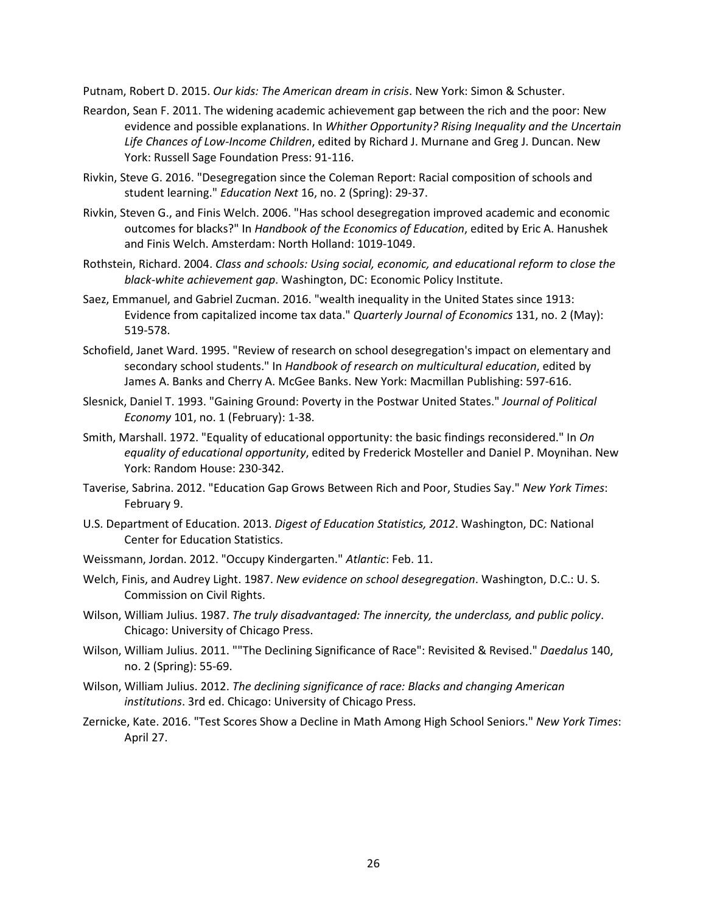Putnam, Robert D. 2015. *Our kids: The American dream in crisis*. New York: Simon & Schuster.

- Reardon, Sean F. 2011. The widening academic achievement gap between the rich and the poor: New evidence and possible explanations. In *Whither Opportunity? Rising Inequality and the Uncertain Life Chances of Low-Income Children*, edited by Richard J. Murnane and Greg J. Duncan. New York: Russell Sage Foundation Press: 91-116.
- Rivkin, Steve G. 2016. "Desegregation since the Coleman Report: Racial composition of schools and student learning." *Education Next* 16, no. 2 (Spring): 29-37.
- Rivkin, Steven G., and Finis Welch. 2006. "Has school desegregation improved academic and economic outcomes for blacks?" In *Handbook of the Economics of Education*, edited by Eric A. Hanushek and Finis Welch. Amsterdam: North Holland: 1019-1049.
- Rothstein, Richard. 2004. *Class and schools: Using social, economic, and educational reform to close the black-white achievement gap*. Washington, DC: Economic Policy Institute.
- Saez, Emmanuel, and Gabriel Zucman. 2016. "wealth inequality in the United States since 1913: Evidence from capitalized income tax data." *Quarterly Journal of Economics* 131, no. 2 (May): 519-578.
- Schofield, Janet Ward. 1995. "Review of research on school desegregation's impact on elementary and secondary school students." In *Handbook of research on multicultural education*, edited by James A. Banks and Cherry A. McGee Banks. New York: Macmillan Publishing: 597-616.
- Slesnick, Daniel T. 1993. "Gaining Ground: Poverty in the Postwar United States." *Journal of Political Economy* 101, no. 1 (February): 1-38.
- Smith, Marshall. 1972. "Equality of educational opportunity: the basic findings reconsidered." In *On equality of educational opportunity*, edited by Frederick Mosteller and Daniel P. Moynihan. New York: Random House: 230-342.
- Taverise, Sabrina. 2012. "Education Gap Grows Between Rich and Poor, Studies Say." *New York Times*: February 9.
- U.S. Department of Education. 2013. *Digest of Education Statistics, 2012*. Washington, DC: National Center for Education Statistics.
- Weissmann, Jordan. 2012. "Occupy Kindergarten." *Atlantic*: Feb. 11.
- Welch, Finis, and Audrey Light. 1987. *New evidence on school desegregation*. Washington, D.C.: U. S. Commission on Civil Rights.
- Wilson, William Julius. 1987. *The truly disadvantaged: The innercity, the underclass, and public policy*. Chicago: University of Chicago Press.
- Wilson, William Julius. 2011. ""The Declining Significance of Race": Revisited & Revised." *Daedalus* 140, no. 2 (Spring): 55-69.
- Wilson, William Julius. 2012. *The declining significance of race: Blacks and changing American institutions*. 3rd ed. Chicago: University of Chicago Press.
- Zernicke, Kate. 2016. "Test Scores Show a Decline in Math Among High School Seniors." *New York Times*: April 27.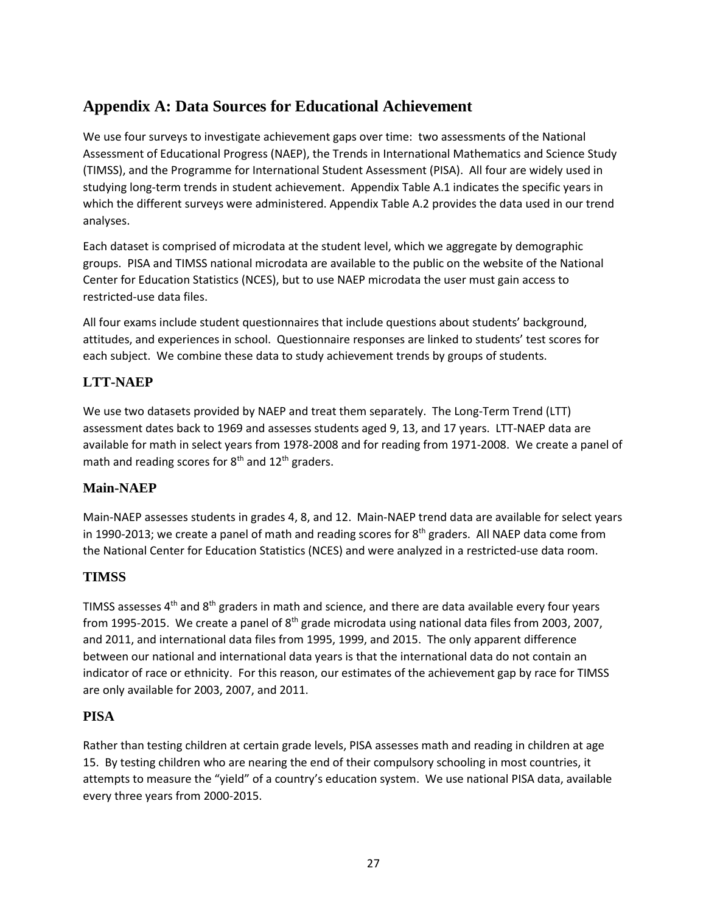# **Appendix A: Data Sources for Educational Achievement**

We use four surveys to investigate achievement gaps over time: two assessments of the National Assessment of Educational Progress (NAEP), the Trends in International Mathematics and Science Study (TIMSS), and the Programme for International Student Assessment (PISA). All four are widely used in studying long-term trends in student achievement. Appendix Table A.1 indicates the specific years in which the different surveys were administered. Appendix Table A.2 provides the data used in our trend analyses.

Each dataset is comprised of microdata at the student level, which we aggregate by demographic groups. PISA and TIMSS national microdata are available to the public on the website of the National Center for Education Statistics (NCES), but to use NAEP microdata the user must gain access to restricted-use data files.

All four exams include student questionnaires that include questions about students' background, attitudes, and experiences in school. Questionnaire responses are linked to students' test scores for each subject. We combine these data to study achievement trends by groups of students.

# **LTT-NAEP**

We use two datasets provided by NAEP and treat them separately. The Long-Term Trend (LTT) assessment dates back to 1969 and assesses students aged 9, 13, and 17 years. LTT-NAEP data are available for math in select years from 1978-2008 and for reading from 1971-2008. We create a panel of math and reading scores for  $8<sup>th</sup>$  and  $12<sup>th</sup>$  graders.

## **Main-NAEP**

Main-NAEP assesses students in grades 4, 8, and 12. Main-NAEP trend data are available for select years in 1990-2013; we create a panel of math and reading scores for 8<sup>th</sup> graders. All NAEP data come from the National Center for Education Statistics (NCES) and were analyzed in a restricted-use data room.

## **TIMSS**

TIMSS assesses  $4<sup>th</sup>$  and  $8<sup>th</sup>$  graders in math and science, and there are data available every four years from 1995-2015. We create a panel of  $8<sup>th</sup>$  grade microdata using national data files from 2003, 2007, and 2011, and international data files from 1995, 1999, and 2015. The only apparent difference between our national and international data years is that the international data do not contain an indicator of race or ethnicity. For this reason, our estimates of the achievement gap by race for TIMSS are only available for 2003, 2007, and 2011.

## **PISA**

Rather than testing children at certain grade levels, PISA assesses math and reading in children at age 15. By testing children who are nearing the end of their compulsory schooling in most countries, it attempts to measure the "yield" of a country's education system. We use national PISA data, available every three years from 2000-2015.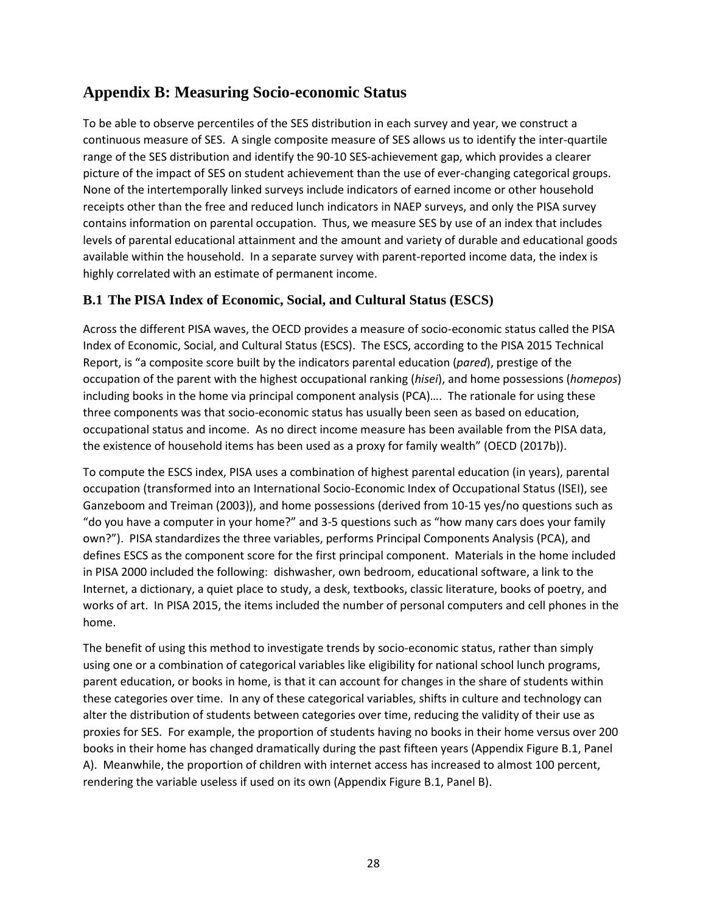# **Appendix B: Measuring Socio-economic Status**

To be able to observe percentiles of the SES distribution in each survey and year, we construct a continuous measure of SES. A single composite measure of SES allows us to identify the inter-quartile range of the SES distribution and identify the 90-10 SES-achievement gap, which provides a clearer picture of the impact of SES on student achievement than the use of ever-changing categorical groups. None of the intertemporally linked surveys include indicators of earned income or other household receipts other than the free and reduced lunch indicators in NAEP surveys, and only the PISA survey contains information on parental occupation. Thus, we measure SES by use of an index that includes levels of parental educational attainment and the amount and variety of durable and educational goods available within the household. In a separate survey with parent-reported income data, the index is highly correlated with an estimate of permanent income.

## **B.1 The PISA Index of Economic, Social, and Cultural Status (ESCS)**

Across the different PISA waves, the OECD provides a measure of socio-economic status called the PISA Index of Economic, Social, and Cultural Status (ESCS). The ESCS, according to the PISA 2015 Technical Report, is "a composite score built by the indicators parental education (*pared*), prestige of the occupation of the parent with the highest occupational ranking (*hisei*), and home possessions (*homepos*) including books in the home via principal component analysis (PCA)…. The rationale for using these three components was that socio-economic status has usually been seen as based on education, occupational status and income. As no direct income measure has been available from the PISA data, the existence of household items has been used as a proxy for family wealth" (OECD (2017b)).

To compute the ESCS index, PISA uses a combination of highest parental education (in years), parental occupation (transformed into an International Socio-Economic Index of Occupational Status (ISEI), see Ganzeboom and Treiman (2003)), and home possessions (derived from 10-15 yes/no questions such as "do you have a computer in your home?" and 3-5 questions such as "how many cars does your family own?"). PISA standardizes the three variables, performs Principal Components Analysis (PCA), and defines ESCS as the component score for the first principal component. Materials in the home included in PISA 2000 included the following: dishwasher, own bedroom, educational software, a link to the Internet, a dictionary, a quiet place to study, a desk, textbooks, classic literature, books of poetry, and works of art. In PISA 2015, the items included the number of personal computers and cell phones in the home.

The benefit of using this method to investigate trends by socio-economic status, rather than simply using one or a combination of categorical variables like eligibility for national school lunch programs, parent education, or books in home, is that it can account for changes in the share of students within these categories over time. In any of these categorical variables, shifts in culture and technology can alter the distribution of students between categories over time, reducing the validity of their use as proxies for SES. For example, the proportion of students having no books in their home versus over 200 books in their home has changed dramatically during the past fifteen years (Appendix Figure B.1, Panel A). Meanwhile, the proportion of children with internet access has increased to almost 100 percent, rendering the variable useless if used on its own (Appendix Figure B.1, Panel B).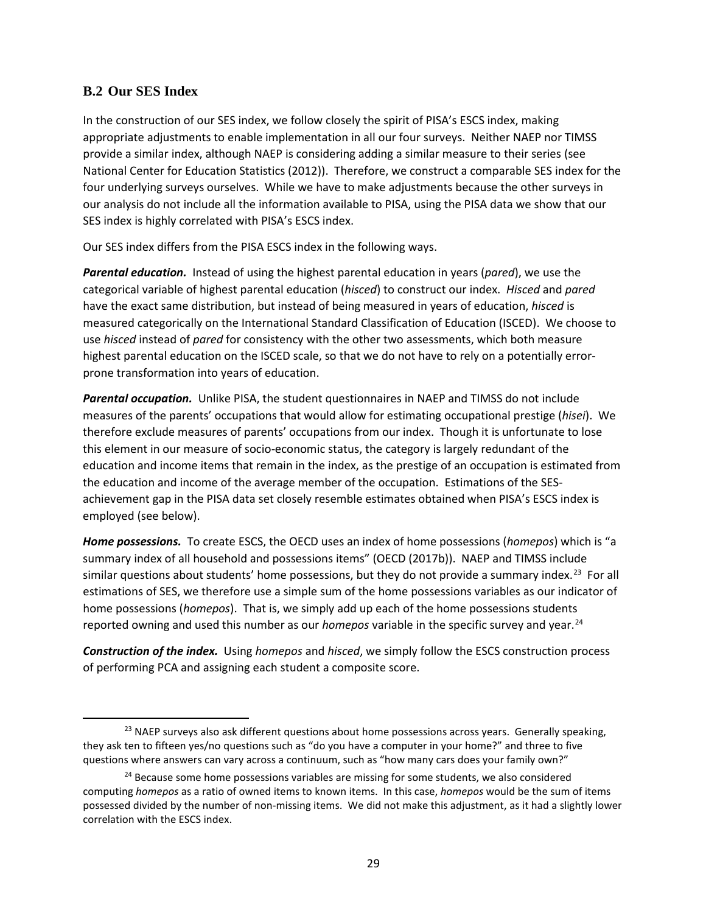#### **B.2 Our SES Index**

In the construction of our SES index, we follow closely the spirit of PISA's ESCS index, making appropriate adjustments to enable implementation in all our four surveys. Neither NAEP nor TIMSS provide a similar index, although NAEP is considering adding a similar measure to their series (see National Center for Education Statistics (2012)). Therefore, we construct a comparable SES index for the four underlying surveys ourselves. While we have to make adjustments because the other surveys in our analysis do not include all the information available to PISA, using the PISA data we show that our SES index is highly correlated with PISA's ESCS index.

Our SES index differs from the PISA ESCS index in the following ways.

*Parental education.* Instead of using the highest parental education in years (*pared*), we use the categorical variable of highest parental education (*hisced*) to construct our index. *Hisced* and *pared* have the exact same distribution, but instead of being measured in years of education, *hisced* is measured categorically on the International Standard Classification of Education (ISCED). We choose to use *hisced* instead of *pared* for consistency with the other two assessments, which both measure highest parental education on the ISCED scale, so that we do not have to rely on a potentially errorprone transformation into years of education.

*Parental occupation.* Unlike PISA, the student questionnaires in NAEP and TIMSS do not include measures of the parents' occupations that would allow for estimating occupational prestige (*hisei*). We therefore exclude measures of parents' occupations from our index. Though it is unfortunate to lose this element in our measure of socio-economic status, the category is largely redundant of the education and income items that remain in the index, as the prestige of an occupation is estimated from the education and income of the average member of the occupation. Estimations of the SESachievement gap in the PISA data set closely resemble estimates obtained when PISA's ESCS index is employed (see below).

*Home possessions.* To create ESCS, the OECD uses an index of home possessions (*homepos*) which is "a summary index of all household and possessions items" (OECD (2017b)). NAEP and TIMSS include similar questions about students' home possessions, but they do not provide a summary index.<sup>[23](#page-30-0)</sup> For all estimations of SES, we therefore use a simple sum of the home possessions variables as our indicator of home possessions (*homepos*). That is, we simply add up each of the home possessions students reported owning and used this number as our *homepos* variable in the specific survey and year. [24](#page-30-1)

*Construction of the index.* Using *homepos* and *hisced*, we simply follow the ESCS construction process of performing PCA and assigning each student a composite score.

<span id="page-30-0"></span><sup>&</sup>lt;sup>23</sup> NAEP surveys also ask different questions about home possessions across years. Generally speaking, they ask ten to fifteen yes/no questions such as "do you have a computer in your home?" and three to five questions where answers can vary across a continuum, such as "how many cars does your family own?"

<span id="page-30-1"></span> $24$  Because some home possessions variables are missing for some students, we also considered computing *homepos* as a ratio of owned items to known items. In this case, *homepos* would be the sum of items possessed divided by the number of non-missing items. We did not make this adjustment, as it had a slightly lower correlation with the ESCS index.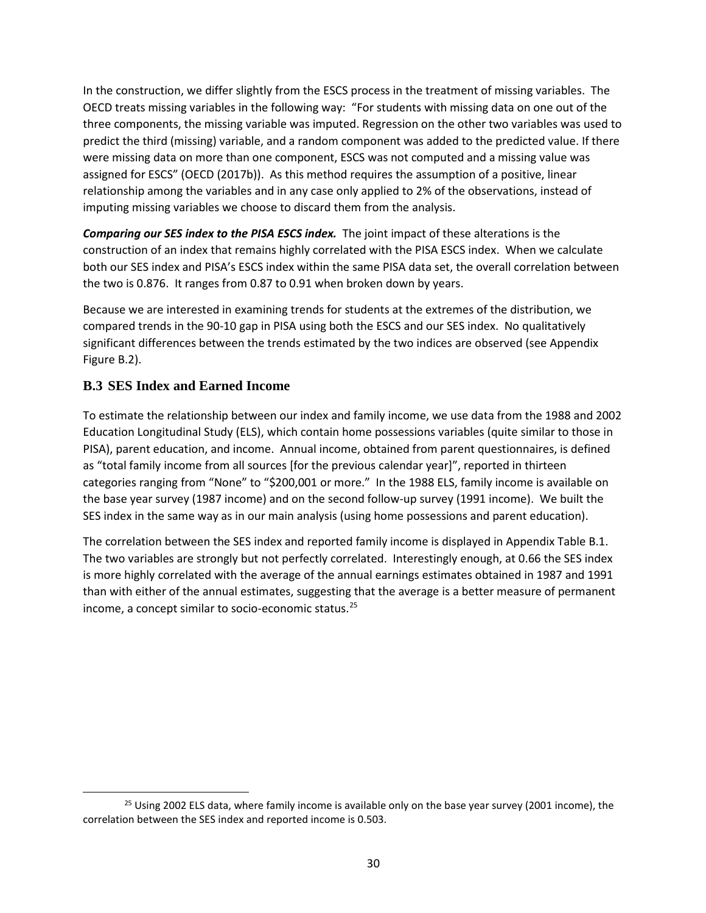In the construction, we differ slightly from the ESCS process in the treatment of missing variables. The OECD treats missing variables in the following way: "For students with missing data on one out of the three components, the missing variable was imputed. Regression on the other two variables was used to predict the third (missing) variable, and a random component was added to the predicted value. If there were missing data on more than one component, ESCS was not computed and a missing value was assigned for ESCS" (OECD (2017b)). As this method requires the assumption of a positive, linear relationship among the variables and in any case only applied to 2% of the observations, instead of imputing missing variables we choose to discard them from the analysis.

*Comparing our SES index to the PISA ESCS index.* The joint impact of these alterations is the construction of an index that remains highly correlated with the PISA ESCS index. When we calculate both our SES index and PISA's ESCS index within the same PISA data set, the overall correlation between the two is 0.876. It ranges from 0.87 to 0.91 when broken down by years.

Because we are interested in examining trends for students at the extremes of the distribution, we compared trends in the 90-10 gap in PISA using both the ESCS and our SES index. No qualitatively significant differences between the trends estimated by the two indices are observed (see Appendix Figure B.2).

# **B.3 SES Index and Earned Income**

To estimate the relationship between our index and family income, we use data from the 1988 and 2002 Education Longitudinal Study (ELS), which contain home possessions variables (quite similar to those in PISA), parent education, and income. Annual income, obtained from parent questionnaires, is defined as "total family income from all sources [for the previous calendar year]", reported in thirteen categories ranging from "None" to "\$200,001 or more." In the 1988 ELS, family income is available on the base year survey (1987 income) and on the second follow-up survey (1991 income). We built the SES index in the same way as in our main analysis (using home possessions and parent education).

The correlation between the SES index and reported family income is displayed in Appendix Table B.1. The two variables are strongly but not perfectly correlated. Interestingly enough, at 0.66 the SES index is more highly correlated with the average of the annual earnings estimates obtained in 1987 and 1991 than with either of the annual estimates, suggesting that the average is a better measure of permanent income, a concept similar to socio-economic status.[25](#page-31-0)

<span id="page-31-0"></span><sup>&</sup>lt;sup>25</sup> Using 2002 ELS data, where family income is available only on the base year survey (2001 income), the correlation between the SES index and reported income is 0.503.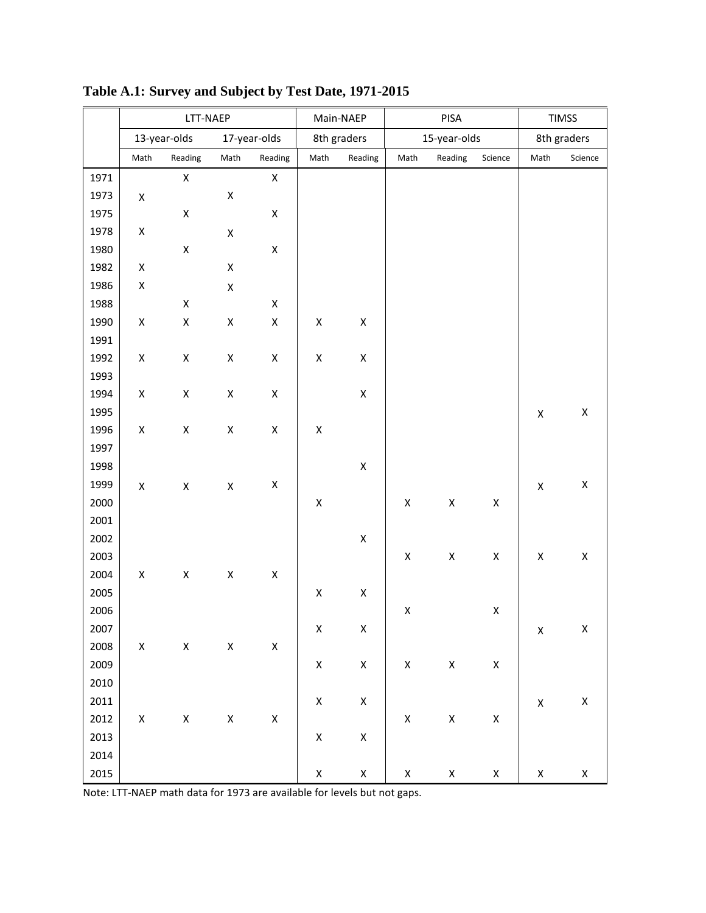|      | LTT-NAEP           |                    |                    |                    |                    | PISA<br>Main-NAEP  |                    |                    | <b>TIMSS</b>       |                    |                    |
|------|--------------------|--------------------|--------------------|--------------------|--------------------|--------------------|--------------------|--------------------|--------------------|--------------------|--------------------|
|      | 13-year-olds       |                    | 17-year-olds       |                    | 8th graders        |                    | 15-year-olds       |                    |                    | 8th graders        |                    |
|      | Math               | Reading            | Math               | Reading            | Math               | Reading            | Math               | Reading            | Science            | Math               | Science            |
| 1971 |                    | $\mathsf X$        |                    | $\mathsf X$        |                    |                    |                    |                    |                    |                    |                    |
| 1973 | $\pmb{\mathsf{X}}$ |                    | $\pmb{\mathsf{X}}$ |                    |                    |                    |                    |                    |                    |                    |                    |
| 1975 |                    | $\pmb{\mathsf{X}}$ |                    | $\pmb{\mathsf{X}}$ |                    |                    |                    |                    |                    |                    |                    |
| 1978 | $\mathsf X$        |                    | $\pmb{\mathsf{X}}$ |                    |                    |                    |                    |                    |                    |                    |                    |
| 1980 |                    | $\pmb{\mathsf{X}}$ |                    | $\pmb{\mathsf{X}}$ |                    |                    |                    |                    |                    |                    |                    |
| 1982 | X                  |                    | $\pmb{\mathsf{X}}$ |                    |                    |                    |                    |                    |                    |                    |                    |
| 1986 | X                  |                    | $\pmb{\mathsf{X}}$ |                    |                    |                    |                    |                    |                    |                    |                    |
| 1988 |                    | $\pmb{\mathsf{X}}$ |                    | $\pmb{\mathsf{X}}$ |                    |                    |                    |                    |                    |                    |                    |
| 1990 | $\pmb{\mathsf{X}}$ | $\pmb{\mathsf{X}}$ | $\pmb{\mathsf{X}}$ | $\pmb{\mathsf{X}}$ | $\pmb{\mathsf{X}}$ | $\pmb{\mathsf{X}}$ |                    |                    |                    |                    |                    |
| 1991 |                    |                    |                    |                    |                    |                    |                    |                    |                    |                    |                    |
| 1992 | $\mathsf X$        | $\pmb{\mathsf{X}}$ | $\pmb{\mathsf{X}}$ | $\pmb{\mathsf{X}}$ | $\pmb{\mathsf{X}}$ | $\pmb{\mathsf{X}}$ |                    |                    |                    |                    |                    |
| 1993 |                    |                    |                    |                    |                    |                    |                    |                    |                    |                    |                    |
| 1994 | $\pmb{\mathsf{X}}$ | $\pmb{\mathsf{X}}$ | $\pmb{\mathsf{X}}$ | $\pmb{\mathsf{X}}$ |                    | $\pmb{\mathsf{X}}$ |                    |                    |                    |                    |                    |
| 1995 |                    |                    |                    |                    |                    |                    |                    |                    |                    | $\mathsf X$        | $\pmb{\mathsf{X}}$ |
| 1996 | $\mathsf X$        | $\pmb{\mathsf{X}}$ | $\pmb{\mathsf{X}}$ | $\pmb{\mathsf{X}}$ | $\pmb{\mathsf{X}}$ |                    |                    |                    |                    |                    |                    |
| 1997 |                    |                    |                    |                    |                    |                    |                    |                    |                    |                    |                    |
| 1998 |                    |                    |                    |                    |                    | $\pmb{\mathsf{X}}$ |                    |                    |                    |                    |                    |
| 1999 | $\pmb{\mathsf{X}}$ | $\pmb{\mathsf{X}}$ | $\pmb{\mathsf{X}}$ | $\pmb{\mathsf{X}}$ |                    |                    |                    |                    |                    | $\pmb{\mathsf{X}}$ | $\mathsf X$        |
| 2000 |                    |                    |                    |                    | $\pmb{\mathsf{X}}$ |                    | $\pmb{\mathsf{X}}$ | $\pmb{\mathsf{X}}$ | $\mathsf X$        |                    |                    |
| 2001 |                    |                    |                    |                    |                    |                    |                    |                    |                    |                    |                    |
| 2002 |                    |                    |                    |                    |                    | $\pmb{\mathsf{X}}$ |                    |                    |                    |                    |                    |
| 2003 |                    |                    |                    |                    |                    |                    | $\pmb{\mathsf{X}}$ | $\pmb{\mathsf{X}}$ | $\mathsf X$        | X                  | X                  |
| 2004 | $\mathsf X$        | $\pmb{\mathsf{X}}$ | $\pmb{\mathsf{X}}$ | $\pmb{\mathsf{X}}$ |                    |                    |                    |                    |                    |                    |                    |
| 2005 |                    |                    |                    |                    | $\mathsf X$        | $\pmb{\mathsf{X}}$ |                    |                    |                    |                    |                    |
| 2006 |                    |                    |                    |                    |                    |                    | $\pmb{\mathsf{X}}$ |                    | $\mathsf X$        |                    |                    |
| 2007 |                    |                    |                    |                    | X                  | $\pmb{\mathsf{X}}$ |                    |                    |                    | $\pmb{\mathsf{X}}$ | $\pmb{\mathsf{X}}$ |
| 2008 | $\mathsf X$        | $\mathsf X$        | $\mathsf X$        | $\mathsf X$        |                    |                    |                    |                    |                    |                    |                    |
| 2009 |                    |                    |                    |                    | $\pmb{\mathsf{X}}$ | $\pmb{\mathsf{X}}$ | $\pmb{\mathsf{X}}$ | $\mathsf X$        | $\mathsf X$        |                    |                    |
| 2010 |                    |                    |                    |                    |                    |                    |                    |                    |                    |                    |                    |
| 2011 |                    |                    |                    |                    | $\mathsf X$        | $\pmb{\mathsf{X}}$ |                    |                    |                    | $\pmb{\mathsf{X}}$ | $\pmb{\mathsf{X}}$ |
| 2012 | X                  | $\pmb{\mathsf{X}}$ | $\pmb{\mathsf{X}}$ | $\mathsf{X}^-$     |                    |                    | $\pmb{\mathsf{X}}$ | $\pmb{\mathsf{X}}$ | $\mathsf X$        |                    |                    |
| 2013 |                    |                    |                    |                    | $\mathsf X$        | $\mathsf X$        |                    |                    |                    |                    |                    |
| 2014 |                    |                    |                    |                    |                    |                    |                    |                    |                    |                    |                    |
| 2015 |                    |                    |                    |                    | $\pmb{\mathsf{X}}$ | $\pmb{\mathsf{X}}$ | $\pmb{\mathsf{X}}$ | $\pmb{\mathsf{X}}$ | $\pmb{\mathsf{X}}$ | X                  | $\pmb{\mathsf{X}}$ |

**Table A.1: Survey and Subject by Test Date, 1971-2015**

Note: LTT-NAEP math data for 1973 are available for levels but not gaps.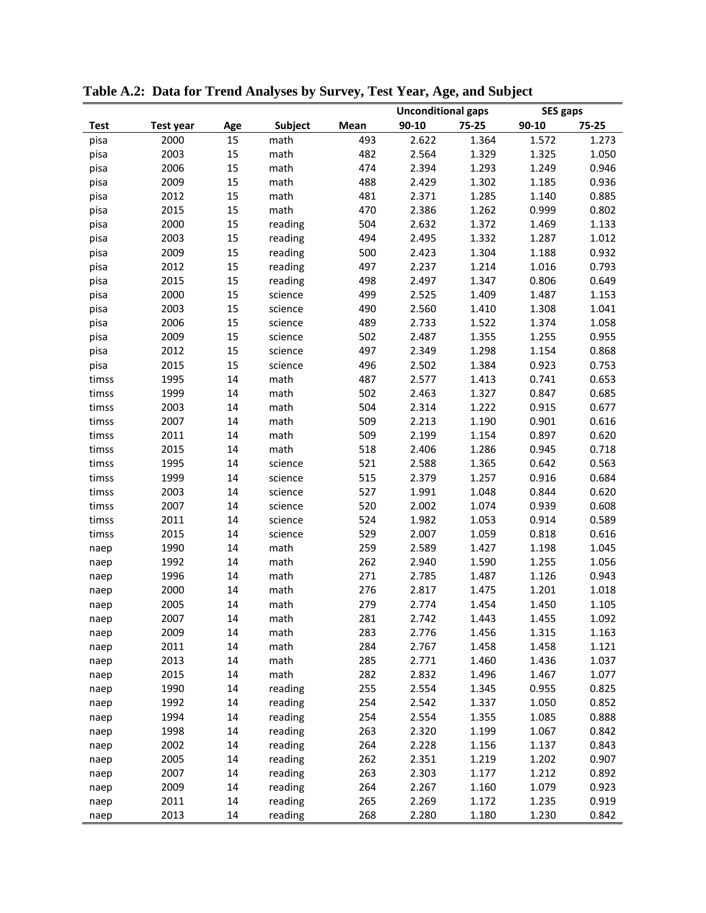|             |                  |        |                |      | <b>Unconditional gaps</b> |       | <b>SES gaps</b> |       |
|-------------|------------------|--------|----------------|------|---------------------------|-------|-----------------|-------|
| <b>Test</b> | <b>Test year</b> | Age    | <b>Subject</b> | Mean | 90-10                     | 75-25 | 90-10           | 75-25 |
| pisa        | 2000             | 15     | math           | 493  | 2.622                     | 1.364 | 1.572           | 1.273 |
| pisa        | 2003             | 15     | math           | 482  | 2.564                     | 1.329 | 1.325           | 1.050 |
| pisa        | 2006             | 15     | math           | 474  | 2.394                     | 1.293 | 1.249           | 0.946 |
| pisa        | 2009             | 15     | math           | 488  | 2.429                     | 1.302 | 1.185           | 0.936 |
| pisa        | 2012             | 15     | math           | 481  | 2.371                     | 1.285 | 1.140           | 0.885 |
| pisa        | 2015             | 15     | math           | 470  | 2.386                     | 1.262 | 0.999           | 0.802 |
| pisa        | 2000             | 15     | reading        | 504  | 2.632                     | 1.372 | 1.469           | 1.133 |
| pisa        | 2003             | 15     | reading        | 494  | 2.495                     | 1.332 | 1.287           | 1.012 |
| pisa        | 2009             | 15     | reading        | 500  | 2.423                     | 1.304 | 1.188           | 0.932 |
| pisa        | 2012             | 15     | reading        | 497  | 2.237                     | 1.214 | 1.016           | 0.793 |
| pisa        | 2015             | 15     | reading        | 498  | 2.497                     | 1.347 | 0.806           | 0.649 |
| pisa        | 2000             | 15     | science        | 499  | 2.525                     | 1.409 | 1.487           | 1.153 |
| pisa        | 2003             | 15     | science        | 490  | 2.560                     | 1.410 | 1.308           | 1.041 |
| pisa        | 2006             | 15     | science        | 489  | 2.733                     | 1.522 | 1.374           | 1.058 |
| pisa        | 2009             | 15     | science        | 502  | 2.487                     | 1.355 | 1.255           | 0.955 |
| pisa        | 2012             | 15     | science        | 497  | 2.349                     | 1.298 | 1.154           | 0.868 |
| pisa        | 2015             | 15     | science        | 496  | 2.502                     | 1.384 | 0.923           | 0.753 |
| timss       | 1995             | 14     | math           | 487  | 2.577                     | 1.413 | 0.741           | 0.653 |
| timss       | 1999             | 14     | math           | 502  | 2.463                     | 1.327 | 0.847           | 0.685 |
| timss       | 2003             | 14     | math           | 504  | 2.314                     | 1.222 | 0.915           | 0.677 |
| timss       | 2007             | 14     | math           | 509  | 2.213                     | 1.190 | 0.901           | 0.616 |
| timss       | 2011             | 14     | math           | 509  | 2.199                     | 1.154 | 0.897           | 0.620 |
| timss       | 2015             | 14     | math           | 518  | 2.406                     | 1.286 | 0.945           | 0.718 |
| timss       | 1995             | 14     | science        | 521  | 2.588                     | 1.365 | 0.642           | 0.563 |
| timss       | 1999             | 14     | science        | 515  | 2.379                     | 1.257 | 0.916           | 0.684 |
| timss       | 2003             | 14     | science        | 527  | 1.991                     | 1.048 | 0.844           | 0.620 |
| timss       | 2007             | 14     | science        | 520  | 2.002                     | 1.074 | 0.939           | 0.608 |
| timss       | 2011             | 14     | science        | 524  | 1.982                     | 1.053 | 0.914           | 0.589 |
| timss       | 2015             | 14     | science        | 529  | 2.007                     | 1.059 | 0.818           | 0.616 |
| naep        | 1990             | 14     | math           | 259  | 2.589                     | 1.427 | 1.198           | 1.045 |
| naep        | 1992             | 14     | math           | 262  | 2.940                     | 1.590 | 1.255           | 1.056 |
| naep        | 1996             | 14     | math           | 271  | 2.785                     | 1.487 | 1.126           | 0.943 |
| naep        | 2000             | 14     | math           | 276  | 2.817                     | 1.475 | 1.201           | 1.018 |
| naep        | 2005             | 14     | math           | 279  | 2.774                     | 1.454 | 1.450           | 1.105 |
| naep        | 2007             | 14     | math           | 281  | 2.742                     | 1.443 | 1.455           | 1.092 |
| naep        | 2009             | 14     | math           | 283  | 2.776                     | 1.456 | 1.315           | 1.163 |
| naep        | 2011             | 14     | math           | 284  | 2.767                     | 1.458 | 1.458           | 1.121 |
| naep        | 2013             | 14     | math           | 285  | 2.771                     | 1.460 | 1.436           | 1.037 |
| naep        | 2015             | 14     | math           | 282  | 2.832                     | 1.496 | 1.467           | 1.077 |
| naep        | 1990             | 14     | reading        | 255  | 2.554                     | 1.345 | 0.955           | 0.825 |
| naep        | 1992             | 14     | reading        | 254  | 2.542                     | 1.337 | 1.050           | 0.852 |
| naep        | 1994             | 14     | reading        | 254  | 2.554                     | 1.355 | 1.085           | 0.888 |
| naep        | 1998             | 14     | reading        | 263  | 2.320                     | 1.199 | 1.067           | 0.842 |
| naep        | 2002             | 14     | reading        | 264  | 2.228                     | 1.156 | 1.137           | 0.843 |
| naep        | 2005             | 14     | reading        | 262  | 2.351                     | 1.219 | 1.202           | 0.907 |
| naep        | 2007             | 14     | reading        | 263  | 2.303                     | 1.177 | 1.212           | 0.892 |
| naep        | 2009             | 14     | reading        | 264  | 2.267                     | 1.160 | 1.079           | 0.923 |
| naep        | 2011             | 14     | reading        | 265  | 2.269                     | 1.172 | 1.235           | 0.919 |
| naep        | 2013             | $14\,$ | reading        | 268  | 2.280                     | 1.180 | 1.230           | 0.842 |

**Table A.2: Data for Trend Analyses by Survey, Test Year, Age, and Subject**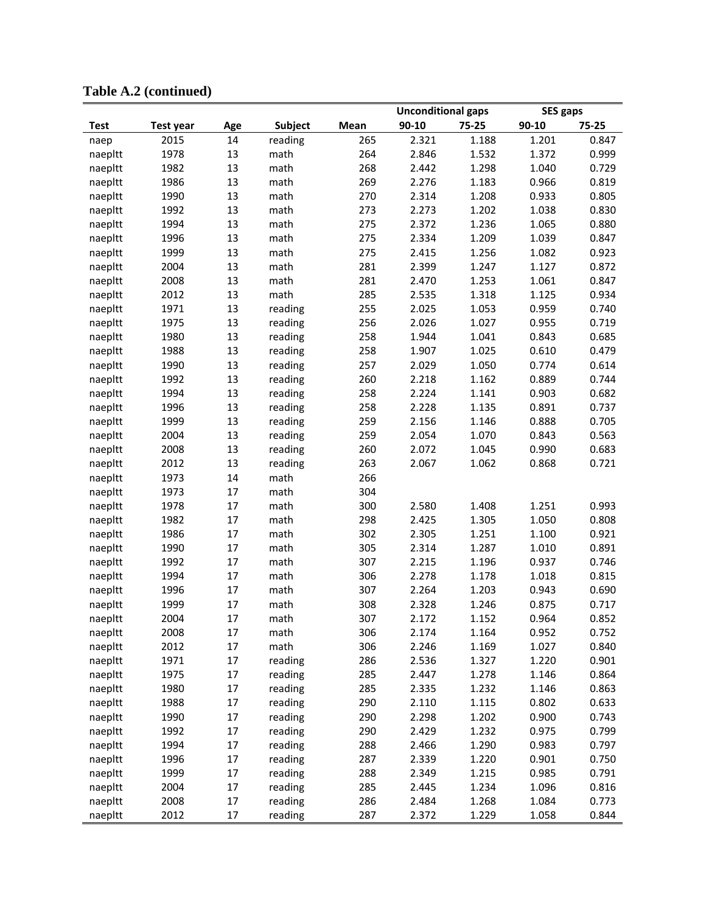|             |                  |        |         |      | <b>Unconditional gaps</b> |       | <b>SES gaps</b> |       |
|-------------|------------------|--------|---------|------|---------------------------|-------|-----------------|-------|
| <b>Test</b> | <b>Test year</b> | Age    | Subject | Mean | 90-10                     | 75-25 | 90-10           | 75-25 |
| naep        | 2015             | 14     | reading | 265  | 2.321                     | 1.188 | 1.201           | 0.847 |
| naepltt     | 1978             | 13     | math    | 264  | 2.846                     | 1.532 | 1.372           | 0.999 |
| naepltt     | 1982             | 13     | math    | 268  | 2.442                     | 1.298 | 1.040           | 0.729 |
| naepltt     | 1986             | 13     | math    | 269  | 2.276                     | 1.183 | 0.966           | 0.819 |
| naepltt     | 1990             | 13     | math    | 270  | 2.314                     | 1.208 | 0.933           | 0.805 |
| naepltt     | 1992             | 13     | math    | 273  | 2.273                     | 1.202 | 1.038           | 0.830 |
| naepltt     | 1994             | 13     | math    | 275  | 2.372                     | 1.236 | 1.065           | 0.880 |
| naepltt     | 1996             | 13     | math    | 275  | 2.334                     | 1.209 | 1.039           | 0.847 |
| naepltt     | 1999             | 13     | math    | 275  | 2.415                     | 1.256 | 1.082           | 0.923 |
| naepltt     | 2004             | 13     | math    | 281  | 2.399                     | 1.247 | 1.127           | 0.872 |
| naepltt     | 2008             | 13     | math    | 281  | 2.470                     | 1.253 | 1.061           | 0.847 |
| naepltt     | 2012             | 13     | math    | 285  | 2.535                     | 1.318 | 1.125           | 0.934 |
| naepltt     | 1971             | 13     | reading | 255  | 2.025                     | 1.053 | 0.959           | 0.740 |
| naepltt     | 1975             | 13     | reading | 256  | 2.026                     | 1.027 | 0.955           | 0.719 |
| naepltt     | 1980             | 13     | reading | 258  | 1.944                     | 1.041 | 0.843           | 0.685 |
| naepltt     | 1988             | 13     | reading | 258  | 1.907                     | 1.025 | 0.610           | 0.479 |
| naepltt     | 1990             | 13     | reading | 257  | 2.029                     | 1.050 | 0.774           | 0.614 |
| naepltt     | 1992             | 13     | reading | 260  | 2.218                     | 1.162 | 0.889           | 0.744 |
| naepltt     | 1994             | 13     | reading | 258  | 2.224                     | 1.141 | 0.903           | 0.682 |
| naepltt     | 1996             | 13     | reading | 258  | 2.228                     | 1.135 | 0.891           | 0.737 |
| naepltt     | 1999             | 13     | reading | 259  | 2.156                     | 1.146 | 0.888           | 0.705 |
| naepltt     | 2004             | 13     | reading | 259  | 2.054                     | 1.070 | 0.843           | 0.563 |
| naepltt     | 2008             | 13     | reading | 260  | 2.072                     | 1.045 | 0.990           | 0.683 |
| naepltt     | 2012             | 13     | reading | 263  | 2.067                     | 1.062 | 0.868           | 0.721 |
| naepltt     | 1973             | 14     | math    | 266  |                           |       |                 |       |
| naepltt     | 1973             | 17     | math    | 304  |                           |       |                 |       |
| naepltt     | 1978             | 17     | math    | 300  | 2.580                     | 1.408 | 1.251           | 0.993 |
| naepltt     | 1982             | 17     | math    | 298  | 2.425                     | 1.305 | 1.050           | 0.808 |
| naepltt     | 1986             | 17     | math    | 302  | 2.305                     | 1.251 | 1.100           | 0.921 |
| naepltt     | 1990             | 17     | math    | 305  | 2.314                     | 1.287 | 1.010           | 0.891 |
| naepltt     | 1992             | 17     | math    | 307  | 2.215                     | 1.196 | 0.937           | 0.746 |
| naepltt     | 1994             | 17     | math    | 306  | 2.278                     | 1.178 | 1.018           | 0.815 |
| naepltt     | 1996             | 17     | math    | 307  | 2.264                     | 1.203 | 0.943           | 0.690 |
| naepltt     | 1999             | 17     | math    | 308  | 2.328                     | 1.246 | 0.875           | 0.717 |
| naepltt     | 2004             | 17     | math    | 307  | 2.172                     | 1.152 | 0.964           | 0.852 |
| naepltt     | 2008             | $17\,$ | math    | 306  | 2.174                     | 1.164 | 0.952           | 0.752 |
| naepltt     | 2012             | 17     | math    | 306  | 2.246                     | 1.169 | 1.027           | 0.840 |
| naepltt     | 1971             | 17     | reading | 286  | 2.536                     | 1.327 | 1.220           | 0.901 |
| naepltt     | 1975             | 17     | reading | 285  | 2.447                     | 1.278 | 1.146           | 0.864 |
| naepltt     | 1980             | 17     | reading | 285  | 2.335                     | 1.232 | 1.146           | 0.863 |
| naepltt     | 1988             | 17     | reading | 290  | 2.110                     | 1.115 | 0.802           | 0.633 |
| naepltt     | 1990             | 17     | reading | 290  | 2.298                     | 1.202 | 0.900           | 0.743 |
| naepltt     | 1992             | 17     | reading | 290  | 2.429                     | 1.232 | 0.975           | 0.799 |
| naepltt     | 1994             | 17     | reading | 288  | 2.466                     | 1.290 | 0.983           | 0.797 |
| naepltt     | 1996             | 17     | reading | 287  | 2.339                     | 1.220 | 0.901           | 0.750 |
| naepltt     | 1999             | 17     | reading | 288  | 2.349                     | 1.215 | 0.985           | 0.791 |
| naepltt     | 2004             | 17     | reading | 285  | 2.445                     | 1.234 | 1.096           | 0.816 |
| naepltt     | 2008             | 17     | reading | 286  | 2.484                     | 1.268 | 1.084           | 0.773 |
| naepltt     | 2012             | 17     | reading | 287  | 2.372                     | 1.229 | 1.058           | 0.844 |

**Table A.2 (continued)**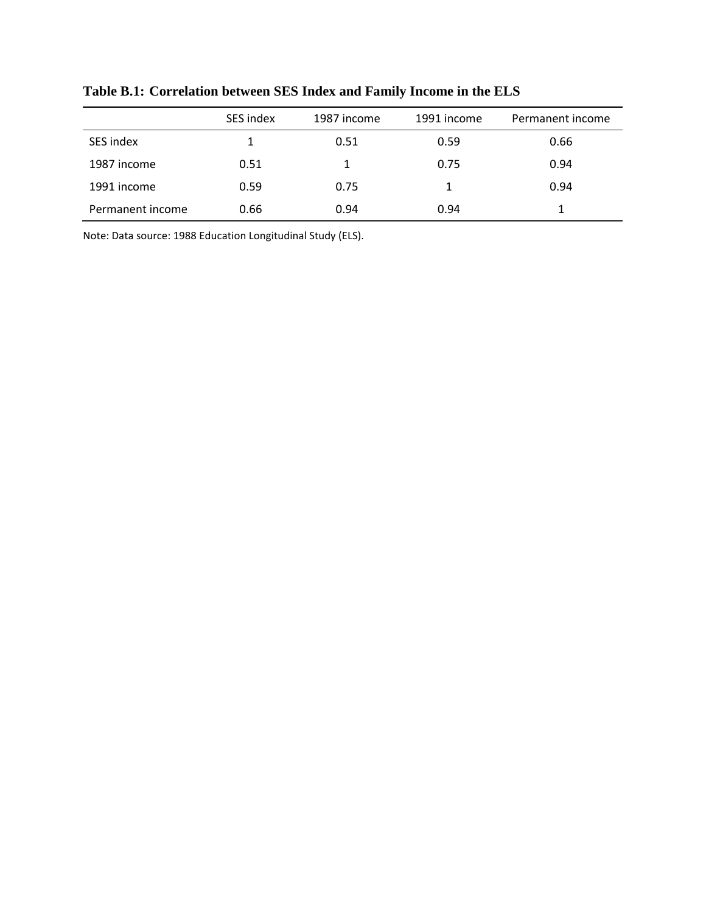|                  | SES index | 1987 income | 1991 income | Permanent income |
|------------------|-----------|-------------|-------------|------------------|
| SES index        |           | 0.51        | 0.59        | 0.66             |
| 1987 income      | 0.51      | 1           | 0.75        | 0.94             |
| 1991 income      | 0.59      | 0.75        | 1           | 0.94             |
| Permanent income | 0.66      | 0.94        | 0.94        |                  |

**Table B.1: Correlation between SES Index and Family Income in the ELS**

Note: Data source: 1988 Education Longitudinal Study (ELS).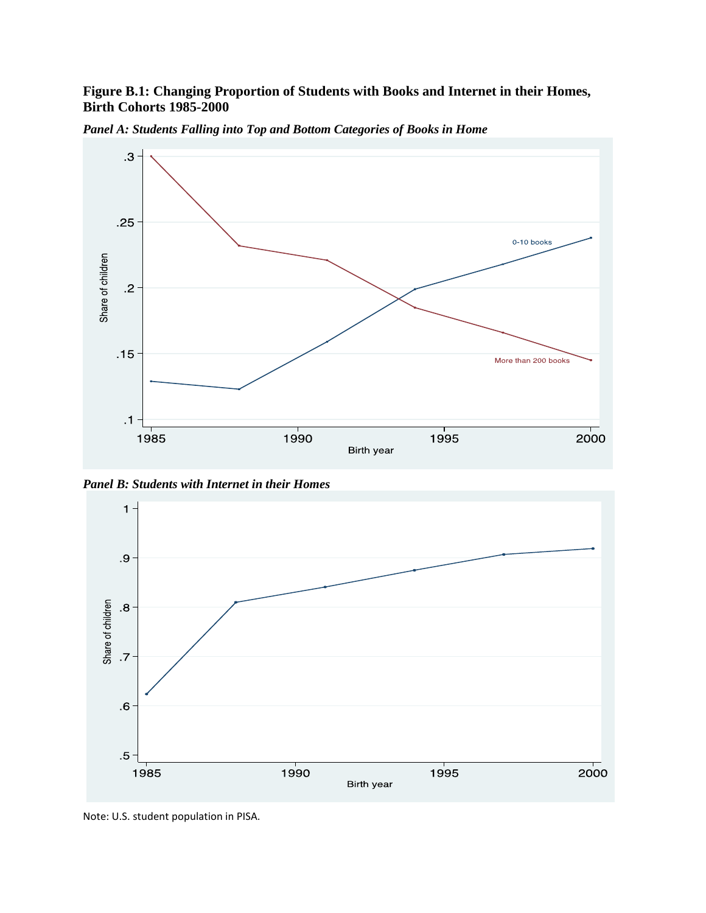# **Figure B.1: Changing Proportion of Students with Books and Internet in their Homes, Birth Cohorts 1985-2000**



*Panel A: Students Falling into Top and Bottom Categories of Books in Home*

*Panel B: Students with Internet in their Homes*



Note: U.S. student population in PISA.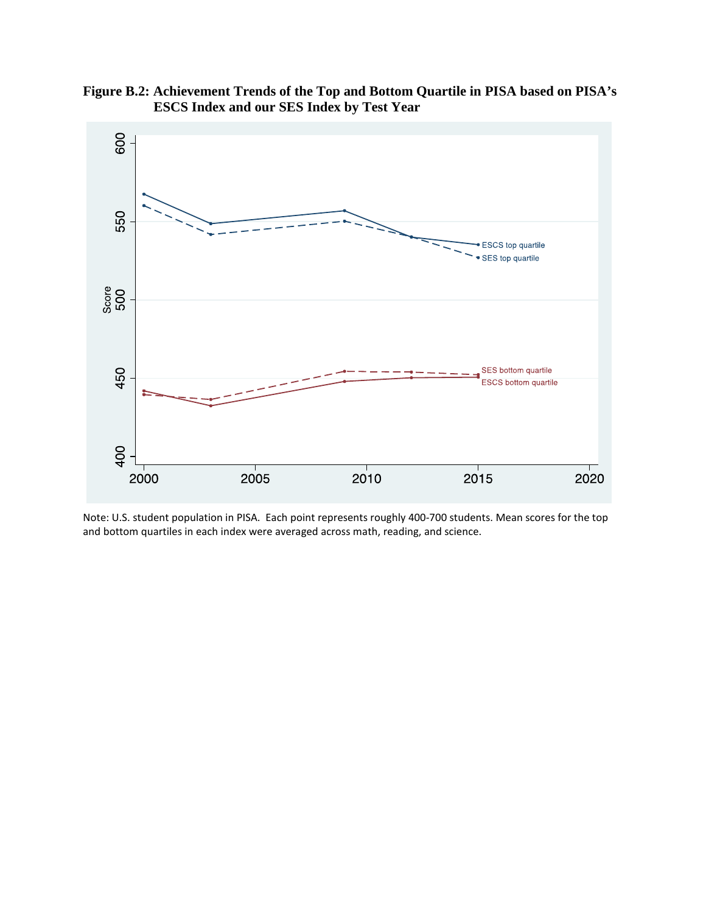

**Figure B.2: Achievement Trends of the Top and Bottom Quartile in PISA based on PISA's ESCS Index and our SES Index by Test Year**

Note: U.S. student population in PISA. Each point represents roughly 400-700 students. Mean scores for the top and bottom quartiles in each index were averaged across math, reading, and science.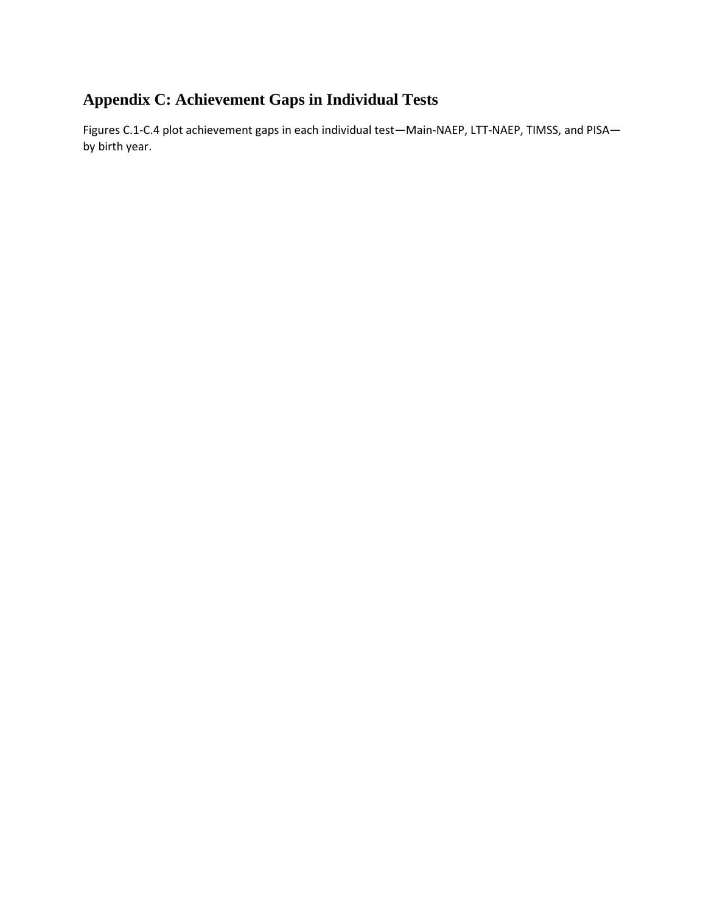# **Appendix C: Achievement Gaps in Individual Tests**

Figures C.1-C.4 plot achievement gaps in each individual test—Main-NAEP, LTT-NAEP, TIMSS, and PISA by birth year.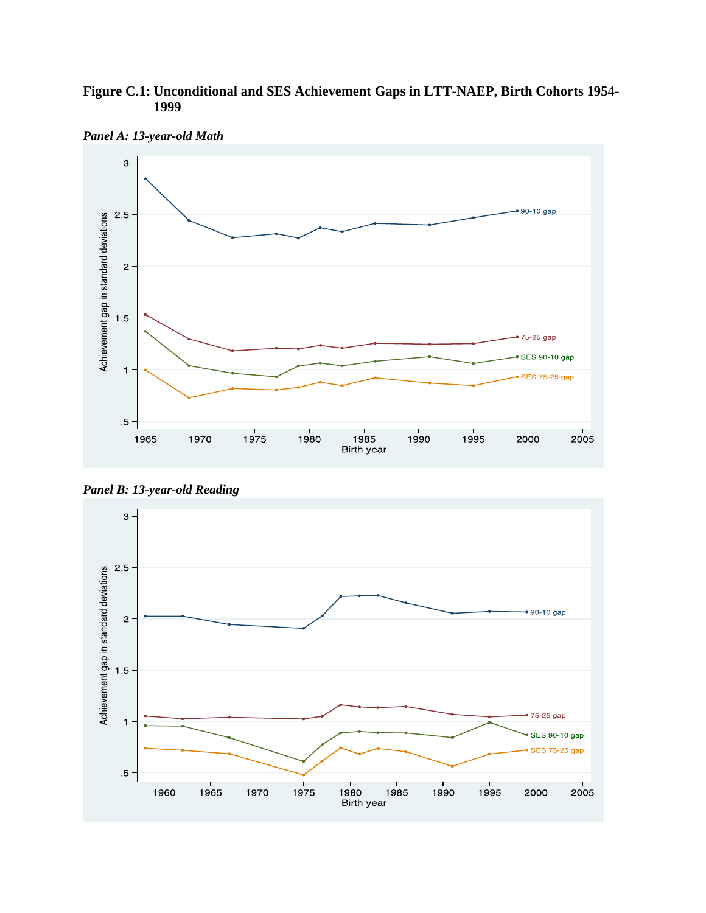# **Figure C.1: Unconditional and SES Achievement Gaps in LTT-NAEP, Birth Cohorts 1954- 1999**



*Panel A: 13-year-old Math*

*Panel B: 13-year-old Reading*

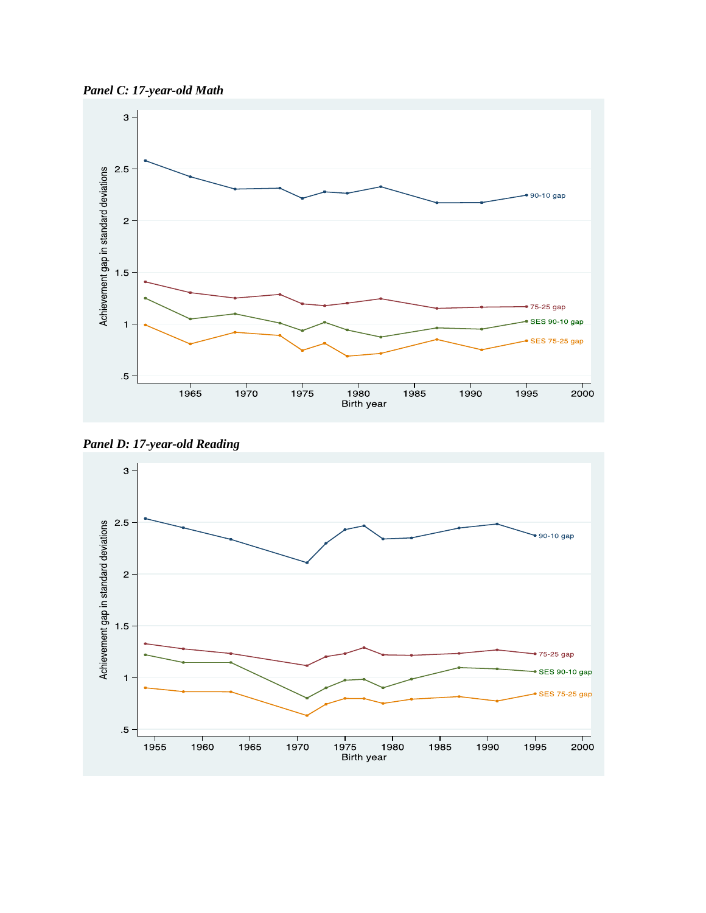





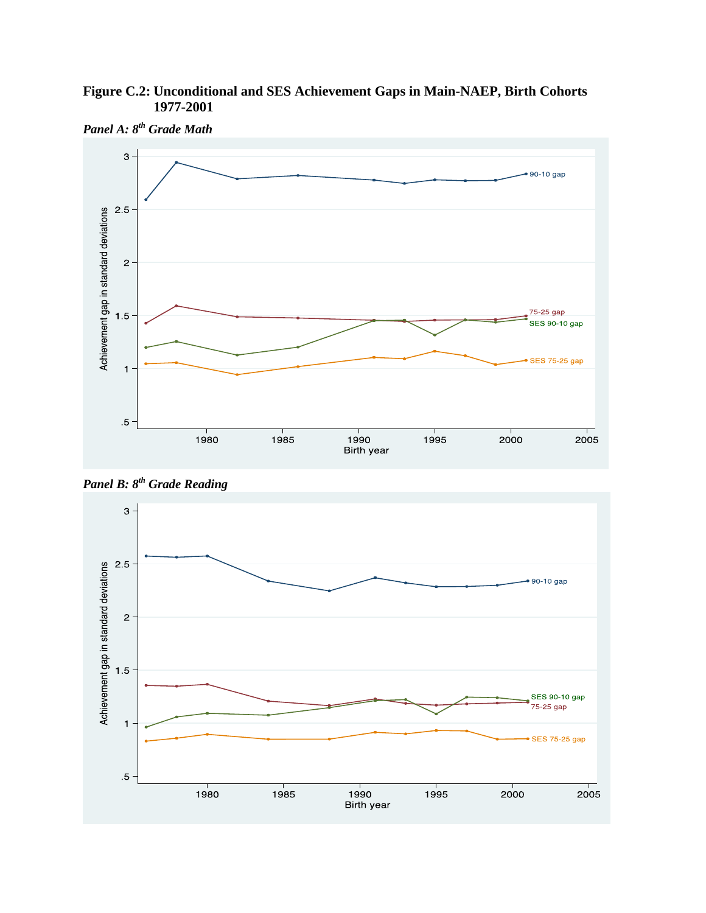# **Figure C.2: Unconditional and SES Achievement Gaps in Main-NAEP, Birth Cohorts 1977-2001**



*Panel A: 8th Grade Math*

*Panel B: 8th Grade Reading*

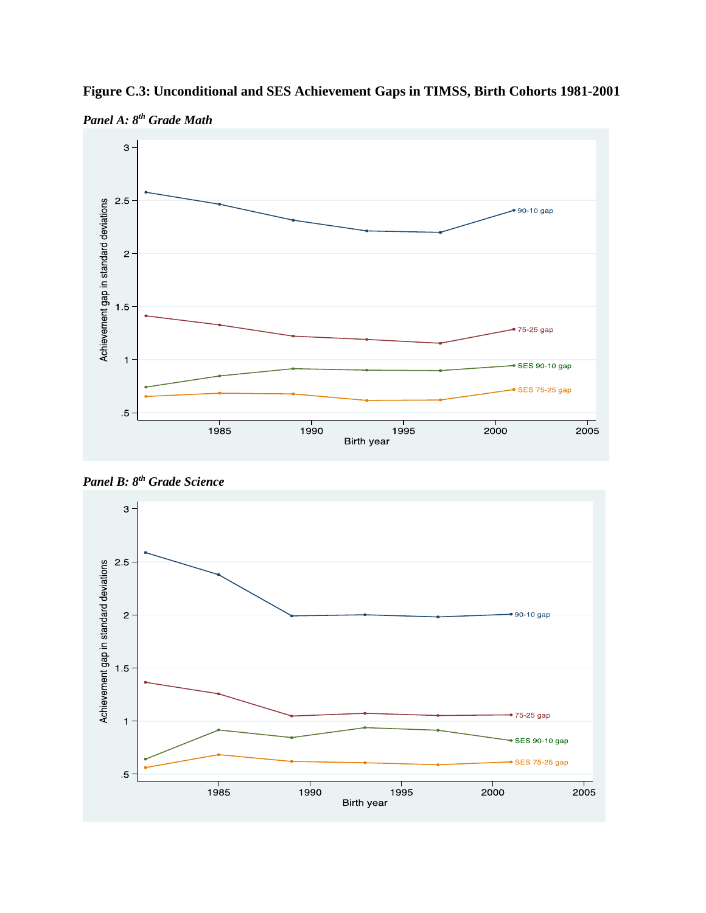

**Figure C.3: Unconditional and SES Achievement Gaps in TIMSS, Birth Cohorts 1981-2001**



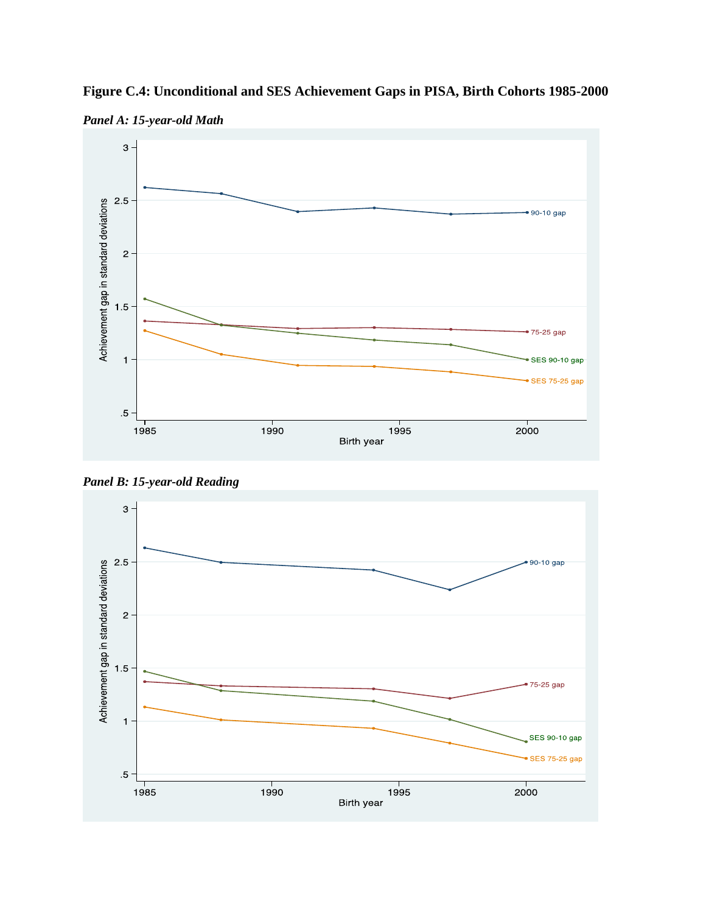

**Figure C.4: Unconditional and SES Achievement Gaps in PISA, Birth Cohorts 1985-2000**

*Panel A: 15-year-old Math*

*Panel B: 15-year-old Reading*

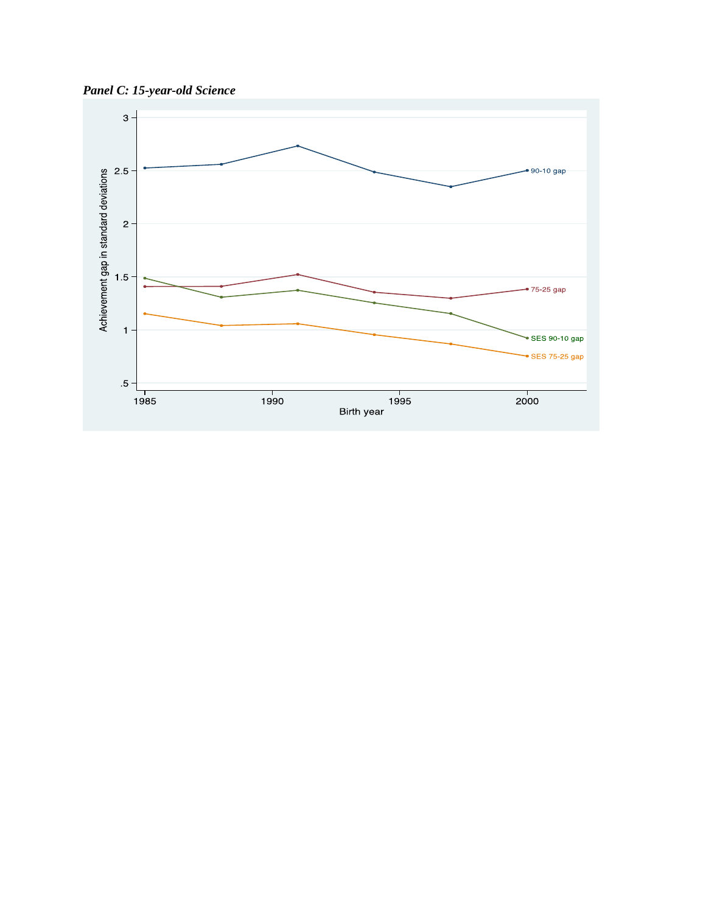*Panel C: 15-year-old Science*

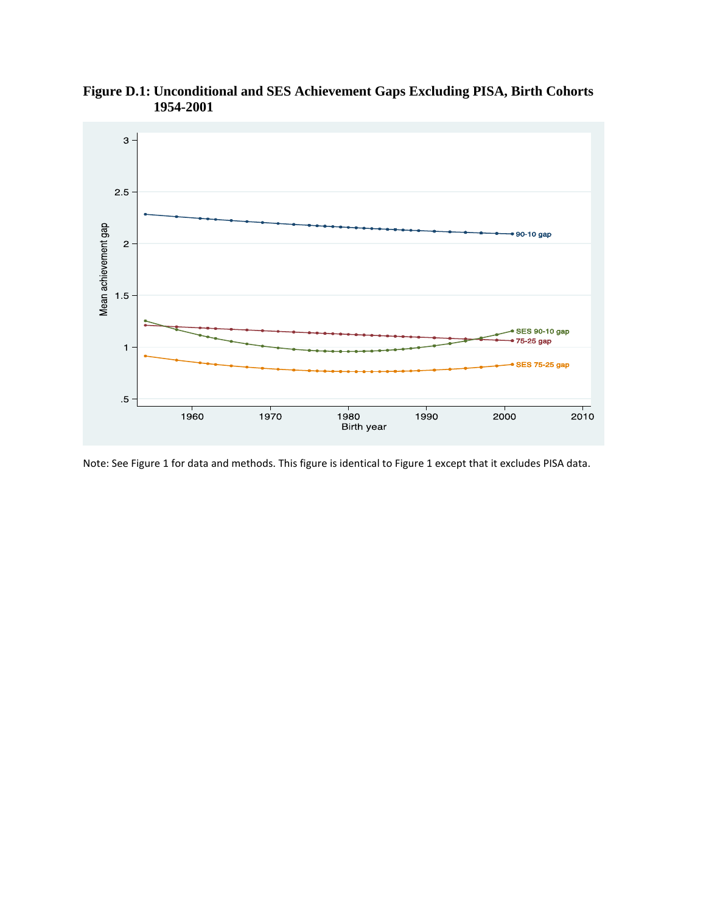

**Figure D.1: Unconditional and SES Achievement Gaps Excluding PISA, Birth Cohorts 1954-2001**

Note: See Figure 1 for data and methods. This figure is identical to Figure 1 except that it excludes PISA data.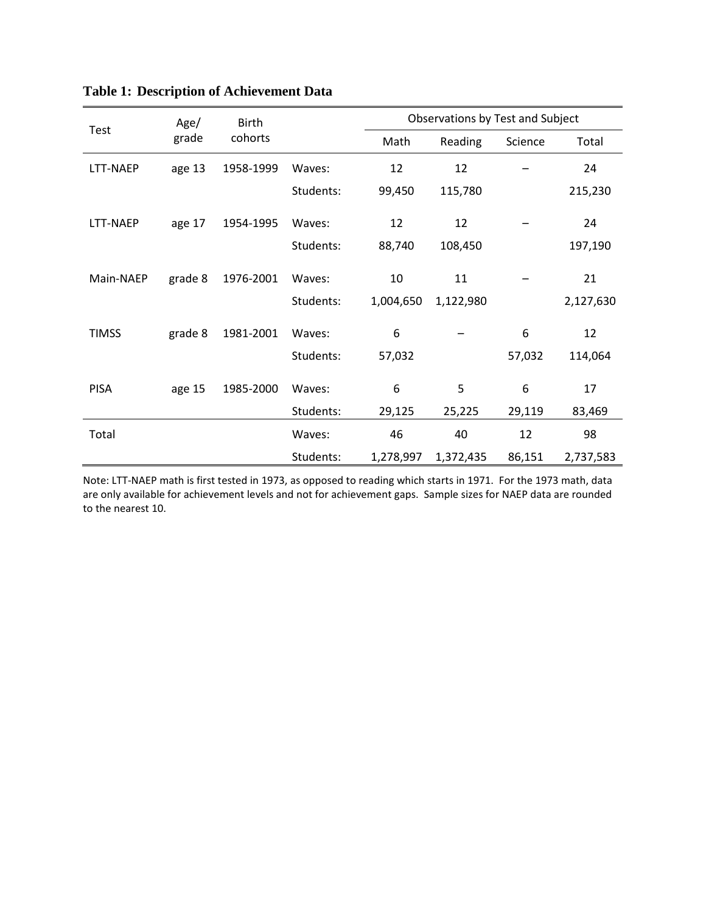|              | Age/    | <b>Birth</b> |           | Observations by Test and Subject |           |         |           |  |
|--------------|---------|--------------|-----------|----------------------------------|-----------|---------|-----------|--|
| Test         | grade   | cohorts      |           | Math                             | Reading   | Science | Total     |  |
| LTT-NAEP     | age 13  | 1958-1999    | Waves:    | 12                               | 12        |         | 24        |  |
|              |         |              | Students: | 99,450                           | 115,780   |         | 215,230   |  |
| LTT-NAEP     | age 17  | 1954-1995    | Waves:    | 12                               | 12        |         | 24        |  |
|              |         |              | Students: | 88,740                           | 108,450   |         | 197,190   |  |
| Main-NAEP    | grade 8 | 1976-2001    | Waves:    | 10                               | 11        |         | 21        |  |
|              |         |              | Students: | 1,004,650                        | 1,122,980 |         | 2,127,630 |  |
| <b>TIMSS</b> | grade 8 | 1981-2001    | Waves:    | 6                                |           | 6       | 12        |  |
|              |         |              | Students: | 57,032                           |           | 57,032  | 114,064   |  |
| <b>PISA</b>  | age 15  | 1985-2000    | Waves:    | 6                                | 5         | 6       | 17        |  |
|              |         |              | Students: | 29,125                           | 25,225    | 29,119  | 83,469    |  |
| Total        |         |              | Waves:    | 46                               | 40        | 12      | 98        |  |
|              |         |              | Students: | 1,278,997                        | 1,372,435 | 86,151  | 2,737,583 |  |

# **Table 1: Description of Achievement Data**

Note: LTT-NAEP math is first tested in 1973, as opposed to reading which starts in 1971. For the 1973 math, data are only available for achievement levels and not for achievement gaps. Sample sizes for NAEP data are rounded to the nearest 10.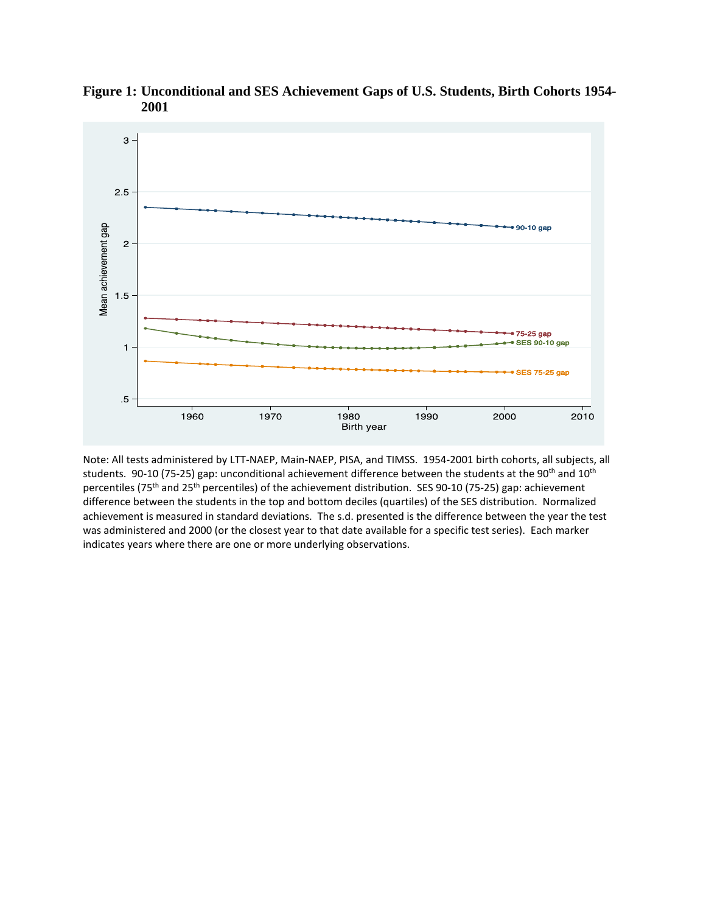

**Figure 1: Unconditional and SES Achievement Gaps of U.S. Students, Birth Cohorts 1954- 2001**

Note: All tests administered by LTT-NAEP, Main-NAEP, PISA, and TIMSS. 1954-2001 birth cohorts, all subjects, all students. 90-10 (75-25) gap: unconditional achievement difference between the students at the 90<sup>th</sup> and 10<sup>th</sup> percentiles (75<sup>th</sup> and 25<sup>th</sup> percentiles) of the achievement distribution. SES 90-10 (75-25) gap: achievement difference between the students in the top and bottom deciles (quartiles) of the SES distribution. Normalized achievement is measured in standard deviations. The s.d. presented is the difference between the year the test was administered and 2000 (or the closest year to that date available for a specific test series). Each marker indicates years where there are one or more underlying observations.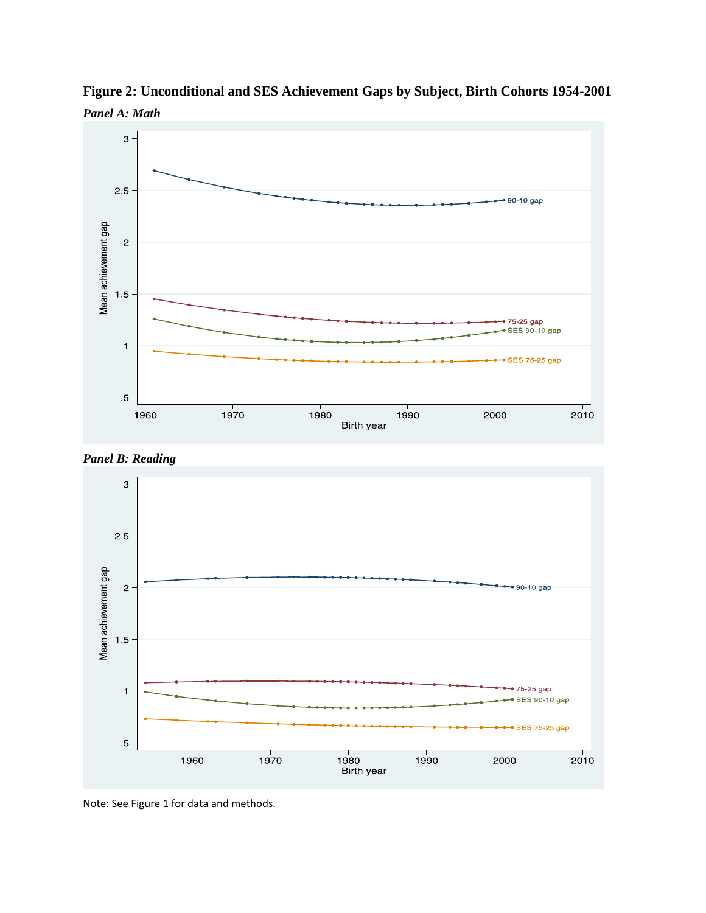







Note: See Figure 1 for data and methods.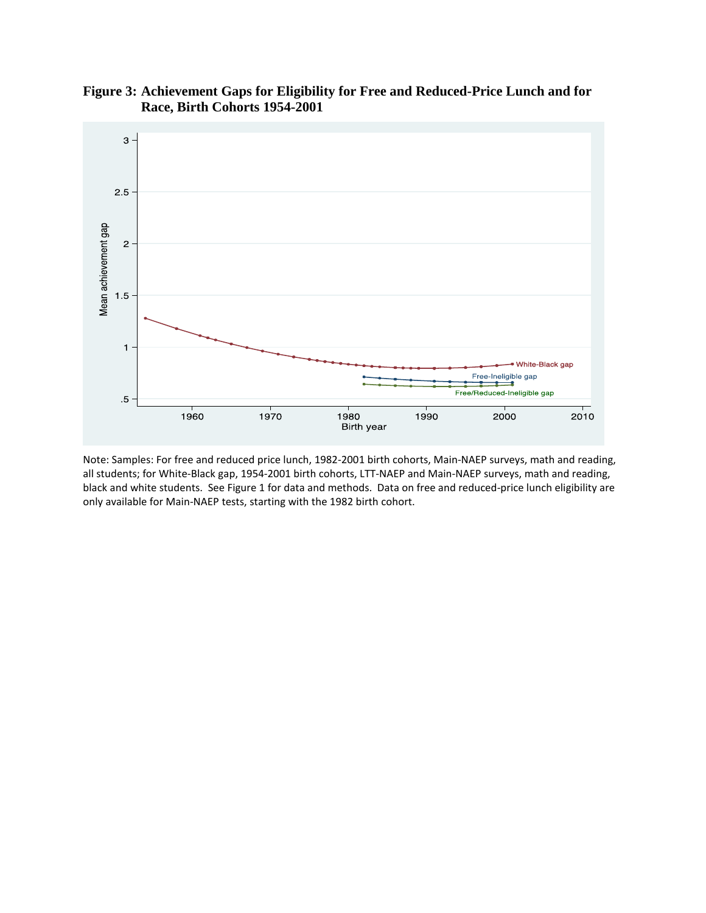

## **Figure 3: Achievement Gaps for Eligibility for Free and Reduced-Price Lunch and for Race, Birth Cohorts 1954-2001**

Note: Samples: For free and reduced price lunch, 1982-2001 birth cohorts, Main-NAEP surveys, math and reading, all students; for White-Black gap, 1954-2001 birth cohorts, LTT-NAEP and Main-NAEP surveys, math and reading, black and white students. See Figure 1 for data and methods. Data on free and reduced-price lunch eligibility are only available for Main-NAEP tests, starting with the 1982 birth cohort.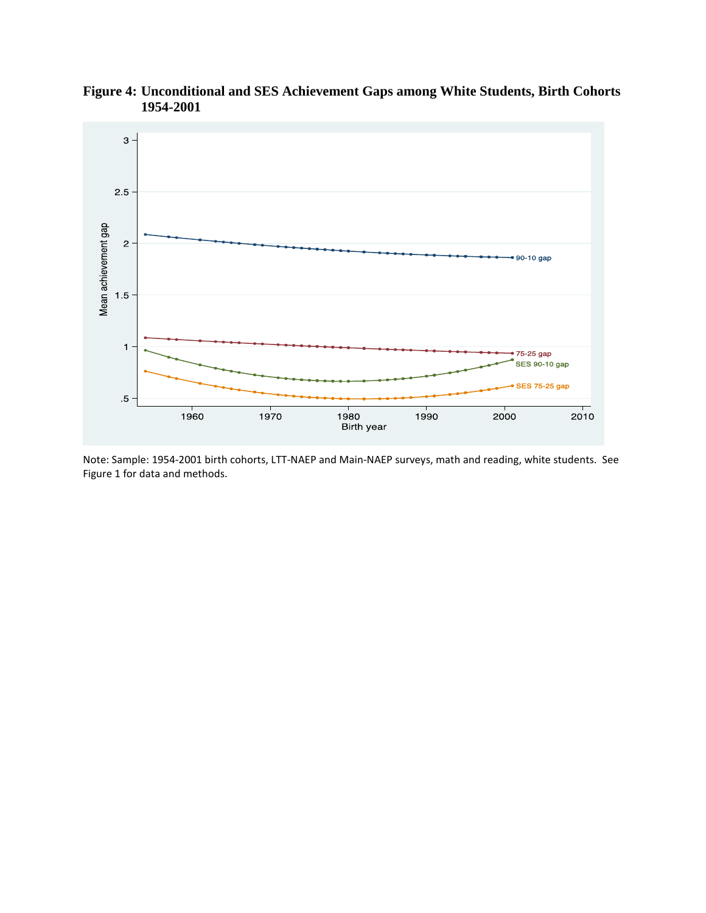

**Figure 4: Unconditional and SES Achievement Gaps among White Students, Birth Cohorts 1954-2001**

Note: Sample: 1954-2001 birth cohorts, LTT-NAEP and Main-NAEP surveys, math and reading, white students. See Figure 1 for data and methods.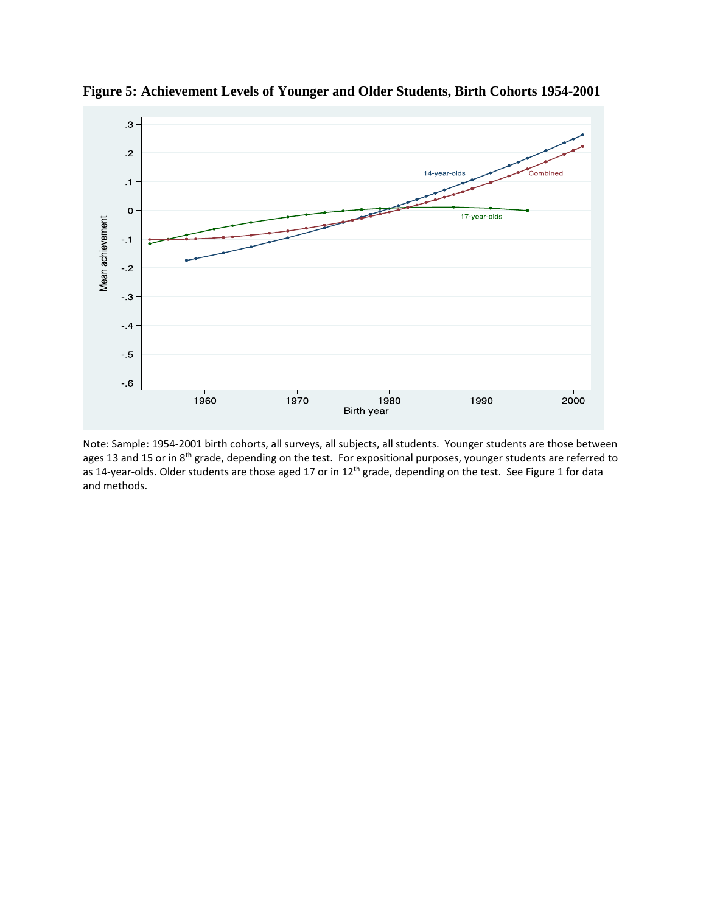

**Figure 5: Achievement Levels of Younger and Older Students, Birth Cohorts 1954-2001**

Note: Sample: 1954-2001 birth cohorts, all surveys, all subjects, all students. Younger students are those between ages 13 and 15 or in 8<sup>th</sup> grade, depending on the test. For expositional purposes, younger students are referred to as 14-year-olds. Older students are those aged 17 or in 12<sup>th</sup> grade, depending on the test. See Figure 1 for data and methods.